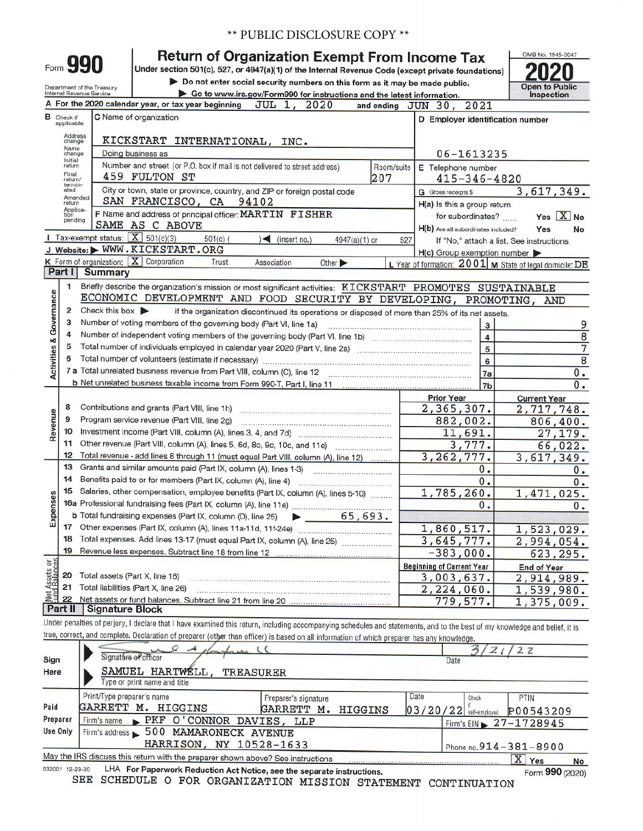| <b>** PUBLIC DISCLOSURE COPY **</b> |  |
|-------------------------------------|--|
|-------------------------------------|--|

| Form 990 | <b>Return of Organization Exempt From Income Tax</b>                                               |
|----------|----------------------------------------------------------------------------------------------------|
|          | Under section 501(c), 527, or 4947(a)(1) of the Internal Revenue Code (except private foundations) |

Department of the Treasury **Department of the Treasury Department of the Treasury Department of the Ireasury Bo to www.irs.gov/Form990 for instructions and the latest information.** 

0MB No. 1545-0047 **2020 Open to Public Inspection** 

|                         |                   | as to mww.lla.gov/rornibbo for lifeurous and the latest imorniation.<br>A For the 2020 calendar year, or tax year beginning JUL 1, 2020                                                                                                                                                                                                                                                                                                                                                                                                           |            | and ending JUN 30, 2021             | <b>HISPECHON</b>                                          |
|-------------------------|-------------------|---------------------------------------------------------------------------------------------------------------------------------------------------------------------------------------------------------------------------------------------------------------------------------------------------------------------------------------------------------------------------------------------------------------------------------------------------------------------------------------------------------------------------------------------------|------------|-------------------------------------|-----------------------------------------------------------|
| в                       | Check if          | C Name of organization                                                                                                                                                                                                                                                                                                                                                                                                                                                                                                                            |            | D Employer identification number    |                                                           |
|                         | applicable:       |                                                                                                                                                                                                                                                                                                                                                                                                                                                                                                                                                   |            |                                     |                                                           |
|                         | Address<br>change | KICKSTART INTERNATIONAL, INC.                                                                                                                                                                                                                                                                                                                                                                                                                                                                                                                     |            |                                     |                                                           |
|                         | Name<br>change    | Doing business as                                                                                                                                                                                                                                                                                                                                                                                                                                                                                                                                 |            | 06-1613235                          |                                                           |
|                         | Initial<br>return | Number and street (or P.O. box if mail is not delivered to street address)                                                                                                                                                                                                                                                                                                                                                                                                                                                                        | Room/suite | E Telephone number                  |                                                           |
|                         | Final<br>return/  | 459 FULTON ST                                                                                                                                                                                                                                                                                                                                                                                                                                                                                                                                     | 207        | $415 - 346 - 4820$                  |                                                           |
|                         | termin-<br>ated   | City or town, state or province, country, and ZIP or foreign postal code                                                                                                                                                                                                                                                                                                                                                                                                                                                                          |            | G Gross receipts \$                 | 3,617,349.                                                |
|                         | Amended<br>return | SAN FRANCISCO, CA 94102                                                                                                                                                                                                                                                                                                                                                                                                                                                                                                                           |            | H(a) Is this a group return         |                                                           |
|                         | Applica-<br>tion  | F Name and address of principal officer: MARTIN FISHER                                                                                                                                                                                                                                                                                                                                                                                                                                                                                            |            | for subordinates?                   | Yes $X$ No                                                |
|                         | pending           | SAME AS C ABOVE                                                                                                                                                                                                                                                                                                                                                                                                                                                                                                                                   |            | H(b) Are all subordinates included? | Yes<br>No                                                 |
|                         |                   | Tax-exempt status: $X$ 501(c)(3)<br>$501(c)$ (<br>$\leq$ (insert no.)<br>4947(a)(1) or                                                                                                                                                                                                                                                                                                                                                                                                                                                            | 527        |                                     | If "No," attach a list. See instructions                  |
|                         |                   | J Website: WWW.KICKSTART.ORG                                                                                                                                                                                                                                                                                                                                                                                                                                                                                                                      |            | $H(c)$ Group exemption number       |                                                           |
|                         |                   | K Form of organization:   X   Corporation<br>Trust<br>Association<br>Other $\blacktriangleright$                                                                                                                                                                                                                                                                                                                                                                                                                                                  |            |                                     | L Year of formation: 2001   M State of legal domicile: DE |
|                         | Part I            | <b>Summary</b>                                                                                                                                                                                                                                                                                                                                                                                                                                                                                                                                    |            |                                     |                                                           |
|                         | 1                 | Briefly describe the organization's mission or most significant activities: KICKSTART PROMOTES SUSTAINABLE                                                                                                                                                                                                                                                                                                                                                                                                                                        |            |                                     |                                                           |
| Activities & Governance |                   | ECONOMIC DEVELOPMENT AND FOOD SECURITY BY DEVELOPING, PROMOTING, AND                                                                                                                                                                                                                                                                                                                                                                                                                                                                              |            |                                     |                                                           |
|                         | $\overline{2}$    | Check this box $\blacktriangleright$<br>if the organization discontinued its operations or disposed of more than 25% of its net assets.                                                                                                                                                                                                                                                                                                                                                                                                           |            |                                     |                                                           |
|                         | 3                 | Number of voting members of the governing body (Part VI, line 1a)                                                                                                                                                                                                                                                                                                                                                                                                                                                                                 |            | $\mathbf{3}$                        | 9                                                         |
|                         | 4                 |                                                                                                                                                                                                                                                                                                                                                                                                                                                                                                                                                   |            | $\overline{\bf 4}$                  | 8                                                         |
|                         | 5                 | Total number of individuals employed in calendar year 2020 (Part V, line 2a)                                                                                                                                                                                                                                                                                                                                                                                                                                                                      |            | 5                                   | 7                                                         |
|                         | 6                 |                                                                                                                                                                                                                                                                                                                                                                                                                                                                                                                                                   |            | 6                                   | $\overline{8}$                                            |
|                         |                   | 7 a Total unrelated business revenue from Part VIII, column (C), line 12                                                                                                                                                                                                                                                                                                                                                                                                                                                                          |            | 7a                                  | 0.                                                        |
|                         |                   |                                                                                                                                                                                                                                                                                                                                                                                                                                                                                                                                                   |            | 7 <sub>b</sub>                      | 0.                                                        |
|                         |                   |                                                                                                                                                                                                                                                                                                                                                                                                                                                                                                                                                   |            | <b>Prior Year</b>                   | <b>Current Year</b>                                       |
|                         | 8                 | Contributions and grants (Part VIII, line 1h)<br>$\label{eq:3.1} \begin{minipage}{0.99\textwidth} \begin{minipage}{0.99\textwidth} \begin{minipage}{0.99\textwidth} \begin{minipage}{0.99\textwidth} \begin{minipage}{0.99\textwidth} \begin{minipage}{0.99\textwidth} \begin{minipage}{0.99\textwidth} \begin{minipage}{0.99\textwidth} \begin{minipage}{0.99\textwidth} \begin{minipage}{0.99\textwidth} \begin{minipage}{0.99\textwidth} \begin{minipage}{0.99\textwidth} \begin{minipage}{0.99\textwidth} \begin{minipage}{0.99\textwidth} \$ |            | 2,365,307.                          | 2,717,748.                                                |
|                         | 9                 | Program service revenue (Part VIII, line 2g)                                                                                                                                                                                                                                                                                                                                                                                                                                                                                                      |            | 882,002.                            | 806,400.                                                  |
| Revenue                 | 10                |                                                                                                                                                                                                                                                                                                                                                                                                                                                                                                                                                   |            | 11,691.                             | 27,179.                                                   |
|                         | 11                | Other revenue (Part VIII, column (A), lines 5, 6d, 8c, 9c, 10c, and 11e)                                                                                                                                                                                                                                                                                                                                                                                                                                                                          |            | 3,777.                              | 66,022.                                                   |
|                         | 12                | Total revenue - add lines 8 through 11 (must equal Part VIII, column (A), line 12)                                                                                                                                                                                                                                                                                                                                                                                                                                                                |            | 3, 262, 777.                        | 3,617,349.                                                |
|                         | 13<br>14          | Grants and similar amounts paid (Part IX, column (A), lines 1-3)                                                                                                                                                                                                                                                                                                                                                                                                                                                                                  |            | 0.                                  | 0.                                                        |
|                         | 15                |                                                                                                                                                                                                                                                                                                                                                                                                                                                                                                                                                   |            | 0.                                  | 0.                                                        |
| Expenses                |                   | Salaries, other compensation, employee benefits (Part IX, column (A), lines 5-10)                                                                                                                                                                                                                                                                                                                                                                                                                                                                 |            | 1,785,260.                          | 1,471,025.                                                |
|                         |                   | b Total fundraising expenses (Part IX, column (D), line 25)<br>$\blacktriangleright$ 65,693.                                                                                                                                                                                                                                                                                                                                                                                                                                                      |            | $\mathbf{0}$ .                      | 0.                                                        |
|                         | 17                |                                                                                                                                                                                                                                                                                                                                                                                                                                                                                                                                                   |            | 1,860,517.                          |                                                           |
|                         | 18                | Total expenses. Add lines 13-17 (must equal Part IX, column (A), line 25)                                                                                                                                                                                                                                                                                                                                                                                                                                                                         |            | 3,645,777.                          | 1,523,029.<br>2,994,054.                                  |
|                         | 19                |                                                                                                                                                                                                                                                                                                                                                                                                                                                                                                                                                   |            | $-383,000.$                         | 623, 295.                                                 |
| ងន                      |                   |                                                                                                                                                                                                                                                                                                                                                                                                                                                                                                                                                   |            | <b>Beginning of Current Year</b>    |                                                           |
|                         | 20                | Total assets (Part X, line 16)                                                                                                                                                                                                                                                                                                                                                                                                                                                                                                                    |            | 3,003,637.                          | <b>End of Year</b><br>2,914,989.                          |
|                         | 21                | Total liabilities (Part X, line 26)                                                                                                                                                                                                                                                                                                                                                                                                                                                                                                               |            | 2, 224, 060.                        | 1,539,980.                                                |
| Net Assets              | 22                | Net assets or fund balances. Subtract line 21 from line 20                                                                                                                                                                                                                                                                                                                                                                                                                                                                                        |            | 779,577.                            | 1,375,009.                                                |
|                         | Part II           | <b>Signature Block</b>                                                                                                                                                                                                                                                                                                                                                                                                                                                                                                                            |            |                                     |                                                           |
|                         |                   | Under penalties of perjury, I declare that I have examined this return, including accompanying schedules and statements, and to the best of my knowledge and belief, it is                                                                                                                                                                                                                                                                                                                                                                        |            |                                     |                                                           |
|                         |                   | true, correct, and complete. Declaration of preparer (other than officer) is based on all information of which preparer has any knowledge.                                                                                                                                                                                                                                                                                                                                                                                                        |            |                                     |                                                           |
|                         |                   |                                                                                                                                                                                                                                                                                                                                                                                                                                                                                                                                                   |            | 2                                   | 2z                                                        |
| Sign                    |                   | Signature of officer                                                                                                                                                                                                                                                                                                                                                                                                                                                                                                                              |            | Date                                |                                                           |
| Here                    |                   | SAMUEL HARTWÉLL,<br><b>TREASURER</b>                                                                                                                                                                                                                                                                                                                                                                                                                                                                                                              |            |                                     |                                                           |
|                         |                   | Type or print name and title                                                                                                                                                                                                                                                                                                                                                                                                                                                                                                                      |            |                                     |                                                           |
|                         |                   | Print/Type preparer's name<br>Preparer's signature                                                                                                                                                                                                                                                                                                                                                                                                                                                                                                |            | Date<br>Check                       | PTIN                                                      |
| Paid                    |                   | GARRETT M. HIGGINS<br>GARRETT M.<br>HIGGINS                                                                                                                                                                                                                                                                                                                                                                                                                                                                                                       |            | 03/20/22 self-employed              | P00543209                                                 |
|                         | Preparer          | PKF O'CONNOR DAVIES, LLP<br>Firm's name                                                                                                                                                                                                                                                                                                                                                                                                                                                                                                           |            |                                     | Firm's EIN $\geq 27 - 1728945$                            |
|                         | Use Only          | Firm's address > 500 MAMARONECK AVENUE                                                                                                                                                                                                                                                                                                                                                                                                                                                                                                            |            |                                     |                                                           |
|                         |                   | HARRISON, NY 10528-1633                                                                                                                                                                                                                                                                                                                                                                                                                                                                                                                           |            |                                     | Phone no. 914-381-8900                                    |
|                         |                   | May the IRS discuss this return with the preparer shown above? See instructions                                                                                                                                                                                                                                                                                                                                                                                                                                                                   |            |                                     | X Yes<br>No                                               |
|                         | 032001 12-23-20   | LHA For Paperwork Reduction Act Notice, see the separate instructions.<br>SEE<br>SCHEDULE O FOR ORGANIZATION MISSION STATEMENT CONTINUATION                                                                                                                                                                                                                                                                                                                                                                                                       |            |                                     | Form 990 (2020)                                           |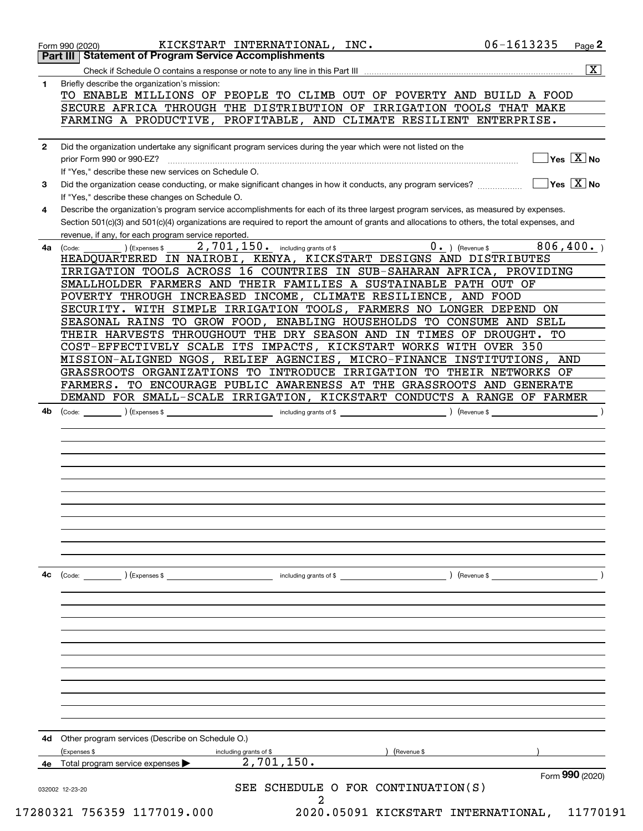|              | <b>Part III Statement of Program Service Accomplishments</b>                                                                                                                            |
|--------------|-----------------------------------------------------------------------------------------------------------------------------------------------------------------------------------------|
|              | $\overline{\mathbf{X}}$                                                                                                                                                                 |
| 1            | Briefly describe the organization's mission:                                                                                                                                            |
|              | TO ENABLE MILLIONS OF PEOPLE TO CLIMB OUT OF POVERTY AND BUILD A FOOD                                                                                                                   |
|              | SECURE AFRICA THROUGH THE DISTRIBUTION OF IRRIGATION TOOLS THAT MAKE                                                                                                                    |
|              | FARMING A PRODUCTIVE,<br>PROFITABLE, AND CLIMATE RESILIENT ENTERPRISE.                                                                                                                  |
| $\mathbf{2}$ | Did the organization undertake any significant program services during the year which were not listed on the                                                                            |
|              | Yes $\boxed{X}$ No                                                                                                                                                                      |
|              | If "Yes," describe these new services on Schedule O.                                                                                                                                    |
| 3            | $\sqrt{}$ Yes $\sqrt{}$ X $\sqrt{}$ No<br>Did the organization cease conducting, or make significant changes in how it conducts, any program services?                                  |
| 4            | If "Yes," describe these changes on Schedule O.<br>Describe the organization's program service accomplishments for each of its three largest program services, as measured by expenses. |
|              | Section 501(c)(3) and 501(c)(4) organizations are required to report the amount of grants and allocations to others, the total expenses, and                                            |
|              | revenue, if any, for each program service reported.                                                                                                                                     |
| 4a           | $0.$ (Revenue \$<br>806, 400.<br>2,701,150. including grants of \$<br>(Code:<br>(Expenses \$                                                                                            |
|              | HEADQUARTERED IN NAIROBI, KENYA, KICKSTART DESIGNS AND DISTRIBUTES                                                                                                                      |
|              | IRRIGATION TOOLS ACROSS 16 COUNTRIES IN SUB-SAHARAN AFRICA, PROVIDING                                                                                                                   |
|              | SMALLHOLDER FARMERS AND THEIR FAMILIES A SUSTAINABLE PATH OUT OF                                                                                                                        |
|              | POVERTY THROUGH INCREASED INCOME, CLIMATE RESILIENCE, AND FOOD                                                                                                                          |
|              | SECURITY. WITH SIMPLE IRRIGATION TOOLS, FARMERS NO LONGER DEPEND ON                                                                                                                     |
|              | SEASONAL RAINS TO GROW FOOD, ENABLING HOUSEHOLDS TO CONSUME AND SELL                                                                                                                    |
|              | THEIR HARVESTS THROUGHOUT THE DRY SEASON AND IN TIMES OF DROUGHT.<br>TO                                                                                                                 |
|              | COST-EFFECTIVELY SCALE ITS IMPACTS, KICKSTART WORKS WITH OVER 350                                                                                                                       |
|              | MISSION-ALIGNED NGOS, RELIEF AGENCIES, MICRO-FINANCE INSTITUTIONS,<br>AND                                                                                                               |
|              | GRASSROOTS ORGANIZATIONS TO INTRODUCE IRRIGATION<br>TO THEIR NETWORKS OF                                                                                                                |
|              | TO ENCOURAGE PUBLIC AWARENESS AT THE GRASSROOTS AND GENERATE<br>FARMERS.                                                                                                                |
|              | DEMAND FOR SMALL-SCALE IRRIGATION, KICKSTART CONDUCTS A RANGE OF FARMER<br>(Code: ) (Expenses \$                                                                                        |
|              |                                                                                                                                                                                         |
|              |                                                                                                                                                                                         |
|              |                                                                                                                                                                                         |
|              |                                                                                                                                                                                         |
|              |                                                                                                                                                                                         |
| 4c           | ) (Revenue \$<br>$\left(\text{Code:}\right)$<br>) (Expenses \$<br>including grants of \$                                                                                                |
|              |                                                                                                                                                                                         |
|              |                                                                                                                                                                                         |
|              |                                                                                                                                                                                         |
|              |                                                                                                                                                                                         |
| 4d           | Other program services (Describe on Schedule O.)<br>(Expenses \$<br>including grants of \$<br>(Revenue \$                                                                               |
|              | 2,701,150.<br>4e Total program service expenses                                                                                                                                         |
|              | Form 990 (2020)                                                                                                                                                                         |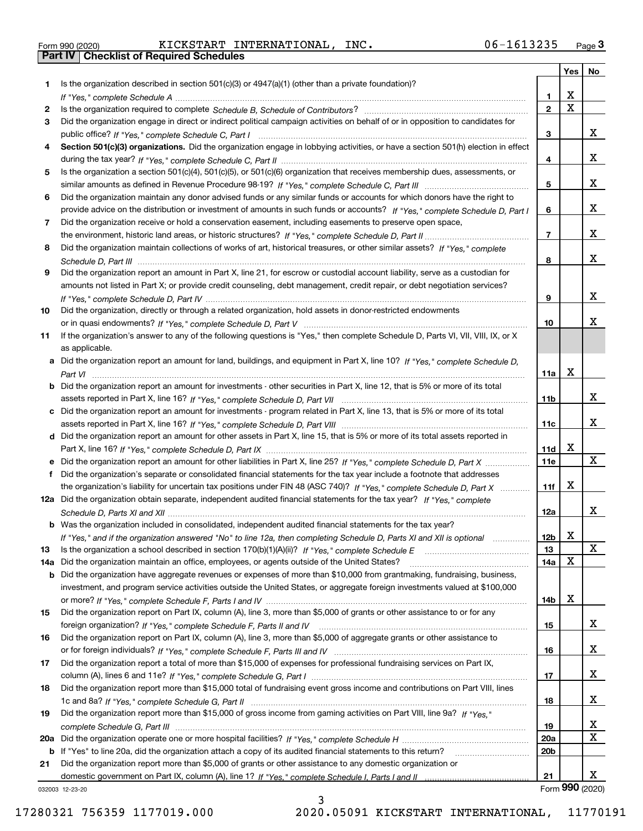|  | Form 990 (2020) |
|--|-----------------|

Form 990 (2020) KICKSTART INTERNATIONAL,INC. 06-1613235 <sub>Page</sub> 3<br>**Part IV | Checklist of Required Schedules** 

| Is the organization described in section $501(c)(3)$ or $4947(a)(1)$ (other than a private foundation)?<br>1.<br>X<br>1<br>$\overline{\mathbf{x}}$<br>$\mathbf{2}$<br>2<br>Did the organization engage in direct or indirect political campaign activities on behalf of or in opposition to candidates for<br>3<br>х<br>3<br>Section 501(c)(3) organizations. Did the organization engage in lobbying activities, or have a section 501(h) election in effect<br>4<br>х<br>4<br>Is the organization a section 501(c)(4), 501(c)(5), or 501(c)(6) organization that receives membership dues, assessments, or<br>5<br>х<br>5<br>Did the organization maintain any donor advised funds or any similar funds or accounts for which donors have the right to<br>6<br>х<br>6<br>provide advice on the distribution or investment of amounts in such funds or accounts? If "Yes," complete Schedule D, Part I<br>Did the organization receive or hold a conservation easement, including easements to preserve open space,<br>7<br>х<br>$\overline{7}$<br>Did the organization maintain collections of works of art, historical treasures, or other similar assets? If "Yes," complete<br>8<br>x<br>8<br>Did the organization report an amount in Part X, line 21, for escrow or custodial account liability, serve as a custodian for<br>9<br>amounts not listed in Part X; or provide credit counseling, debt management, credit repair, or debt negotiation services?<br>x<br>9<br>Did the organization, directly or through a related organization, hold assets in donor-restricted endowments<br>10<br>x.<br>10<br>If the organization's answer to any of the following questions is "Yes," then complete Schedule D, Parts VI, VII, VIII, IX, or X<br>11<br>as applicable.<br>a Did the organization report an amount for land, buildings, and equipment in Part X, line 10? If "Yes," complete Schedule D,<br>X<br>11a<br><b>b</b> Did the organization report an amount for investments - other securities in Part X, line 12, that is 5% or more of its total<br>x<br>11b<br>c Did the organization report an amount for investments - program related in Part X, line 13, that is 5% or more of its total<br>x<br>11c<br>d Did the organization report an amount for other assets in Part X, line 15, that is 5% or more of its total assets reported in<br>х<br>11d<br>x<br>e Did the organization report an amount for other liabilities in Part X, line 25? If "Yes," complete Schedule D, Part X<br><b>11e</b><br>Did the organization's separate or consolidated financial statements for the tax year include a footnote that addresses<br>f<br>x<br>the organization's liability for uncertain tax positions under FIN 48 (ASC 740)? If "Yes," complete Schedule D, Part X<br>11f<br>12a Did the organization obtain separate, independent audited financial statements for the tax year? If "Yes," complete<br>x<br>12a<br><b>b</b> Was the organization included in consolidated, independent audited financial statements for the tax year?<br>If "Yes," and if the organization answered "No" to line 12a, then completing Schedule D, Parts XI and XII is optional<br>12b<br>A<br>X<br>13<br>13<br>x<br>Did the organization maintain an office, employees, or agents outside of the United States?<br>14a<br>14a<br>Did the organization have aggregate revenues or expenses of more than \$10,000 from grantmaking, fundraising, business,<br>b<br>investment, and program service activities outside the United States, or aggregate foreign investments valued at \$100,000<br>x<br>14b<br>Did the organization report on Part IX, column (A), line 3, more than \$5,000 of grants or other assistance to or for any<br>15<br>x<br>15<br>Did the organization report on Part IX, column (A), line 3, more than \$5,000 of aggregate grants or other assistance to<br>16<br>x<br>16<br>Did the organization report a total of more than \$15,000 of expenses for professional fundraising services on Part IX,<br>17<br>x<br>17<br>Did the organization report more than \$15,000 total of fundraising event gross income and contributions on Part VIII, lines<br>18<br>x<br>18<br>Did the organization report more than \$15,000 of gross income from gaming activities on Part VIII, line 9a? If "Yes."<br>19<br>x<br>19<br>Х<br><b>20a</b><br>20a<br>20 <sub>b</sub><br>Did the organization report more than \$5,000 of grants or other assistance to any domestic organization or<br>21<br>х<br>21<br>Form 990 (2020)<br>032003 12-23-20 |  | Yes | No |
|-------------------------------------------------------------------------------------------------------------------------------------------------------------------------------------------------------------------------------------------------------------------------------------------------------------------------------------------------------------------------------------------------------------------------------------------------------------------------------------------------------------------------------------------------------------------------------------------------------------------------------------------------------------------------------------------------------------------------------------------------------------------------------------------------------------------------------------------------------------------------------------------------------------------------------------------------------------------------------------------------------------------------------------------------------------------------------------------------------------------------------------------------------------------------------------------------------------------------------------------------------------------------------------------------------------------------------------------------------------------------------------------------------------------------------------------------------------------------------------------------------------------------------------------------------------------------------------------------------------------------------------------------------------------------------------------------------------------------------------------------------------------------------------------------------------------------------------------------------------------------------------------------------------------------------------------------------------------------------------------------------------------------------------------------------------------------------------------------------------------------------------------------------------------------------------------------------------------------------------------------------------------------------------------------------------------------------------------------------------------------------------------------------------------------------------------------------------------------------------------------------------------------------------------------------------------------------------------------------------------------------------------------------------------------------------------------------------------------------------------------------------------------------------------------------------------------------------------------------------------------------------------------------------------------------------------------------------------------------------------------------------------------------------------------------------------------------------------------------------------------------------------------------------------------------------------------------------------------------------------------------------------------------------------------------------------------------------------------------------------------------------------------------------------------------------------------------------------------------------------------------------------------------------------------------------------------------------------------------------------------------------------------------------------------------------------------------------------------------------------------------------------------------------------------------------------------------------------------------------------------------------------------------------------------------------------------------------------------------------------------------------------------------------------------------------------------------------------------------------------------------------------------------------------------------------------------------------------------------------------------------------------------------------------------------------------------------------------------------------------------------------------------------------------------------------------------------------------------------------------------------------------------------------------------------------------|--|-----|----|
|                                                                                                                                                                                                                                                                                                                                                                                                                                                                                                                                                                                                                                                                                                                                                                                                                                                                                                                                                                                                                                                                                                                                                                                                                                                                                                                                                                                                                                                                                                                                                                                                                                                                                                                                                                                                                                                                                                                                                                                                                                                                                                                                                                                                                                                                                                                                                                                                                                                                                                                                                                                                                                                                                                                                                                                                                                                                                                                                                                                                                                                                                                                                                                                                                                                                                                                                                                                                                                                                                                                                                                                                                                                                                                                                                                                                                                                                                                                                                                                                                                                                                                                                                                                                                                                                                                                                                                                                                                                                                                                                                                   |  |     |    |
|                                                                                                                                                                                                                                                                                                                                                                                                                                                                                                                                                                                                                                                                                                                                                                                                                                                                                                                                                                                                                                                                                                                                                                                                                                                                                                                                                                                                                                                                                                                                                                                                                                                                                                                                                                                                                                                                                                                                                                                                                                                                                                                                                                                                                                                                                                                                                                                                                                                                                                                                                                                                                                                                                                                                                                                                                                                                                                                                                                                                                                                                                                                                                                                                                                                                                                                                                                                                                                                                                                                                                                                                                                                                                                                                                                                                                                                                                                                                                                                                                                                                                                                                                                                                                                                                                                                                                                                                                                                                                                                                                                   |  |     |    |
|                                                                                                                                                                                                                                                                                                                                                                                                                                                                                                                                                                                                                                                                                                                                                                                                                                                                                                                                                                                                                                                                                                                                                                                                                                                                                                                                                                                                                                                                                                                                                                                                                                                                                                                                                                                                                                                                                                                                                                                                                                                                                                                                                                                                                                                                                                                                                                                                                                                                                                                                                                                                                                                                                                                                                                                                                                                                                                                                                                                                                                                                                                                                                                                                                                                                                                                                                                                                                                                                                                                                                                                                                                                                                                                                                                                                                                                                                                                                                                                                                                                                                                                                                                                                                                                                                                                                                                                                                                                                                                                                                                   |  |     |    |
|                                                                                                                                                                                                                                                                                                                                                                                                                                                                                                                                                                                                                                                                                                                                                                                                                                                                                                                                                                                                                                                                                                                                                                                                                                                                                                                                                                                                                                                                                                                                                                                                                                                                                                                                                                                                                                                                                                                                                                                                                                                                                                                                                                                                                                                                                                                                                                                                                                                                                                                                                                                                                                                                                                                                                                                                                                                                                                                                                                                                                                                                                                                                                                                                                                                                                                                                                                                                                                                                                                                                                                                                                                                                                                                                                                                                                                                                                                                                                                                                                                                                                                                                                                                                                                                                                                                                                                                                                                                                                                                                                                   |  |     |    |
|                                                                                                                                                                                                                                                                                                                                                                                                                                                                                                                                                                                                                                                                                                                                                                                                                                                                                                                                                                                                                                                                                                                                                                                                                                                                                                                                                                                                                                                                                                                                                                                                                                                                                                                                                                                                                                                                                                                                                                                                                                                                                                                                                                                                                                                                                                                                                                                                                                                                                                                                                                                                                                                                                                                                                                                                                                                                                                                                                                                                                                                                                                                                                                                                                                                                                                                                                                                                                                                                                                                                                                                                                                                                                                                                                                                                                                                                                                                                                                                                                                                                                                                                                                                                                                                                                                                                                                                                                                                                                                                                                                   |  |     |    |
|                                                                                                                                                                                                                                                                                                                                                                                                                                                                                                                                                                                                                                                                                                                                                                                                                                                                                                                                                                                                                                                                                                                                                                                                                                                                                                                                                                                                                                                                                                                                                                                                                                                                                                                                                                                                                                                                                                                                                                                                                                                                                                                                                                                                                                                                                                                                                                                                                                                                                                                                                                                                                                                                                                                                                                                                                                                                                                                                                                                                                                                                                                                                                                                                                                                                                                                                                                                                                                                                                                                                                                                                                                                                                                                                                                                                                                                                                                                                                                                                                                                                                                                                                                                                                                                                                                                                                                                                                                                                                                                                                                   |  |     |    |
|                                                                                                                                                                                                                                                                                                                                                                                                                                                                                                                                                                                                                                                                                                                                                                                                                                                                                                                                                                                                                                                                                                                                                                                                                                                                                                                                                                                                                                                                                                                                                                                                                                                                                                                                                                                                                                                                                                                                                                                                                                                                                                                                                                                                                                                                                                                                                                                                                                                                                                                                                                                                                                                                                                                                                                                                                                                                                                                                                                                                                                                                                                                                                                                                                                                                                                                                                                                                                                                                                                                                                                                                                                                                                                                                                                                                                                                                                                                                                                                                                                                                                                                                                                                                                                                                                                                                                                                                                                                                                                                                                                   |  |     |    |
|                                                                                                                                                                                                                                                                                                                                                                                                                                                                                                                                                                                                                                                                                                                                                                                                                                                                                                                                                                                                                                                                                                                                                                                                                                                                                                                                                                                                                                                                                                                                                                                                                                                                                                                                                                                                                                                                                                                                                                                                                                                                                                                                                                                                                                                                                                                                                                                                                                                                                                                                                                                                                                                                                                                                                                                                                                                                                                                                                                                                                                                                                                                                                                                                                                                                                                                                                                                                                                                                                                                                                                                                                                                                                                                                                                                                                                                                                                                                                                                                                                                                                                                                                                                                                                                                                                                                                                                                                                                                                                                                                                   |  |     |    |
|                                                                                                                                                                                                                                                                                                                                                                                                                                                                                                                                                                                                                                                                                                                                                                                                                                                                                                                                                                                                                                                                                                                                                                                                                                                                                                                                                                                                                                                                                                                                                                                                                                                                                                                                                                                                                                                                                                                                                                                                                                                                                                                                                                                                                                                                                                                                                                                                                                                                                                                                                                                                                                                                                                                                                                                                                                                                                                                                                                                                                                                                                                                                                                                                                                                                                                                                                                                                                                                                                                                                                                                                                                                                                                                                                                                                                                                                                                                                                                                                                                                                                                                                                                                                                                                                                                                                                                                                                                                                                                                                                                   |  |     |    |
|                                                                                                                                                                                                                                                                                                                                                                                                                                                                                                                                                                                                                                                                                                                                                                                                                                                                                                                                                                                                                                                                                                                                                                                                                                                                                                                                                                                                                                                                                                                                                                                                                                                                                                                                                                                                                                                                                                                                                                                                                                                                                                                                                                                                                                                                                                                                                                                                                                                                                                                                                                                                                                                                                                                                                                                                                                                                                                                                                                                                                                                                                                                                                                                                                                                                                                                                                                                                                                                                                                                                                                                                                                                                                                                                                                                                                                                                                                                                                                                                                                                                                                                                                                                                                                                                                                                                                                                                                                                                                                                                                                   |  |     |    |
|                                                                                                                                                                                                                                                                                                                                                                                                                                                                                                                                                                                                                                                                                                                                                                                                                                                                                                                                                                                                                                                                                                                                                                                                                                                                                                                                                                                                                                                                                                                                                                                                                                                                                                                                                                                                                                                                                                                                                                                                                                                                                                                                                                                                                                                                                                                                                                                                                                                                                                                                                                                                                                                                                                                                                                                                                                                                                                                                                                                                                                                                                                                                                                                                                                                                                                                                                                                                                                                                                                                                                                                                                                                                                                                                                                                                                                                                                                                                                                                                                                                                                                                                                                                                                                                                                                                                                                                                                                                                                                                                                                   |  |     |    |
|                                                                                                                                                                                                                                                                                                                                                                                                                                                                                                                                                                                                                                                                                                                                                                                                                                                                                                                                                                                                                                                                                                                                                                                                                                                                                                                                                                                                                                                                                                                                                                                                                                                                                                                                                                                                                                                                                                                                                                                                                                                                                                                                                                                                                                                                                                                                                                                                                                                                                                                                                                                                                                                                                                                                                                                                                                                                                                                                                                                                                                                                                                                                                                                                                                                                                                                                                                                                                                                                                                                                                                                                                                                                                                                                                                                                                                                                                                                                                                                                                                                                                                                                                                                                                                                                                                                                                                                                                                                                                                                                                                   |  |     |    |
|                                                                                                                                                                                                                                                                                                                                                                                                                                                                                                                                                                                                                                                                                                                                                                                                                                                                                                                                                                                                                                                                                                                                                                                                                                                                                                                                                                                                                                                                                                                                                                                                                                                                                                                                                                                                                                                                                                                                                                                                                                                                                                                                                                                                                                                                                                                                                                                                                                                                                                                                                                                                                                                                                                                                                                                                                                                                                                                                                                                                                                                                                                                                                                                                                                                                                                                                                                                                                                                                                                                                                                                                                                                                                                                                                                                                                                                                                                                                                                                                                                                                                                                                                                                                                                                                                                                                                                                                                                                                                                                                                                   |  |     |    |
|                                                                                                                                                                                                                                                                                                                                                                                                                                                                                                                                                                                                                                                                                                                                                                                                                                                                                                                                                                                                                                                                                                                                                                                                                                                                                                                                                                                                                                                                                                                                                                                                                                                                                                                                                                                                                                                                                                                                                                                                                                                                                                                                                                                                                                                                                                                                                                                                                                                                                                                                                                                                                                                                                                                                                                                                                                                                                                                                                                                                                                                                                                                                                                                                                                                                                                                                                                                                                                                                                                                                                                                                                                                                                                                                                                                                                                                                                                                                                                                                                                                                                                                                                                                                                                                                                                                                                                                                                                                                                                                                                                   |  |     |    |
|                                                                                                                                                                                                                                                                                                                                                                                                                                                                                                                                                                                                                                                                                                                                                                                                                                                                                                                                                                                                                                                                                                                                                                                                                                                                                                                                                                                                                                                                                                                                                                                                                                                                                                                                                                                                                                                                                                                                                                                                                                                                                                                                                                                                                                                                                                                                                                                                                                                                                                                                                                                                                                                                                                                                                                                                                                                                                                                                                                                                                                                                                                                                                                                                                                                                                                                                                                                                                                                                                                                                                                                                                                                                                                                                                                                                                                                                                                                                                                                                                                                                                                                                                                                                                                                                                                                                                                                                                                                                                                                                                                   |  |     |    |
|                                                                                                                                                                                                                                                                                                                                                                                                                                                                                                                                                                                                                                                                                                                                                                                                                                                                                                                                                                                                                                                                                                                                                                                                                                                                                                                                                                                                                                                                                                                                                                                                                                                                                                                                                                                                                                                                                                                                                                                                                                                                                                                                                                                                                                                                                                                                                                                                                                                                                                                                                                                                                                                                                                                                                                                                                                                                                                                                                                                                                                                                                                                                                                                                                                                                                                                                                                                                                                                                                                                                                                                                                                                                                                                                                                                                                                                                                                                                                                                                                                                                                                                                                                                                                                                                                                                                                                                                                                                                                                                                                                   |  |     |    |
|                                                                                                                                                                                                                                                                                                                                                                                                                                                                                                                                                                                                                                                                                                                                                                                                                                                                                                                                                                                                                                                                                                                                                                                                                                                                                                                                                                                                                                                                                                                                                                                                                                                                                                                                                                                                                                                                                                                                                                                                                                                                                                                                                                                                                                                                                                                                                                                                                                                                                                                                                                                                                                                                                                                                                                                                                                                                                                                                                                                                                                                                                                                                                                                                                                                                                                                                                                                                                                                                                                                                                                                                                                                                                                                                                                                                                                                                                                                                                                                                                                                                                                                                                                                                                                                                                                                                                                                                                                                                                                                                                                   |  |     |    |
|                                                                                                                                                                                                                                                                                                                                                                                                                                                                                                                                                                                                                                                                                                                                                                                                                                                                                                                                                                                                                                                                                                                                                                                                                                                                                                                                                                                                                                                                                                                                                                                                                                                                                                                                                                                                                                                                                                                                                                                                                                                                                                                                                                                                                                                                                                                                                                                                                                                                                                                                                                                                                                                                                                                                                                                                                                                                                                                                                                                                                                                                                                                                                                                                                                                                                                                                                                                                                                                                                                                                                                                                                                                                                                                                                                                                                                                                                                                                                                                                                                                                                                                                                                                                                                                                                                                                                                                                                                                                                                                                                                   |  |     |    |
|                                                                                                                                                                                                                                                                                                                                                                                                                                                                                                                                                                                                                                                                                                                                                                                                                                                                                                                                                                                                                                                                                                                                                                                                                                                                                                                                                                                                                                                                                                                                                                                                                                                                                                                                                                                                                                                                                                                                                                                                                                                                                                                                                                                                                                                                                                                                                                                                                                                                                                                                                                                                                                                                                                                                                                                                                                                                                                                                                                                                                                                                                                                                                                                                                                                                                                                                                                                                                                                                                                                                                                                                                                                                                                                                                                                                                                                                                                                                                                                                                                                                                                                                                                                                                                                                                                                                                                                                                                                                                                                                                                   |  |     |    |
|                                                                                                                                                                                                                                                                                                                                                                                                                                                                                                                                                                                                                                                                                                                                                                                                                                                                                                                                                                                                                                                                                                                                                                                                                                                                                                                                                                                                                                                                                                                                                                                                                                                                                                                                                                                                                                                                                                                                                                                                                                                                                                                                                                                                                                                                                                                                                                                                                                                                                                                                                                                                                                                                                                                                                                                                                                                                                                                                                                                                                                                                                                                                                                                                                                                                                                                                                                                                                                                                                                                                                                                                                                                                                                                                                                                                                                                                                                                                                                                                                                                                                                                                                                                                                                                                                                                                                                                                                                                                                                                                                                   |  |     |    |
|                                                                                                                                                                                                                                                                                                                                                                                                                                                                                                                                                                                                                                                                                                                                                                                                                                                                                                                                                                                                                                                                                                                                                                                                                                                                                                                                                                                                                                                                                                                                                                                                                                                                                                                                                                                                                                                                                                                                                                                                                                                                                                                                                                                                                                                                                                                                                                                                                                                                                                                                                                                                                                                                                                                                                                                                                                                                                                                                                                                                                                                                                                                                                                                                                                                                                                                                                                                                                                                                                                                                                                                                                                                                                                                                                                                                                                                                                                                                                                                                                                                                                                                                                                                                                                                                                                                                                                                                                                                                                                                                                                   |  |     |    |
|                                                                                                                                                                                                                                                                                                                                                                                                                                                                                                                                                                                                                                                                                                                                                                                                                                                                                                                                                                                                                                                                                                                                                                                                                                                                                                                                                                                                                                                                                                                                                                                                                                                                                                                                                                                                                                                                                                                                                                                                                                                                                                                                                                                                                                                                                                                                                                                                                                                                                                                                                                                                                                                                                                                                                                                                                                                                                                                                                                                                                                                                                                                                                                                                                                                                                                                                                                                                                                                                                                                                                                                                                                                                                                                                                                                                                                                                                                                                                                                                                                                                                                                                                                                                                                                                                                                                                                                                                                                                                                                                                                   |  |     |    |
|                                                                                                                                                                                                                                                                                                                                                                                                                                                                                                                                                                                                                                                                                                                                                                                                                                                                                                                                                                                                                                                                                                                                                                                                                                                                                                                                                                                                                                                                                                                                                                                                                                                                                                                                                                                                                                                                                                                                                                                                                                                                                                                                                                                                                                                                                                                                                                                                                                                                                                                                                                                                                                                                                                                                                                                                                                                                                                                                                                                                                                                                                                                                                                                                                                                                                                                                                                                                                                                                                                                                                                                                                                                                                                                                                                                                                                                                                                                                                                                                                                                                                                                                                                                                                                                                                                                                                                                                                                                                                                                                                                   |  |     |    |
|                                                                                                                                                                                                                                                                                                                                                                                                                                                                                                                                                                                                                                                                                                                                                                                                                                                                                                                                                                                                                                                                                                                                                                                                                                                                                                                                                                                                                                                                                                                                                                                                                                                                                                                                                                                                                                                                                                                                                                                                                                                                                                                                                                                                                                                                                                                                                                                                                                                                                                                                                                                                                                                                                                                                                                                                                                                                                                                                                                                                                                                                                                                                                                                                                                                                                                                                                                                                                                                                                                                                                                                                                                                                                                                                                                                                                                                                                                                                                                                                                                                                                                                                                                                                                                                                                                                                                                                                                                                                                                                                                                   |  |     |    |
|                                                                                                                                                                                                                                                                                                                                                                                                                                                                                                                                                                                                                                                                                                                                                                                                                                                                                                                                                                                                                                                                                                                                                                                                                                                                                                                                                                                                                                                                                                                                                                                                                                                                                                                                                                                                                                                                                                                                                                                                                                                                                                                                                                                                                                                                                                                                                                                                                                                                                                                                                                                                                                                                                                                                                                                                                                                                                                                                                                                                                                                                                                                                                                                                                                                                                                                                                                                                                                                                                                                                                                                                                                                                                                                                                                                                                                                                                                                                                                                                                                                                                                                                                                                                                                                                                                                                                                                                                                                                                                                                                                   |  |     |    |
|                                                                                                                                                                                                                                                                                                                                                                                                                                                                                                                                                                                                                                                                                                                                                                                                                                                                                                                                                                                                                                                                                                                                                                                                                                                                                                                                                                                                                                                                                                                                                                                                                                                                                                                                                                                                                                                                                                                                                                                                                                                                                                                                                                                                                                                                                                                                                                                                                                                                                                                                                                                                                                                                                                                                                                                                                                                                                                                                                                                                                                                                                                                                                                                                                                                                                                                                                                                                                                                                                                                                                                                                                                                                                                                                                                                                                                                                                                                                                                                                                                                                                                                                                                                                                                                                                                                                                                                                                                                                                                                                                                   |  |     |    |
|                                                                                                                                                                                                                                                                                                                                                                                                                                                                                                                                                                                                                                                                                                                                                                                                                                                                                                                                                                                                                                                                                                                                                                                                                                                                                                                                                                                                                                                                                                                                                                                                                                                                                                                                                                                                                                                                                                                                                                                                                                                                                                                                                                                                                                                                                                                                                                                                                                                                                                                                                                                                                                                                                                                                                                                                                                                                                                                                                                                                                                                                                                                                                                                                                                                                                                                                                                                                                                                                                                                                                                                                                                                                                                                                                                                                                                                                                                                                                                                                                                                                                                                                                                                                                                                                                                                                                                                                                                                                                                                                                                   |  |     |    |
|                                                                                                                                                                                                                                                                                                                                                                                                                                                                                                                                                                                                                                                                                                                                                                                                                                                                                                                                                                                                                                                                                                                                                                                                                                                                                                                                                                                                                                                                                                                                                                                                                                                                                                                                                                                                                                                                                                                                                                                                                                                                                                                                                                                                                                                                                                                                                                                                                                                                                                                                                                                                                                                                                                                                                                                                                                                                                                                                                                                                                                                                                                                                                                                                                                                                                                                                                                                                                                                                                                                                                                                                                                                                                                                                                                                                                                                                                                                                                                                                                                                                                                                                                                                                                                                                                                                                                                                                                                                                                                                                                                   |  |     |    |
|                                                                                                                                                                                                                                                                                                                                                                                                                                                                                                                                                                                                                                                                                                                                                                                                                                                                                                                                                                                                                                                                                                                                                                                                                                                                                                                                                                                                                                                                                                                                                                                                                                                                                                                                                                                                                                                                                                                                                                                                                                                                                                                                                                                                                                                                                                                                                                                                                                                                                                                                                                                                                                                                                                                                                                                                                                                                                                                                                                                                                                                                                                                                                                                                                                                                                                                                                                                                                                                                                                                                                                                                                                                                                                                                                                                                                                                                                                                                                                                                                                                                                                                                                                                                                                                                                                                                                                                                                                                                                                                                                                   |  |     |    |
|                                                                                                                                                                                                                                                                                                                                                                                                                                                                                                                                                                                                                                                                                                                                                                                                                                                                                                                                                                                                                                                                                                                                                                                                                                                                                                                                                                                                                                                                                                                                                                                                                                                                                                                                                                                                                                                                                                                                                                                                                                                                                                                                                                                                                                                                                                                                                                                                                                                                                                                                                                                                                                                                                                                                                                                                                                                                                                                                                                                                                                                                                                                                                                                                                                                                                                                                                                                                                                                                                                                                                                                                                                                                                                                                                                                                                                                                                                                                                                                                                                                                                                                                                                                                                                                                                                                                                                                                                                                                                                                                                                   |  |     |    |
|                                                                                                                                                                                                                                                                                                                                                                                                                                                                                                                                                                                                                                                                                                                                                                                                                                                                                                                                                                                                                                                                                                                                                                                                                                                                                                                                                                                                                                                                                                                                                                                                                                                                                                                                                                                                                                                                                                                                                                                                                                                                                                                                                                                                                                                                                                                                                                                                                                                                                                                                                                                                                                                                                                                                                                                                                                                                                                                                                                                                                                                                                                                                                                                                                                                                                                                                                                                                                                                                                                                                                                                                                                                                                                                                                                                                                                                                                                                                                                                                                                                                                                                                                                                                                                                                                                                                                                                                                                                                                                                                                                   |  |     |    |
|                                                                                                                                                                                                                                                                                                                                                                                                                                                                                                                                                                                                                                                                                                                                                                                                                                                                                                                                                                                                                                                                                                                                                                                                                                                                                                                                                                                                                                                                                                                                                                                                                                                                                                                                                                                                                                                                                                                                                                                                                                                                                                                                                                                                                                                                                                                                                                                                                                                                                                                                                                                                                                                                                                                                                                                                                                                                                                                                                                                                                                                                                                                                                                                                                                                                                                                                                                                                                                                                                                                                                                                                                                                                                                                                                                                                                                                                                                                                                                                                                                                                                                                                                                                                                                                                                                                                                                                                                                                                                                                                                                   |  |     |    |
|                                                                                                                                                                                                                                                                                                                                                                                                                                                                                                                                                                                                                                                                                                                                                                                                                                                                                                                                                                                                                                                                                                                                                                                                                                                                                                                                                                                                                                                                                                                                                                                                                                                                                                                                                                                                                                                                                                                                                                                                                                                                                                                                                                                                                                                                                                                                                                                                                                                                                                                                                                                                                                                                                                                                                                                                                                                                                                                                                                                                                                                                                                                                                                                                                                                                                                                                                                                                                                                                                                                                                                                                                                                                                                                                                                                                                                                                                                                                                                                                                                                                                                                                                                                                                                                                                                                                                                                                                                                                                                                                                                   |  |     |    |
|                                                                                                                                                                                                                                                                                                                                                                                                                                                                                                                                                                                                                                                                                                                                                                                                                                                                                                                                                                                                                                                                                                                                                                                                                                                                                                                                                                                                                                                                                                                                                                                                                                                                                                                                                                                                                                                                                                                                                                                                                                                                                                                                                                                                                                                                                                                                                                                                                                                                                                                                                                                                                                                                                                                                                                                                                                                                                                                                                                                                                                                                                                                                                                                                                                                                                                                                                                                                                                                                                                                                                                                                                                                                                                                                                                                                                                                                                                                                                                                                                                                                                                                                                                                                                                                                                                                                                                                                                                                                                                                                                                   |  |     |    |
|                                                                                                                                                                                                                                                                                                                                                                                                                                                                                                                                                                                                                                                                                                                                                                                                                                                                                                                                                                                                                                                                                                                                                                                                                                                                                                                                                                                                                                                                                                                                                                                                                                                                                                                                                                                                                                                                                                                                                                                                                                                                                                                                                                                                                                                                                                                                                                                                                                                                                                                                                                                                                                                                                                                                                                                                                                                                                                                                                                                                                                                                                                                                                                                                                                                                                                                                                                                                                                                                                                                                                                                                                                                                                                                                                                                                                                                                                                                                                                                                                                                                                                                                                                                                                                                                                                                                                                                                                                                                                                                                                                   |  |     |    |
|                                                                                                                                                                                                                                                                                                                                                                                                                                                                                                                                                                                                                                                                                                                                                                                                                                                                                                                                                                                                                                                                                                                                                                                                                                                                                                                                                                                                                                                                                                                                                                                                                                                                                                                                                                                                                                                                                                                                                                                                                                                                                                                                                                                                                                                                                                                                                                                                                                                                                                                                                                                                                                                                                                                                                                                                                                                                                                                                                                                                                                                                                                                                                                                                                                                                                                                                                                                                                                                                                                                                                                                                                                                                                                                                                                                                                                                                                                                                                                                                                                                                                                                                                                                                                                                                                                                                                                                                                                                                                                                                                                   |  |     |    |
|                                                                                                                                                                                                                                                                                                                                                                                                                                                                                                                                                                                                                                                                                                                                                                                                                                                                                                                                                                                                                                                                                                                                                                                                                                                                                                                                                                                                                                                                                                                                                                                                                                                                                                                                                                                                                                                                                                                                                                                                                                                                                                                                                                                                                                                                                                                                                                                                                                                                                                                                                                                                                                                                                                                                                                                                                                                                                                                                                                                                                                                                                                                                                                                                                                                                                                                                                                                                                                                                                                                                                                                                                                                                                                                                                                                                                                                                                                                                                                                                                                                                                                                                                                                                                                                                                                                                                                                                                                                                                                                                                                   |  |     |    |
|                                                                                                                                                                                                                                                                                                                                                                                                                                                                                                                                                                                                                                                                                                                                                                                                                                                                                                                                                                                                                                                                                                                                                                                                                                                                                                                                                                                                                                                                                                                                                                                                                                                                                                                                                                                                                                                                                                                                                                                                                                                                                                                                                                                                                                                                                                                                                                                                                                                                                                                                                                                                                                                                                                                                                                                                                                                                                                                                                                                                                                                                                                                                                                                                                                                                                                                                                                                                                                                                                                                                                                                                                                                                                                                                                                                                                                                                                                                                                                                                                                                                                                                                                                                                                                                                                                                                                                                                                                                                                                                                                                   |  |     |    |
|                                                                                                                                                                                                                                                                                                                                                                                                                                                                                                                                                                                                                                                                                                                                                                                                                                                                                                                                                                                                                                                                                                                                                                                                                                                                                                                                                                                                                                                                                                                                                                                                                                                                                                                                                                                                                                                                                                                                                                                                                                                                                                                                                                                                                                                                                                                                                                                                                                                                                                                                                                                                                                                                                                                                                                                                                                                                                                                                                                                                                                                                                                                                                                                                                                                                                                                                                                                                                                                                                                                                                                                                                                                                                                                                                                                                                                                                                                                                                                                                                                                                                                                                                                                                                                                                                                                                                                                                                                                                                                                                                                   |  |     |    |
|                                                                                                                                                                                                                                                                                                                                                                                                                                                                                                                                                                                                                                                                                                                                                                                                                                                                                                                                                                                                                                                                                                                                                                                                                                                                                                                                                                                                                                                                                                                                                                                                                                                                                                                                                                                                                                                                                                                                                                                                                                                                                                                                                                                                                                                                                                                                                                                                                                                                                                                                                                                                                                                                                                                                                                                                                                                                                                                                                                                                                                                                                                                                                                                                                                                                                                                                                                                                                                                                                                                                                                                                                                                                                                                                                                                                                                                                                                                                                                                                                                                                                                                                                                                                                                                                                                                                                                                                                                                                                                                                                                   |  |     |    |
|                                                                                                                                                                                                                                                                                                                                                                                                                                                                                                                                                                                                                                                                                                                                                                                                                                                                                                                                                                                                                                                                                                                                                                                                                                                                                                                                                                                                                                                                                                                                                                                                                                                                                                                                                                                                                                                                                                                                                                                                                                                                                                                                                                                                                                                                                                                                                                                                                                                                                                                                                                                                                                                                                                                                                                                                                                                                                                                                                                                                                                                                                                                                                                                                                                                                                                                                                                                                                                                                                                                                                                                                                                                                                                                                                                                                                                                                                                                                                                                                                                                                                                                                                                                                                                                                                                                                                                                                                                                                                                                                                                   |  |     |    |
|                                                                                                                                                                                                                                                                                                                                                                                                                                                                                                                                                                                                                                                                                                                                                                                                                                                                                                                                                                                                                                                                                                                                                                                                                                                                                                                                                                                                                                                                                                                                                                                                                                                                                                                                                                                                                                                                                                                                                                                                                                                                                                                                                                                                                                                                                                                                                                                                                                                                                                                                                                                                                                                                                                                                                                                                                                                                                                                                                                                                                                                                                                                                                                                                                                                                                                                                                                                                                                                                                                                                                                                                                                                                                                                                                                                                                                                                                                                                                                                                                                                                                                                                                                                                                                                                                                                                                                                                                                                                                                                                                                   |  |     |    |
|                                                                                                                                                                                                                                                                                                                                                                                                                                                                                                                                                                                                                                                                                                                                                                                                                                                                                                                                                                                                                                                                                                                                                                                                                                                                                                                                                                                                                                                                                                                                                                                                                                                                                                                                                                                                                                                                                                                                                                                                                                                                                                                                                                                                                                                                                                                                                                                                                                                                                                                                                                                                                                                                                                                                                                                                                                                                                                                                                                                                                                                                                                                                                                                                                                                                                                                                                                                                                                                                                                                                                                                                                                                                                                                                                                                                                                                                                                                                                                                                                                                                                                                                                                                                                                                                                                                                                                                                                                                                                                                                                                   |  |     |    |
|                                                                                                                                                                                                                                                                                                                                                                                                                                                                                                                                                                                                                                                                                                                                                                                                                                                                                                                                                                                                                                                                                                                                                                                                                                                                                                                                                                                                                                                                                                                                                                                                                                                                                                                                                                                                                                                                                                                                                                                                                                                                                                                                                                                                                                                                                                                                                                                                                                                                                                                                                                                                                                                                                                                                                                                                                                                                                                                                                                                                                                                                                                                                                                                                                                                                                                                                                                                                                                                                                                                                                                                                                                                                                                                                                                                                                                                                                                                                                                                                                                                                                                                                                                                                                                                                                                                                                                                                                                                                                                                                                                   |  |     |    |
|                                                                                                                                                                                                                                                                                                                                                                                                                                                                                                                                                                                                                                                                                                                                                                                                                                                                                                                                                                                                                                                                                                                                                                                                                                                                                                                                                                                                                                                                                                                                                                                                                                                                                                                                                                                                                                                                                                                                                                                                                                                                                                                                                                                                                                                                                                                                                                                                                                                                                                                                                                                                                                                                                                                                                                                                                                                                                                                                                                                                                                                                                                                                                                                                                                                                                                                                                                                                                                                                                                                                                                                                                                                                                                                                                                                                                                                                                                                                                                                                                                                                                                                                                                                                                                                                                                                                                                                                                                                                                                                                                                   |  |     |    |
|                                                                                                                                                                                                                                                                                                                                                                                                                                                                                                                                                                                                                                                                                                                                                                                                                                                                                                                                                                                                                                                                                                                                                                                                                                                                                                                                                                                                                                                                                                                                                                                                                                                                                                                                                                                                                                                                                                                                                                                                                                                                                                                                                                                                                                                                                                                                                                                                                                                                                                                                                                                                                                                                                                                                                                                                                                                                                                                                                                                                                                                                                                                                                                                                                                                                                                                                                                                                                                                                                                                                                                                                                                                                                                                                                                                                                                                                                                                                                                                                                                                                                                                                                                                                                                                                                                                                                                                                                                                                                                                                                                   |  |     |    |
|                                                                                                                                                                                                                                                                                                                                                                                                                                                                                                                                                                                                                                                                                                                                                                                                                                                                                                                                                                                                                                                                                                                                                                                                                                                                                                                                                                                                                                                                                                                                                                                                                                                                                                                                                                                                                                                                                                                                                                                                                                                                                                                                                                                                                                                                                                                                                                                                                                                                                                                                                                                                                                                                                                                                                                                                                                                                                                                                                                                                                                                                                                                                                                                                                                                                                                                                                                                                                                                                                                                                                                                                                                                                                                                                                                                                                                                                                                                                                                                                                                                                                                                                                                                                                                                                                                                                                                                                                                                                                                                                                                   |  |     |    |
|                                                                                                                                                                                                                                                                                                                                                                                                                                                                                                                                                                                                                                                                                                                                                                                                                                                                                                                                                                                                                                                                                                                                                                                                                                                                                                                                                                                                                                                                                                                                                                                                                                                                                                                                                                                                                                                                                                                                                                                                                                                                                                                                                                                                                                                                                                                                                                                                                                                                                                                                                                                                                                                                                                                                                                                                                                                                                                                                                                                                                                                                                                                                                                                                                                                                                                                                                                                                                                                                                                                                                                                                                                                                                                                                                                                                                                                                                                                                                                                                                                                                                                                                                                                                                                                                                                                                                                                                                                                                                                                                                                   |  |     |    |
|                                                                                                                                                                                                                                                                                                                                                                                                                                                                                                                                                                                                                                                                                                                                                                                                                                                                                                                                                                                                                                                                                                                                                                                                                                                                                                                                                                                                                                                                                                                                                                                                                                                                                                                                                                                                                                                                                                                                                                                                                                                                                                                                                                                                                                                                                                                                                                                                                                                                                                                                                                                                                                                                                                                                                                                                                                                                                                                                                                                                                                                                                                                                                                                                                                                                                                                                                                                                                                                                                                                                                                                                                                                                                                                                                                                                                                                                                                                                                                                                                                                                                                                                                                                                                                                                                                                                                                                                                                                                                                                                                                   |  |     |    |
|                                                                                                                                                                                                                                                                                                                                                                                                                                                                                                                                                                                                                                                                                                                                                                                                                                                                                                                                                                                                                                                                                                                                                                                                                                                                                                                                                                                                                                                                                                                                                                                                                                                                                                                                                                                                                                                                                                                                                                                                                                                                                                                                                                                                                                                                                                                                                                                                                                                                                                                                                                                                                                                                                                                                                                                                                                                                                                                                                                                                                                                                                                                                                                                                                                                                                                                                                                                                                                                                                                                                                                                                                                                                                                                                                                                                                                                                                                                                                                                                                                                                                                                                                                                                                                                                                                                                                                                                                                                                                                                                                                   |  |     |    |
|                                                                                                                                                                                                                                                                                                                                                                                                                                                                                                                                                                                                                                                                                                                                                                                                                                                                                                                                                                                                                                                                                                                                                                                                                                                                                                                                                                                                                                                                                                                                                                                                                                                                                                                                                                                                                                                                                                                                                                                                                                                                                                                                                                                                                                                                                                                                                                                                                                                                                                                                                                                                                                                                                                                                                                                                                                                                                                                                                                                                                                                                                                                                                                                                                                                                                                                                                                                                                                                                                                                                                                                                                                                                                                                                                                                                                                                                                                                                                                                                                                                                                                                                                                                                                                                                                                                                                                                                                                                                                                                                                                   |  |     |    |
|                                                                                                                                                                                                                                                                                                                                                                                                                                                                                                                                                                                                                                                                                                                                                                                                                                                                                                                                                                                                                                                                                                                                                                                                                                                                                                                                                                                                                                                                                                                                                                                                                                                                                                                                                                                                                                                                                                                                                                                                                                                                                                                                                                                                                                                                                                                                                                                                                                                                                                                                                                                                                                                                                                                                                                                                                                                                                                                                                                                                                                                                                                                                                                                                                                                                                                                                                                                                                                                                                                                                                                                                                                                                                                                                                                                                                                                                                                                                                                                                                                                                                                                                                                                                                                                                                                                                                                                                                                                                                                                                                                   |  |     |    |
|                                                                                                                                                                                                                                                                                                                                                                                                                                                                                                                                                                                                                                                                                                                                                                                                                                                                                                                                                                                                                                                                                                                                                                                                                                                                                                                                                                                                                                                                                                                                                                                                                                                                                                                                                                                                                                                                                                                                                                                                                                                                                                                                                                                                                                                                                                                                                                                                                                                                                                                                                                                                                                                                                                                                                                                                                                                                                                                                                                                                                                                                                                                                                                                                                                                                                                                                                                                                                                                                                                                                                                                                                                                                                                                                                                                                                                                                                                                                                                                                                                                                                                                                                                                                                                                                                                                                                                                                                                                                                                                                                                   |  |     |    |
|                                                                                                                                                                                                                                                                                                                                                                                                                                                                                                                                                                                                                                                                                                                                                                                                                                                                                                                                                                                                                                                                                                                                                                                                                                                                                                                                                                                                                                                                                                                                                                                                                                                                                                                                                                                                                                                                                                                                                                                                                                                                                                                                                                                                                                                                                                                                                                                                                                                                                                                                                                                                                                                                                                                                                                                                                                                                                                                                                                                                                                                                                                                                                                                                                                                                                                                                                                                                                                                                                                                                                                                                                                                                                                                                                                                                                                                                                                                                                                                                                                                                                                                                                                                                                                                                                                                                                                                                                                                                                                                                                                   |  |     |    |
|                                                                                                                                                                                                                                                                                                                                                                                                                                                                                                                                                                                                                                                                                                                                                                                                                                                                                                                                                                                                                                                                                                                                                                                                                                                                                                                                                                                                                                                                                                                                                                                                                                                                                                                                                                                                                                                                                                                                                                                                                                                                                                                                                                                                                                                                                                                                                                                                                                                                                                                                                                                                                                                                                                                                                                                                                                                                                                                                                                                                                                                                                                                                                                                                                                                                                                                                                                                                                                                                                                                                                                                                                                                                                                                                                                                                                                                                                                                                                                                                                                                                                                                                                                                                                                                                                                                                                                                                                                                                                                                                                                   |  |     |    |

032003 12-23-20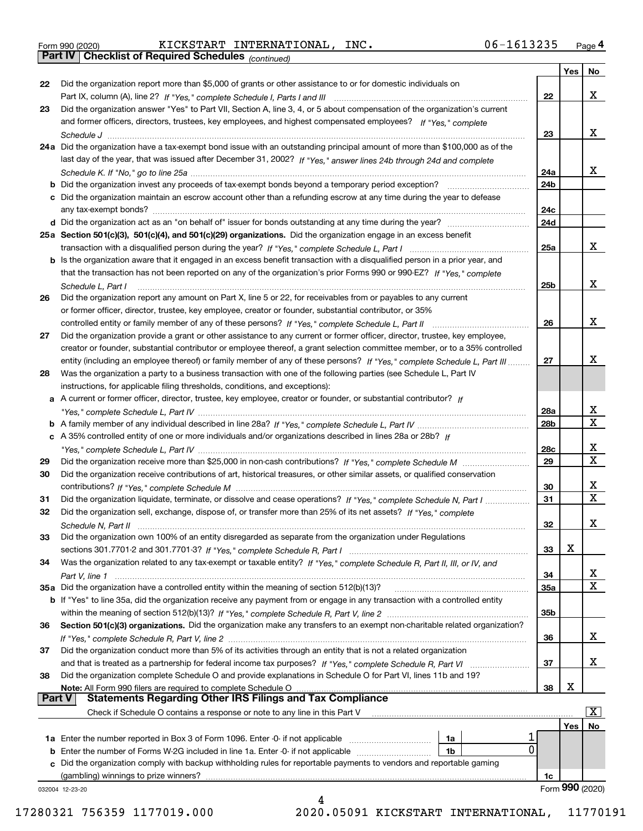|  | Form 990 (2020) |
|--|-----------------|
|  |                 |

Form 990 (2020) KICKSTART INTERNATIONAL,INC. 06-1613235 <sub>Page</sub> 4<br>**Part IV | Checklist of Required Schedules** <sub>(continued)</sub>

*(continued)*

|               |                                                                                                                                    |                 | Yes | No                      |
|---------------|------------------------------------------------------------------------------------------------------------------------------------|-----------------|-----|-------------------------|
| 22            | Did the organization report more than \$5,000 of grants or other assistance to or for domestic individuals on                      |                 |     |                         |
|               |                                                                                                                                    | 22              |     | x                       |
| 23            | Did the organization answer "Yes" to Part VII, Section A, line 3, 4, or 5 about compensation of the organization's current         |                 |     |                         |
|               | and former officers, directors, trustees, key employees, and highest compensated employees? If "Yes," complete                     |                 |     |                         |
|               |                                                                                                                                    | 23              |     | х                       |
|               | 24a Did the organization have a tax-exempt bond issue with an outstanding principal amount of more than \$100,000 as of the        |                 |     |                         |
|               | last day of the year, that was issued after December 31, 2002? If "Yes," answer lines 24b through 24d and complete                 |                 |     |                         |
|               |                                                                                                                                    | 24a             |     | х                       |
|               | <b>b</b> Did the organization invest any proceeds of tax-exempt bonds beyond a temporary period exception?                         | 24b             |     |                         |
|               | c Did the organization maintain an escrow account other than a refunding escrow at any time during the year to defease             |                 |     |                         |
|               |                                                                                                                                    | 24c             |     |                         |
|               |                                                                                                                                    | 24d             |     |                         |
|               | 25a Section 501(c)(3), 501(c)(4), and 501(c)(29) organizations. Did the organization engage in an excess benefit                   |                 |     |                         |
|               |                                                                                                                                    | 25a             |     | х                       |
|               | b Is the organization aware that it engaged in an excess benefit transaction with a disqualified person in a prior year, and       |                 |     |                         |
|               | that the transaction has not been reported on any of the organization's prior Forms 990 or 990-EZ? If "Yes," complete              |                 |     |                         |
|               | Schedule L, Part I                                                                                                                 | 25b             |     | x                       |
| 26            | Did the organization report any amount on Part X, line 5 or 22, for receivables from or payables to any current                    |                 |     |                         |
|               | or former officer, director, trustee, key employee, creator or founder, substantial contributor, or 35%                            |                 |     |                         |
|               |                                                                                                                                    | 26              |     | х                       |
| 27            | Did the organization provide a grant or other assistance to any current or former officer, director, trustee, key employee,        |                 |     |                         |
|               | creator or founder, substantial contributor or employee thereof, a grant selection committee member, or to a 35% controlled        |                 |     |                         |
|               | entity (including an employee thereof) or family member of any of these persons? If "Yes," complete Schedule L, Part III           | 27              |     | Х                       |
| 28            | Was the organization a party to a business transaction with one of the following parties (see Schedule L, Part IV                  |                 |     |                         |
|               | instructions, for applicable filing thresholds, conditions, and exceptions):                                                       |                 |     |                         |
|               | a A current or former officer, director, trustee, key employee, creator or founder, or substantial contributor? If                 |                 |     |                         |
|               |                                                                                                                                    | 28a             |     | х                       |
|               |                                                                                                                                    | 28b             |     | $\mathbf X$             |
|               | c A 35% controlled entity of one or more individuals and/or organizations described in lines 28a or 28b? If                        |                 |     |                         |
|               |                                                                                                                                    | 28c             |     | х                       |
| 29            |                                                                                                                                    | 29              |     | $\overline{\mathbf{x}}$ |
| 30            | Did the organization receive contributions of art, historical treasures, or other similar assets, or qualified conservation        |                 |     |                         |
|               |                                                                                                                                    | 30              |     | х                       |
| 31            | Did the organization liquidate, terminate, or dissolve and cease operations? If "Yes," complete Schedule N, Part I                 | 31              |     | $\mathbf X$             |
| 32            | Did the organization sell, exchange, dispose of, or transfer more than 25% of its net assets? If "Yes," complete                   |                 |     |                         |
|               | Schedule N, Part II                                                                                                                | 32              |     | X                       |
| 33            | Did the organization own 100% of an entity disregarded as separate from the organization under Regulations                         |                 |     |                         |
|               |                                                                                                                                    | 33              | X   |                         |
| 34            | Was the organization related to any tax-exempt or taxable entity? If "Yes," complete Schedule R, Part II, III, or IV, and          |                 |     |                         |
|               | Part V, line 1                                                                                                                     | 34              |     | х                       |
|               | 35a Did the organization have a controlled entity within the meaning of section 512(b)(13)?                                        | <b>35a</b>      |     | $\mathbf X$             |
|               | <b>b</b> If "Yes" to line 35a, did the organization receive any payment from or engage in any transaction with a controlled entity |                 |     |                         |
|               |                                                                                                                                    | 35 <sub>b</sub> |     |                         |
| 36            | Section 501(c)(3) organizations. Did the organization make any transfers to an exempt non-charitable related organization?         |                 |     |                         |
|               |                                                                                                                                    | 36              |     | X                       |
| 37            | Did the organization conduct more than 5% of its activities through an entity that is not a related organization                   |                 |     |                         |
|               |                                                                                                                                    | 37              |     | х                       |
| 38            | Did the organization complete Schedule O and provide explanations in Schedule O for Part VI, lines 11b and 19?                     |                 |     |                         |
|               | Note: All Form 990 filers are required to complete Schedule O                                                                      | 38              | X   |                         |
| <b>Part V</b> | <b>Statements Regarding Other IRS Filings and Tax Compliance</b>                                                                   |                 |     |                         |
|               | Check if Schedule O contains a response or note to any line in this Part V                                                         |                 |     | x                       |
|               |                                                                                                                                    |                 | Yes | No                      |
|               | 1a                                                                                                                                 | 0               |     |                         |
|               | 1b                                                                                                                                 |                 |     |                         |
|               | c Did the organization comply with backup withholding rules for reportable payments to vendors and reportable gaming               |                 |     |                         |
|               | (gambling) winnings to prize winners?                                                                                              | 1c              |     | Form 990 (2020)         |
|               | 032004 12-23-20<br>4                                                                                                               |                 |     |                         |
|               |                                                                                                                                    |                 |     |                         |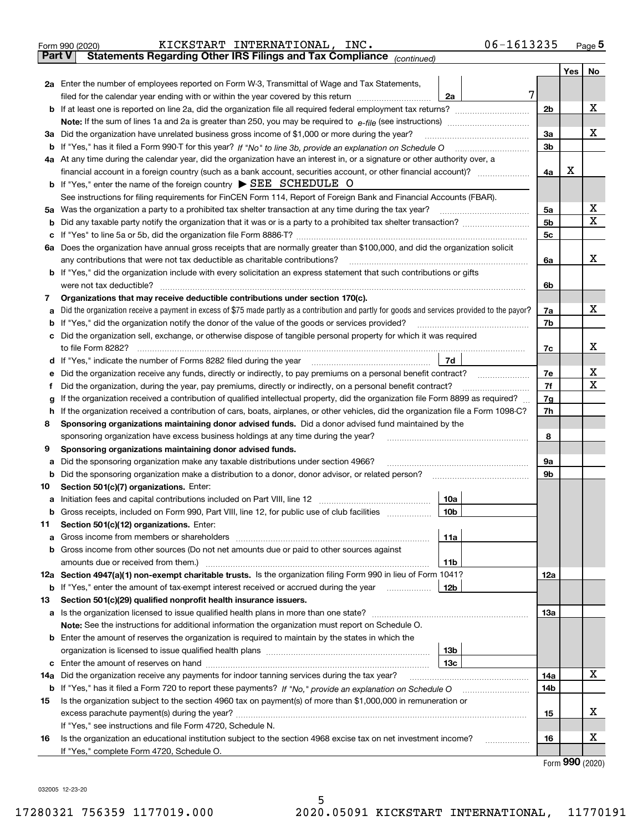| <b>Part V</b> | 06-1613235<br>KICKSTART INTERNATIONAL, INC.<br>Form 990 (2020)<br>Statements Regarding Other IRS Filings and Tax Compliance (continued)         |                |     | $_{\text{Page}}$ 5 |
|---------------|-------------------------------------------------------------------------------------------------------------------------------------------------|----------------|-----|--------------------|
|               |                                                                                                                                                 |                | Yes | No                 |
|               | <b>2a</b> Enter the number of employees reported on Form W-3, Transmittal of Wage and Tax Statements,                                           |                |     |                    |
|               | filed for the calendar year ending with or within the year covered by this return <i>manumumumum</i><br>2a                                      | 7              |     |                    |
| b             |                                                                                                                                                 | 2 <sub>b</sub> |     | x                  |
|               | <b>Note:</b> If the sum of lines 1a and 2a is greater than 250, you may be required to $e$ -file (see instructions) $\ldots$                    |                |     |                    |
|               | 3a Did the organization have unrelated business gross income of \$1,000 or more during the year?                                                | 3a             |     | x                  |
| b             | If "Yes," has it filed a Form 990-T for this year? If "No" to line 3b, provide an explanation on Schedule O                                     | 3b             |     |                    |
|               | 4a At any time during the calendar year, did the organization have an interest in, or a signature or other authority over, a                    |                |     |                    |
|               | financial account in a foreign country (such as a bank account, securities account, or other financial account)?                                | 4a             | X   |                    |
|               | <b>b</b> If "Yes," enter the name of the foreign country $\triangleright$ SEE SCHEDULE O                                                        |                |     |                    |
|               | See instructions for filing requirements for FinCEN Form 114, Report of Foreign Bank and Financial Accounts (FBAR).                             |                |     |                    |
|               | 5a Was the organization a party to a prohibited tax shelter transaction at any time during the tax year?                                        | 5a             |     | x                  |
| b             |                                                                                                                                                 | 5 <sub>b</sub> |     | $\mathbf X$        |
| c             |                                                                                                                                                 | 5 <sub>c</sub> |     |                    |
|               | 6a Does the organization have annual gross receipts that are normally greater than \$100,000, and did the organization solicit                  |                |     |                    |
|               | any contributions that were not tax deductible as charitable contributions?                                                                     | 6a             |     | x                  |
|               | <b>b</b> If "Yes," did the organization include with every solicitation an express statement that such contributions or gifts                   |                |     |                    |
|               | were not tax deductible?                                                                                                                        | 6b             |     |                    |
| 7             | Organizations that may receive deductible contributions under section 170(c).                                                                   |                |     |                    |
| a             | Did the organization receive a payment in excess of \$75 made partly as a contribution and partly for goods and services provided to the payor? | 7a             |     | x                  |
| b             | If "Yes," did the organization notify the donor of the value of the goods or services provided?                                                 | 7b             |     |                    |
| с             | Did the organization sell, exchange, or otherwise dispose of tangible personal property for which it was required                               |                |     |                    |
|               | to file Form 8282?                                                                                                                              | 7c             |     | x                  |
| d             | 7d<br>If "Yes," indicate the number of Forms 8282 filed during the year                                                                         |                |     |                    |
| е             | Did the organization receive any funds, directly or indirectly, to pay premiums on a personal benefit contract?                                 | 7e             |     | X                  |
| f             | Did the organization, during the year, pay premiums, directly or indirectly, on a personal benefit contract?                                    | 7f             |     | $\mathbf X$        |
| g             | If the organization received a contribution of qualified intellectual property, did the organization file Form 8899 as required?                | 7g             |     |                    |
| h             | If the organization received a contribution of cars, boats, airplanes, or other vehicles, did the organization file a Form 1098-C?              | 7h             |     |                    |
| 8             | Sponsoring organizations maintaining donor advised funds. Did a donor advised fund maintained by the                                            |                |     |                    |
|               | sponsoring organization have excess business holdings at any time during the year?                                                              | 8              |     |                    |
| 9             | Sponsoring organizations maintaining donor advised funds.                                                                                       |                |     |                    |
| а             | Did the sponsoring organization make any taxable distributions under section 4966?                                                              | 9а             |     |                    |
| b             | Did the sponsoring organization make a distribution to a donor, donor advisor, or related person?                                               | 9b             |     |                    |
| 10            | Section 501(c)(7) organizations. Enter:                                                                                                         |                |     |                    |
| а             | 10a<br>Initiation fees and capital contributions included on Part VIII, line 12                                                                 |                |     |                    |
| b             | Gross receipts, included on Form 990, Part VIII, line 12, for public use of club facilities<br>10 <sub>b</sub>                                  |                |     |                    |
| 11            | Section 501(c)(12) organizations. Enter:                                                                                                        |                |     |                    |
| а             | 11a                                                                                                                                             |                |     |                    |
| b             | Gross income from other sources (Do not net amounts due or paid to other sources against                                                        |                |     |                    |
|               | 11b                                                                                                                                             |                |     |                    |
|               | 12a Section 4947(a)(1) non-exempt charitable trusts. Is the organization filing Form 990 in lieu of Form 1041?                                  | 12a            |     |                    |
| b             | If "Yes," enter the amount of tax-exempt interest received or accrued during the year<br>12b                                                    |                |     |                    |
| 13            | Section 501(c)(29) qualified nonprofit health insurance issuers.                                                                                |                |     |                    |
| а             |                                                                                                                                                 | 13a            |     |                    |
|               | Note: See the instructions for additional information the organization must report on Schedule O.                                               |                |     |                    |
| b             | Enter the amount of reserves the organization is required to maintain by the states in which the                                                |                |     |                    |
|               | 13b                                                                                                                                             |                |     |                    |
| c             | 13с                                                                                                                                             |                |     |                    |
| 14a           | Did the organization receive any payments for indoor tanning services during the tax year?                                                      | 14a            |     | х                  |
| b             |                                                                                                                                                 | 14b            |     |                    |
| 15            | Is the organization subject to the section 4960 tax on payment(s) of more than \$1,000,000 in remuneration or                                   |                |     |                    |
|               |                                                                                                                                                 | 15             |     | х                  |
|               | If "Yes," see instructions and file Form 4720, Schedule N.                                                                                      |                |     |                    |
| 16            | Is the organization an educational institution subject to the section 4968 excise tax on net investment income?<br>.                            | 16             |     | х                  |
|               | If "Yes," complete Form 4720, Schedule O.                                                                                                       |                |     |                    |

Form (2020) **990**

032005 12-23-20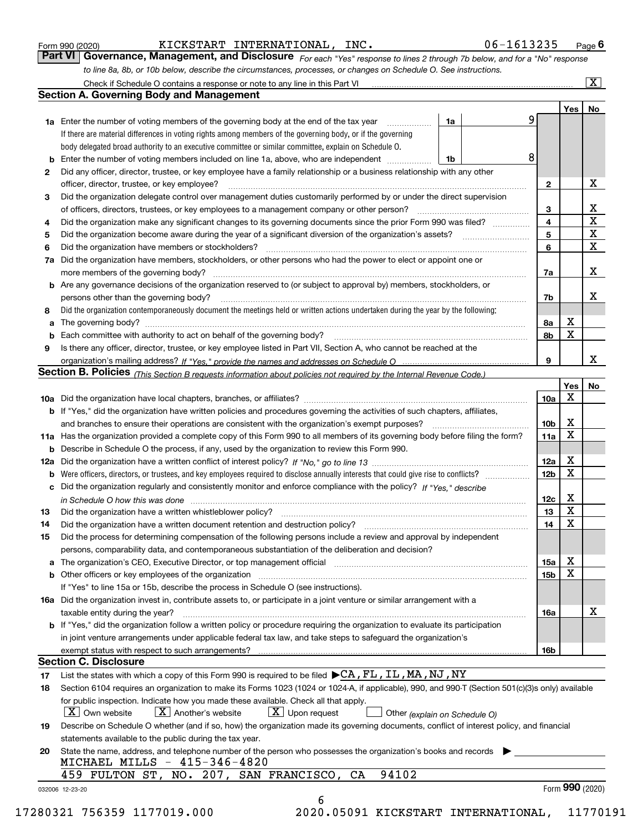|  | Form 990 (2020) |
|--|-----------------|
|  |                 |

KICKSTART INTERNATIONAL, INC. 06-1613235

*For each "Yes" response to lines 2 through 7b below, and for a "No" response to line 8a, 8b, or 10b below, describe the circumstances, processes, or changes on Schedule O. See instructions.* Form 990 (2020) **CONVERT EXTERNATT MEGAL PROPENT 1NC .** CONVERTED 1999 **6** and **CONVERT EXTERNATT PAGE 6**<br>**Part VI Governance, Management, and Disclosure** *For each "Yes" response to lines 2 through 7b below, and for a "* 

|              |                                                                                                                                                                               |    |   |                 | Yes   No    |                 |
|--------------|-------------------------------------------------------------------------------------------------------------------------------------------------------------------------------|----|---|-----------------|-------------|-----------------|
|              | <b>1a</b> Enter the number of voting members of the governing body at the end of the tax year                                                                                 | 1a | 9 |                 |             |                 |
|              | If there are material differences in voting rights among members of the governing body, or if the governing                                                                   |    |   |                 |             |                 |
|              | body delegated broad authority to an executive committee or similar committee, explain on Schedule O.                                                                         |    |   |                 |             |                 |
|              | <b>b</b> Enter the number of voting members included on line 1a, above, who are independent <i>manumum</i>                                                                    | 1b | 8 |                 |             |                 |
| $\mathbf{2}$ | Did any officer, director, trustee, or key employee have a family relationship or a business relationship with any other                                                      |    |   |                 |             |                 |
|              | officer, director, trustee, or key employee?                                                                                                                                  |    |   | $\mathbf{2}$    |             | X               |
| 3            | Did the organization delegate control over management duties customarily performed by or under the direct supervision                                                         |    |   |                 |             |                 |
|              |                                                                                                                                                                               |    |   | 3               |             | X               |
| 4            | Did the organization make any significant changes to its governing documents since the prior Form 990 was filed?                                                              |    |   | $\overline{4}$  |             | $\mathbf X$     |
| 5            |                                                                                                                                                                               |    |   | 5               |             | $\mathbf X$     |
| 6            |                                                                                                                                                                               |    |   | 6               |             | $\mathbf X$     |
| 7a           | Did the organization have members, stockholders, or other persons who had the power to elect or appoint one or                                                                |    |   |                 |             |                 |
|              |                                                                                                                                                                               |    |   | 7a              |             | x               |
|              | <b>b</b> Are any governance decisions of the organization reserved to (or subject to approval by) members, stockholders, or                                                   |    |   |                 |             |                 |
|              | persons other than the governing body?                                                                                                                                        |    |   | 7b              |             | х               |
| 8            | Did the organization contemporaneously document the meetings held or written actions undertaken during the year by the following:                                             |    |   |                 |             |                 |
| a            |                                                                                                                                                                               |    |   | 8a              | X           |                 |
|              |                                                                                                                                                                               |    |   | 8b              | X           |                 |
| 9            | Is there any officer, director, trustee, or key employee listed in Part VII, Section A, who cannot be reached at the                                                          |    |   |                 |             |                 |
|              |                                                                                                                                                                               |    |   | 9               |             | x               |
|              | Section B. Policies (This Section B requests information about policies not required by the Internal Revenue Code.)                                                           |    |   |                 |             |                 |
|              |                                                                                                                                                                               |    |   |                 | Yes         | No              |
|              |                                                                                                                                                                               |    |   | 10a             | Х           |                 |
|              | <b>b</b> If "Yes," did the organization have written policies and procedures governing the activities of such chapters, affiliates,                                           |    |   |                 |             |                 |
|              |                                                                                                                                                                               |    |   |                 | х           |                 |
|              |                                                                                                                                                                               |    |   | 10 <sub>b</sub> | $\mathbf X$ |                 |
|              | 11a Has the organization provided a complete copy of this Form 990 to all members of its governing body before filing the form?                                               |    |   | 11a             |             |                 |
|              | <b>b</b> Describe in Schedule O the process, if any, used by the organization to review this Form 990.                                                                        |    |   |                 | X           |                 |
|              |                                                                                                                                                                               |    |   | 12a             | X           |                 |
| b            |                                                                                                                                                                               |    |   | 12 <sub>b</sub> |             |                 |
|              | c Did the organization regularly and consistently monitor and enforce compliance with the policy? If "Yes." describe                                                          |    |   |                 |             |                 |
|              | in Schedule O how this was done manufactured and continuum control of the Schedule O how this was done manufactured and continuum control of the Schedule O how this was done |    |   | 12c             | X           |                 |
| 13           |                                                                                                                                                                               |    |   | 13              | X           |                 |
| 14           | Did the organization have a written document retention and destruction policy? manufactured and the organization have a written document retention and destruction policy?    |    |   | 14              | X           |                 |
| 15           | Did the process for determining compensation of the following persons include a review and approval by independent                                                            |    |   |                 |             |                 |
|              | persons, comparability data, and contemporaneous substantiation of the deliberation and decision?                                                                             |    |   |                 |             |                 |
|              |                                                                                                                                                                               |    |   | 15a             | X           |                 |
|              |                                                                                                                                                                               |    |   | 15 <sub>b</sub> | X           |                 |
|              | If "Yes" to line 15a or 15b, describe the process in Schedule O (see instructions).                                                                                           |    |   |                 |             |                 |
|              | 16a Did the organization invest in, contribute assets to, or participate in a joint venture or similar arrangement with a                                                     |    |   |                 |             |                 |
|              | taxable entity during the year?                                                                                                                                               |    |   | 16a             |             | X               |
|              | b If "Yes," did the organization follow a written policy or procedure requiring the organization to evaluate its participation                                                |    |   |                 |             |                 |
|              | in joint venture arrangements under applicable federal tax law, and take steps to safeguard the organization's                                                                |    |   |                 |             |                 |
|              | exempt status with respect to such arrangements?                                                                                                                              |    |   | 16 <sub>b</sub> |             |                 |
|              | <b>Section C. Disclosure</b>                                                                                                                                                  |    |   |                 |             |                 |
| 17           | List the states with which a copy of this Form 990 is required to be filed $\blacktriangleright$ CA, FL, IL, MA, NJ, NY                                                       |    |   |                 |             |                 |
| 18           | Section 6104 requires an organization to make its Forms 1023 (1024 or 1024-A, if applicable), 990, and 990-T (Section 501(c)(3)s only) available                              |    |   |                 |             |                 |
|              | for public inspection. Indicate how you made these available. Check all that apply.                                                                                           |    |   |                 |             |                 |
|              | $X$ Upon request<br>$ X $ Own website<br>$X$ Another's website<br>Other (explain on Schedule O)                                                                               |    |   |                 |             |                 |
| 19           | Describe on Schedule O whether (and if so, how) the organization made its governing documents, conflict of interest policy, and financial                                     |    |   |                 |             |                 |
|              | statements available to the public during the tax year.                                                                                                                       |    |   |                 |             |                 |
| 20           | State the name, address, and telephone number of the person who possesses the organization's books and records                                                                |    |   |                 |             |                 |
|              | MICHAEL MILLS - 415-346-4820                                                                                                                                                  |    |   |                 |             |                 |
|              | 94102<br>459 FULTON ST, NO. 207, SAN FRANCISCO, CA                                                                                                                            |    |   |                 |             |                 |
|              |                                                                                                                                                                               |    |   |                 |             | Form 990 (2020) |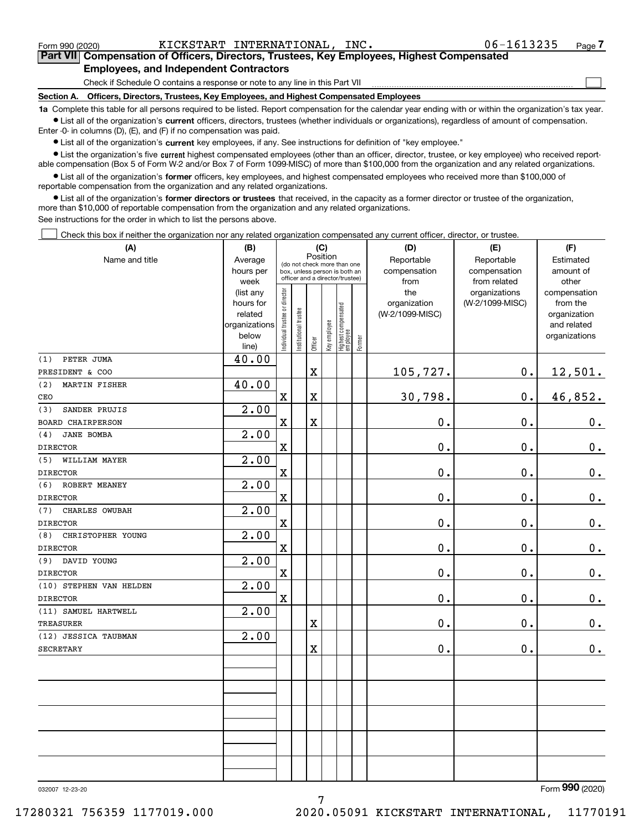Form 990 (2020) KICKSTART INTERNATIONAL,INC. 06-1613235 Page

 $\mathcal{L}^{\text{max}}$ 

**7Part VII Compensation of Officers, Directors, Trustees, Key Employees, Highest Compensated Employees, and Independent Contractors**

Check if Schedule O contains a response or note to any line in this Part VII

**Section A. Officers, Directors, Trustees, Key Employees, and Highest Compensated Employees**

**1a**  Complete this table for all persons required to be listed. Report compensation for the calendar year ending with or within the organization's tax year. **•** List all of the organization's current officers, directors, trustees (whether individuals or organizations), regardless of amount of compensation.

Enter -0- in columns (D), (E), and (F) if no compensation was paid.

 $\bullet$  List all of the organization's  $\,$ current key employees, if any. See instructions for definition of "key employee."

**•** List the organization's five current highest compensated employees (other than an officer, director, trustee, or key employee) who received reportable compensation (Box 5 of Form W-2 and/or Box 7 of Form 1099-MISC) of more than \$100,000 from the organization and any related organizations.

**•** List all of the organization's former officers, key employees, and highest compensated employees who received more than \$100,000 of reportable compensation from the organization and any related organizations.

**former directors or trustees**  ¥ List all of the organization's that received, in the capacity as a former director or trustee of the organization, more than \$10,000 of reportable compensation from the organization and any related organizations.

See instructions for the order in which to list the persons above.

Check this box if neither the organization nor any related organization compensated any current officer, director, or trustee.  $\mathcal{L}^{\text{max}}$ 

| (A)                                      | (B)                    | (C)                            |                                         | (D)                     | (E)          | (F)                              |           |                 |                 |                |
|------------------------------------------|------------------------|--------------------------------|-----------------------------------------|-------------------------|--------------|----------------------------------|-----------|-----------------|-----------------|----------------|
| Name and title                           | Average                |                                | Position<br>(do not check more than one |                         | Reportable   | Reportable                       | Estimated |                 |                 |                |
|                                          | hours per              |                                | box, unless person is both an           |                         | compensation | compensation                     | amount of |                 |                 |                |
|                                          | week                   |                                | officer and a director/trustee)         |                         | from         | from related                     | other     |                 |                 |                |
|                                          | (list any              |                                |                                         |                         |              |                                  |           | the             | organizations   | compensation   |
|                                          | hours for              |                                |                                         |                         |              |                                  |           | organization    | (W-2/1099-MISC) | from the       |
|                                          | related                |                                |                                         |                         |              |                                  |           | (W-2/1099-MISC) |                 | organization   |
|                                          | organizations<br>below |                                |                                         |                         |              |                                  |           |                 |                 | and related    |
|                                          | line)                  | Individual trustee or director | Institutional trustee                   | Officer                 | Key employee | Highest compensated<br> employee | Former    |                 |                 | organizations  |
| PETER JUMA<br>(1)                        | 40.00                  |                                |                                         |                         |              |                                  |           |                 |                 |                |
| PRESIDENT & COO                          |                        |                                |                                         | $\rm X$                 |              |                                  |           | 105,727.        | $0$ .           | 12,501.        |
| (2)<br><b>MARTIN FISHER</b>              | 40.00                  |                                |                                         |                         |              |                                  |           |                 |                 |                |
| CEO                                      |                        | $\rm X$                        |                                         | X                       |              |                                  |           | 30,798.         | 0.              | 46,852.        |
| SANDER PRUJIS<br>(3)                     | 2.00                   |                                |                                         |                         |              |                                  |           |                 |                 |                |
| <b>BOARD CHAIRPERSON</b>                 |                        | $\mathbf X$                    |                                         | $\overline{\textbf{X}}$ |              |                                  |           | 0.              | 0.              | 0.             |
| <b>JANE BOMBA</b><br>(4)                 | 2.00                   |                                |                                         |                         |              |                                  |           |                 |                 |                |
| <b>DIRECTOR</b>                          |                        | $\overline{\textbf{X}}$        |                                         |                         |              |                                  |           | 0.              | 0.              | $\mathbf 0$ .  |
| WILLIAM MAYER<br>(5)                     | 2.00                   |                                |                                         |                         |              |                                  |           |                 |                 |                |
| <b>DIRECTOR</b>                          |                        | $\overline{\mathbf{X}}$        |                                         |                         |              |                                  |           | $0$ .           | $0$ .           | $0_{\cdot}$    |
| (6)<br>ROBERT MEANEY                     | 2.00                   |                                |                                         |                         |              |                                  |           |                 |                 |                |
| <b>DIRECTOR</b>                          |                        | X                              |                                         |                         |              |                                  |           | 0.              | 0.              | $\mathbf 0$ .  |
| (7)<br>CHARLES OWUBAH                    | 2.00                   |                                |                                         |                         |              |                                  |           |                 |                 |                |
| <b>DIRECTOR</b>                          |                        | $\overline{\mathbf{X}}$        |                                         |                         |              |                                  |           | 0.              | 0.              | 0.             |
| CHRISTOPHER YOUNG<br>(8)                 | 2.00                   |                                |                                         |                         |              |                                  |           |                 |                 |                |
| <b>DIRECTOR</b>                          |                        | X                              |                                         |                         |              |                                  |           | 0.              | 0.              | 0.             |
| DAVID YOUNG<br>(9)                       | 2.00                   |                                |                                         |                         |              |                                  |           |                 |                 |                |
| <b>DIRECTOR</b>                          |                        | $\rm X$                        |                                         |                         |              |                                  |           | 0.              | 0.              | $\mathbf 0$ .  |
| (10) STEPHEN VAN HELDEN                  | 2.00                   |                                |                                         |                         |              |                                  |           |                 |                 |                |
| <b>DIRECTOR</b>                          |                        | $\rm X$                        |                                         |                         |              |                                  |           | 0.              | 0.              | $\mathbf 0$ .  |
| (11) SAMUEL HARTWELL                     | $\overline{2.00}$      |                                |                                         |                         |              |                                  |           | 0.              |                 |                |
| <b>TREASURER</b><br>(12) JESSICA TAUBMAN | 2.00                   |                                |                                         | X                       |              |                                  |           |                 | 0.              | 0.             |
| SECRETARY                                |                        |                                |                                         | X                       |              |                                  |           | 0.              | 0.              | $0_{.}$        |
|                                          |                        |                                |                                         |                         |              |                                  |           |                 |                 |                |
|                                          |                        |                                |                                         |                         |              |                                  |           |                 |                 |                |
|                                          |                        |                                |                                         |                         |              |                                  |           |                 |                 |                |
|                                          |                        |                                |                                         |                         |              |                                  |           |                 |                 |                |
|                                          |                        |                                |                                         |                         |              |                                  |           |                 |                 |                |
|                                          |                        |                                |                                         |                         |              |                                  |           |                 |                 |                |
|                                          |                        |                                |                                         |                         |              |                                  |           |                 |                 |                |
|                                          |                        |                                |                                         |                         |              |                                  |           |                 |                 |                |
|                                          |                        |                                |                                         |                         |              |                                  |           |                 |                 |                |
|                                          |                        |                                |                                         |                         |              |                                  |           |                 |                 | $\overline{2}$ |
|                                          |                        |                                |                                         |                         |              |                                  |           |                 |                 |                |

7

032007 12-23-20

Form (2020) **990**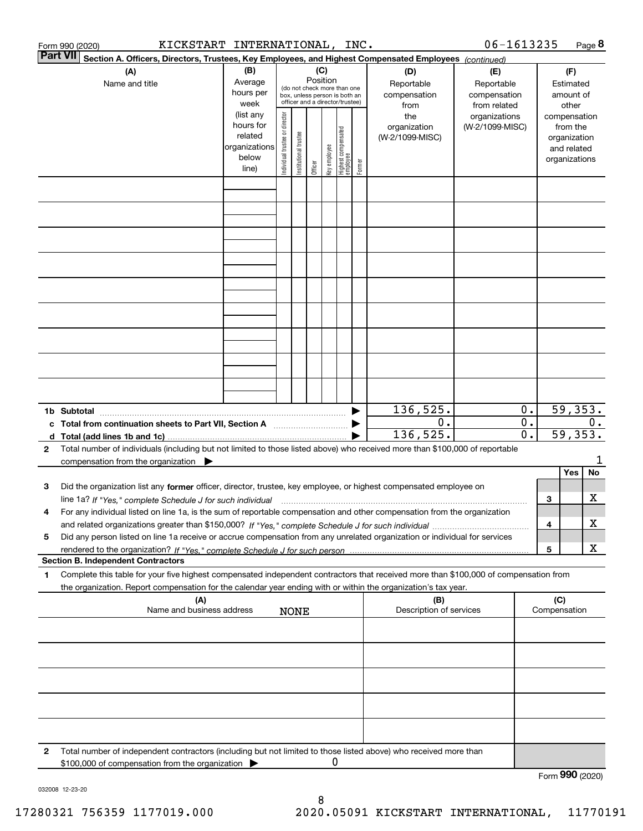|              | KICKSTART INTERNATIONAL, INC.<br>Form 990 (2020)                                                                                                                                                                                                       |                                                         |                                |                       |                                                                                                                    |              |                                  |        |                                                  | 06-1613235                                                         |                                      |                         |                                         | Page 8  |
|--------------|--------------------------------------------------------------------------------------------------------------------------------------------------------------------------------------------------------------------------------------------------------|---------------------------------------------------------|--------------------------------|-----------------------|--------------------------------------------------------------------------------------------------------------------|--------------|----------------------------------|--------|--------------------------------------------------|--------------------------------------------------------------------|--------------------------------------|-------------------------|-----------------------------------------|---------|
|              | <b>Part VII</b><br>Section A. Officers, Directors, Trustees, Key Employees, and Highest Compensated Employees (continued)                                                                                                                              |                                                         |                                |                       |                                                                                                                    |              |                                  |        |                                                  |                                                                    |                                      |                         |                                         |         |
|              | (A)<br>Name and title                                                                                                                                                                                                                                  | (B)<br>Average<br>hours per<br>week<br>(list any        |                                |                       | (C)<br>Position<br>(do not check more than one<br>box, unless person is both an<br>officer and a director/trustee) |              |                                  |        | (D)<br>Reportable<br>compensation<br>from<br>the | (E)<br>Reportable<br>compensation<br>from related<br>organizations |                                      | compensation            | (F)<br>Estimated<br>amount of<br>other  |         |
|              |                                                                                                                                                                                                                                                        | hours for<br>related<br>organizations<br>below<br>line) | Individual trustee or director | Institutional trustee | Officer                                                                                                            | Key employee | Highest compensated<br> employee | Former | organization<br>(W-2/1099-MISC)                  | (W-2/1099-MISC)                                                    |                                      | organizations           | from the<br>organization<br>and related |         |
|              |                                                                                                                                                                                                                                                        |                                                         |                                |                       |                                                                                                                    |              |                                  |        |                                                  |                                                                    |                                      |                         |                                         |         |
|              |                                                                                                                                                                                                                                                        |                                                         |                                |                       |                                                                                                                    |              |                                  |        |                                                  |                                                                    |                                      |                         |                                         |         |
|              |                                                                                                                                                                                                                                                        |                                                         |                                |                       |                                                                                                                    |              |                                  |        |                                                  |                                                                    |                                      |                         |                                         |         |
|              |                                                                                                                                                                                                                                                        |                                                         |                                |                       |                                                                                                                    |              |                                  |        |                                                  |                                                                    |                                      |                         |                                         |         |
|              |                                                                                                                                                                                                                                                        |                                                         |                                |                       |                                                                                                                    |              |                                  |        |                                                  |                                                                    |                                      |                         |                                         |         |
|              | 1b Subtotal                                                                                                                                                                                                                                            |                                                         |                                |                       |                                                                                                                    |              |                                  |        | 136,525.                                         |                                                                    | 0.                                   |                         | 59,353.                                 |         |
|              | c Total from continuation sheets to Part VII, Section A [111] [120] [20]                                                                                                                                                                               |                                                         |                                |                       |                                                                                                                    |              |                                  |        | 0.<br>136,525.                                   |                                                                    | $\overline{0}$ .<br>$\overline{0}$ . | 0.<br>59, 353.          |                                         |         |
| $\mathbf{2}$ | Total number of individuals (including but not limited to those listed above) who received more than \$100,000 of reportable<br>compensation from the organization                                                                                     |                                                         |                                |                       |                                                                                                                    |              |                                  |        |                                                  |                                                                    |                                      |                         |                                         |         |
| з            | Did the organization list any former officer, director, trustee, key employee, or highest compensated employee on                                                                                                                                      |                                                         |                                |                       |                                                                                                                    |              |                                  |        |                                                  |                                                                    |                                      | 3                       | Yes                                     | No<br>х |
| 4            | line 1a? If "Yes," complete Schedule J for such individual manumental content to the content of the complete Schedule<br>For any individual listed on line 1a, is the sum of reportable compensation and other compensation from the organization      |                                                         |                                |                       |                                                                                                                    |              |                                  |        |                                                  |                                                                    |                                      | 4                       |                                         | x       |
| 5            | Did any person listed on line 1a receive or accrue compensation from any unrelated organization or individual for services<br><b>Section B. Independent Contractors</b>                                                                                |                                                         |                                |                       |                                                                                                                    |              |                                  |        |                                                  |                                                                    |                                      | $\overline{\mathbf{5}}$ |                                         | x       |
| 1            | Complete this table for your five highest compensated independent contractors that received more than \$100,000 of compensation from<br>the organization. Report compensation for the calendar year ending with or within the organization's tax year. |                                                         |                                |                       |                                                                                                                    |              |                                  |        |                                                  |                                                                    |                                      |                         |                                         |         |
|              | (A)<br>Name and business address                                                                                                                                                                                                                       |                                                         |                                | <b>NONE</b>           |                                                                                                                    |              |                                  |        | (B)<br>Description of services                   |                                                                    |                                      | (C)<br>Compensation     |                                         |         |
|              |                                                                                                                                                                                                                                                        |                                                         |                                |                       |                                                                                                                    |              |                                  |        |                                                  |                                                                    |                                      |                         |                                         |         |
|              |                                                                                                                                                                                                                                                        |                                                         |                                |                       |                                                                                                                    |              |                                  |        |                                                  |                                                                    |                                      |                         |                                         |         |
|              |                                                                                                                                                                                                                                                        |                                                         |                                |                       |                                                                                                                    |              |                                  |        |                                                  |                                                                    |                                      |                         |                                         |         |
| $\mathbf{2}$ | Total number of independent contractors (including but not limited to those listed above) who received more than<br>\$100,000 of compensation from the organization                                                                                    |                                                         |                                |                       |                                                                                                                    | 0            |                                  |        |                                                  |                                                                    |                                      |                         |                                         |         |
|              |                                                                                                                                                                                                                                                        |                                                         |                                |                       |                                                                                                                    |              |                                  |        |                                                  |                                                                    |                                      | Form 990 (2020)         |                                         |         |

032008 12-23-20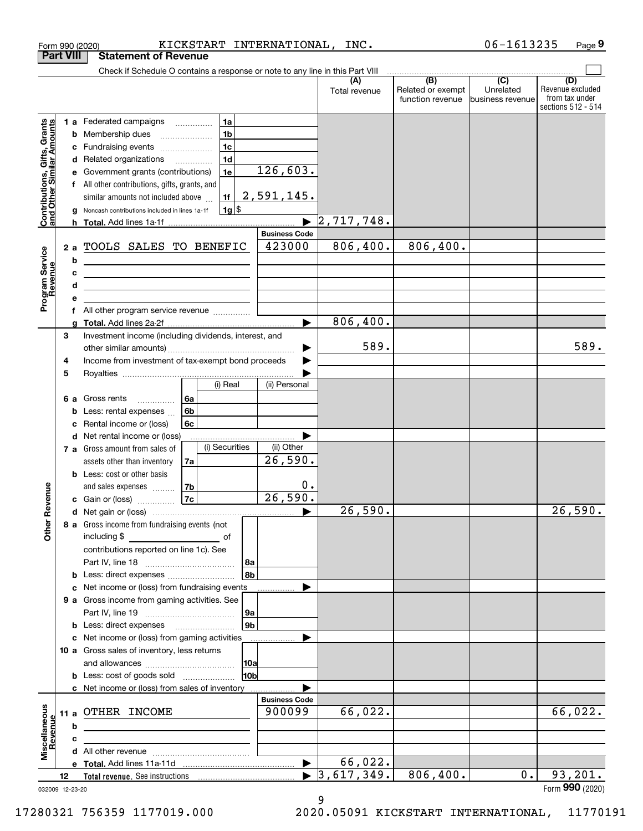| <b>Part VIII</b>                                                             |             |                  | <b>Statement of Revenue</b>                                                                                                                                                                                                                                                                                                                                                                                                                                                               |                              |                                                                     |                |                                |                      |                                                               |                             |                                                                 |
|------------------------------------------------------------------------------|-------------|------------------|-------------------------------------------------------------------------------------------------------------------------------------------------------------------------------------------------------------------------------------------------------------------------------------------------------------------------------------------------------------------------------------------------------------------------------------------------------------------------------------------|------------------------------|---------------------------------------------------------------------|----------------|--------------------------------|----------------------|---------------------------------------------------------------|-----------------------------|-----------------------------------------------------------------|
|                                                                              |             |                  | Check if Schedule O contains a response or note to any line in this Part VIII                                                                                                                                                                                                                                                                                                                                                                                                             |                              |                                                                     |                |                                |                      |                                                               |                             |                                                                 |
|                                                                              |             |                  |                                                                                                                                                                                                                                                                                                                                                                                                                                                                                           |                              |                                                                     |                |                                | (A)<br>Total revenue | (B)<br>Related or exempt<br>function revenue business revenue | $\overline{C}$<br>Unrelated | (D)<br>Revenue excluded<br>from tax under<br>sections 512 - 514 |
| , Gifts, Grants<br>ullar Amounts<br>Contributions, Gift<br>and Other Similar |             | е<br>g           | 1 a Federated campaigns<br><b>b</b> Membership dues<br>c Fundraising events<br>d Related organizations<br>Government grants (contributions)<br>f All other contributions, gifts, grants, and<br>similar amounts not included above<br>Noncash contributions included in lines 1a-1f<br>h Total. Add lines 1a-1f                                                                                                                                                                           |                              | 1a<br>1 <sub>b</sub><br>1c<br>1 <sub>d</sub><br>1e<br>1f<br>$1g$ \$ |                | 126,603.<br>2,591,145.         | 2,717,748.           |                                                               |                             |                                                                 |
|                                                                              |             |                  |                                                                                                                                                                                                                                                                                                                                                                                                                                                                                           |                              |                                                                     |                | <b>Business Code</b>           |                      |                                                               |                             |                                                                 |
| Program Service<br>Revenue<br>evenue                                         |             | b<br>c<br>d<br>е | 2 a TOOLS SALES TO BENEFIC<br><u> 1989 - Johann Barn, amerikansk politiker (</u><br><u>and the contract of the contract of the contract of the contract of the contract of the contract of the contract of the contract of the contract of the contract of the contract of the contract of the contract of the contr</u><br><u> 1989 - Johann Stoff, deutscher Stoffen und der Stoffen und der Stoffen und der Stoffen und der Stoffen und der</u><br>f All other program service revenue |                              |                                                                     | 423000         | 806, 400.                      | 806,400.             |                                                               |                             |                                                                 |
|                                                                              |             | g                |                                                                                                                                                                                                                                                                                                                                                                                                                                                                                           |                              |                                                                     |                |                                | 806,400.             |                                                               |                             |                                                                 |
|                                                                              | 3<br>4<br>5 |                  | Investment income (including dividends, interest, and<br>Income from investment of tax-exempt bond proceeds                                                                                                                                                                                                                                                                                                                                                                               |                              |                                                                     |                |                                | 589.                 |                                                               |                             | 589.                                                            |
|                                                                              |             |                  |                                                                                                                                                                                                                                                                                                                                                                                                                                                                                           |                              | (i) Real                                                            |                | (ii) Personal                  |                      |                                                               |                             |                                                                 |
|                                                                              |             | 6а<br>b<br>c     | Gross rents<br>$\overline{\phantom{a}}$<br>Less: rental expenses<br>Rental income or (loss)                                                                                                                                                                                                                                                                                                                                                                                               | l 6a<br>6 <sub>b</sub><br>6c |                                                                     |                |                                |                      |                                                               |                             |                                                                 |
|                                                                              |             |                  | d Net rental income or (loss)                                                                                                                                                                                                                                                                                                                                                                                                                                                             |                              |                                                                     |                |                                |                      |                                                               |                             |                                                                 |
|                                                                              |             |                  | 7 a Gross amount from sales of<br>assets other than inventory                                                                                                                                                                                                                                                                                                                                                                                                                             | 7a                           | (i) Securities                                                      |                | (ii) Other<br>26,590.          |                      |                                                               |                             |                                                                 |
| Revenue                                                                      |             |                  | <b>b</b> Less: cost or other basis<br>and sales expenses<br><b>c</b> Gain or (loss)                                                                                                                                                                                                                                                                                                                                                                                                       | 7b<br>7c                     |                                                                     |                | 0.<br>26,590.                  |                      |                                                               |                             |                                                                 |
|                                                                              |             |                  |                                                                                                                                                                                                                                                                                                                                                                                                                                                                                           |                              |                                                                     |                |                                | 26,590.              |                                                               |                             | $\overline{26,590}$ .                                           |
| Other                                                                        |             |                  | 8 a Gross income from fundraising events (not<br>including \$<br>contributions reported on line 1c). See<br><b>b</b> Less: direct expenses <i>manually contained</i>                                                                                                                                                                                                                                                                                                                      |                              | of                                                                  | 8a<br>8b       |                                |                      |                                                               |                             |                                                                 |
|                                                                              |             | с                | Net income or (loss) from fundraising events                                                                                                                                                                                                                                                                                                                                                                                                                                              |                              |                                                                     |                |                                |                      |                                                               |                             |                                                                 |
|                                                                              |             |                  | 9 a Gross income from gaming activities. See                                                                                                                                                                                                                                                                                                                                                                                                                                              |                              |                                                                     | 9а             |                                |                      |                                                               |                             |                                                                 |
|                                                                              |             |                  | <b>b</b> Less: direct expenses <b>manually</b>                                                                                                                                                                                                                                                                                                                                                                                                                                            |                              |                                                                     | 9 <sub>b</sub> |                                |                      |                                                               |                             |                                                                 |
|                                                                              |             |                  | c Net income or (loss) from gaming activities<br>10 a Gross sales of inventory, less returns                                                                                                                                                                                                                                                                                                                                                                                              |                              |                                                                     | 10a            |                                |                      |                                                               |                             |                                                                 |
|                                                                              |             |                  | <b>b</b> Less: cost of goods sold                                                                                                                                                                                                                                                                                                                                                                                                                                                         |                              |                                                                     | 10ь            |                                |                      |                                                               |                             |                                                                 |
|                                                                              |             |                  | c Net income or (loss) from sales of inventory                                                                                                                                                                                                                                                                                                                                                                                                                                            |                              |                                                                     |                |                                |                      |                                                               |                             |                                                                 |
| Miscellaneous<br>Revenue                                                     |             | b                | 11 a OTHER INCOME<br>the control of the control of the control of the control of the control of the control of                                                                                                                                                                                                                                                                                                                                                                            |                              |                                                                     |                | <b>Business Code</b><br>900099 | 66,022.              |                                                               |                             | 66,022.                                                         |
|                                                                              |             | c                |                                                                                                                                                                                                                                                                                                                                                                                                                                                                                           |                              |                                                                     |                |                                |                      |                                                               |                             |                                                                 |
|                                                                              |             |                  |                                                                                                                                                                                                                                                                                                                                                                                                                                                                                           |                              |                                                                     |                |                                |                      |                                                               |                             |                                                                 |
|                                                                              |             |                  |                                                                                                                                                                                                                                                                                                                                                                                                                                                                                           |                              |                                                                     |                |                                | 66,022.              |                                                               |                             |                                                                 |
|                                                                              | 12          |                  |                                                                                                                                                                                                                                                                                                                                                                                                                                                                                           |                              |                                                                     |                |                                | 3,617,349.           | 806,400.                                                      | 0.                          | 93, 201.                                                        |
| 032009 12-23-20                                                              |             |                  |                                                                                                                                                                                                                                                                                                                                                                                                                                                                                           |                              |                                                                     |                |                                | 9                    |                                                               |                             | Form 990 (2020)                                                 |

Form 990 (2020) KICKSTART INTERNATIONAL,INC. 06-1613235 Page

**9**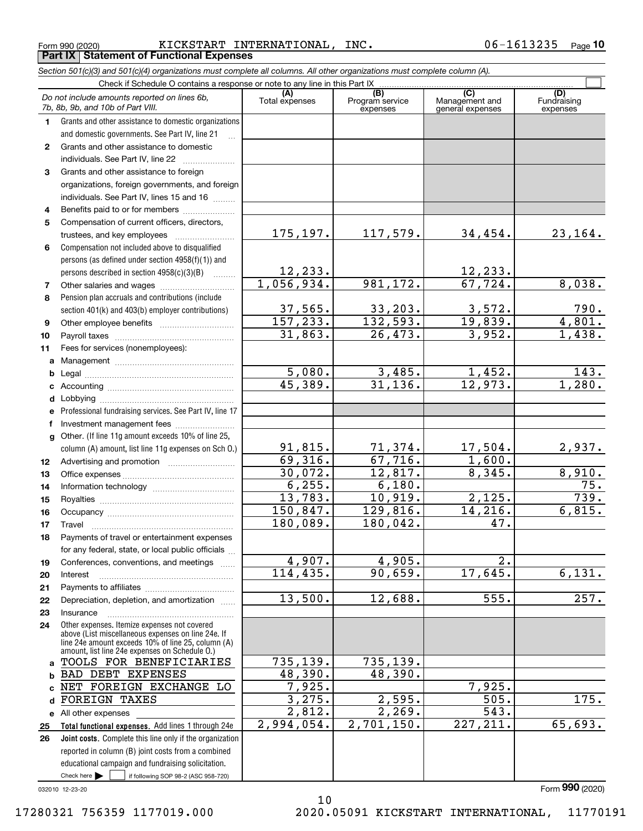Form 990 (2020) <code>KICKSTART INTERNATIONAL, INC</code> . 0 6-1613235 Page **Part IX Statement of Functional Expenses**

**10**

|          | Section 501(c)(3) and 501(c)(4) organizations must complete all columns. All other organizations must complete column (A).                                                                                 |                              |                                    |                                           |                                |
|----------|------------------------------------------------------------------------------------------------------------------------------------------------------------------------------------------------------------|------------------------------|------------------------------------|-------------------------------------------|--------------------------------|
|          | Check if Schedule O contains a response or note to any line in this Part IX                                                                                                                                |                              |                                    |                                           |                                |
|          | Do not include amounts reported on lines 6b,<br>7b, 8b, 9b, and 10b of Part VIII.                                                                                                                          | (A)<br>Total expenses        | (B)<br>Program service<br>expenses | (C)<br>Management and<br>general expenses | (D)<br>Fundraising<br>expenses |
| 1.       | Grants and other assistance to domestic organizations                                                                                                                                                      |                              |                                    |                                           |                                |
|          | and domestic governments. See Part IV, line 21                                                                                                                                                             |                              |                                    |                                           |                                |
| 2        | Grants and other assistance to domestic                                                                                                                                                                    |                              |                                    |                                           |                                |
|          | individuals. See Part IV, line 22                                                                                                                                                                          |                              |                                    |                                           |                                |
| 3        | Grants and other assistance to foreign                                                                                                                                                                     |                              |                                    |                                           |                                |
|          | organizations, foreign governments, and foreign                                                                                                                                                            |                              |                                    |                                           |                                |
|          | individuals. See Part IV, lines 15 and 16                                                                                                                                                                  |                              |                                    |                                           |                                |
| 4        | Benefits paid to or for members                                                                                                                                                                            |                              |                                    |                                           |                                |
| 5        | Compensation of current officers, directors,                                                                                                                                                               |                              |                                    |                                           |                                |
|          | trustees, and key employees                                                                                                                                                                                | 175,197.                     | 117,579.                           | 34,454.                                   | 23,164.                        |
| 6        | Compensation not included above to disqualified                                                                                                                                                            |                              |                                    |                                           |                                |
|          | persons (as defined under section 4958(f)(1)) and                                                                                                                                                          |                              |                                    |                                           |                                |
|          | persons described in section 4958(c)(3)(B)                                                                                                                                                                 | <u>12,233.</u><br>1,056,934. | 981, 172.                          | 12,233.<br>67, 724.                       | 8,038.                         |
| 7        |                                                                                                                                                                                                            |                              |                                    |                                           |                                |
| 8        | Pension plan accruals and contributions (include                                                                                                                                                           | 37,565.                      | 33, 203.                           | 3,572.                                    |                                |
|          | section 401(k) and 403(b) employer contributions)                                                                                                                                                          | 157, 233.                    | 132,593.                           | 19,839.                                   | $\frac{790}{4,801}$ .          |
| 9        |                                                                                                                                                                                                            | 31,863.                      | 26, 473.                           | 3,952.                                    | 1,438.                         |
| 10<br>11 | Fees for services (nonemployees):                                                                                                                                                                          |                              |                                    |                                           |                                |
|          |                                                                                                                                                                                                            |                              |                                    |                                           |                                |
| a<br>b   |                                                                                                                                                                                                            | 5,080.                       | 3,485.                             | 1,452.                                    | 143.                           |
| c        |                                                                                                                                                                                                            | 45,389.                      | 31, 136.                           | $\overline{12,973}$ .                     | 1,280.                         |
|          |                                                                                                                                                                                                            |                              |                                    |                                           |                                |
| е        | Professional fundraising services. See Part IV, line 17                                                                                                                                                    |                              |                                    |                                           |                                |
| f        | Investment management fees                                                                                                                                                                                 |                              |                                    |                                           |                                |
|          | g Other. (If line 11g amount exceeds 10% of line 25,                                                                                                                                                       |                              |                                    |                                           |                                |
|          | column (A) amount, list line 11g expenses on Sch O.)                                                                                                                                                       | 91,815.                      | 71, 374.                           | 17,504.                                   | 2,937.                         |
| 12       |                                                                                                                                                                                                            | 69,316.                      | 67,716.                            | 1,600.                                    |                                |
| 13       |                                                                                                                                                                                                            | 30,072.                      | $\overline{12,817}.$               | 8,345.                                    | 8,910.                         |
| 14       |                                                                                                                                                                                                            | 6, 255.                      | 6,180.                             |                                           | 75.                            |
| 15       |                                                                                                                                                                                                            | 13,783.                      | 10,919.                            | 2,125.                                    | 739.                           |
| 16       |                                                                                                                                                                                                            | 150,847.                     | 129,816.                           | 14,216.                                   | 6,815.                         |
| 17       |                                                                                                                                                                                                            | 180,089.                     | 180,042.                           | 47.                                       |                                |
| 18       | Payments of travel or entertainment expenses                                                                                                                                                               |                              |                                    |                                           |                                |
|          | for any federal, state, or local public officials                                                                                                                                                          |                              |                                    |                                           |                                |
| 19       | Conferences, conventions, and meetings                                                                                                                                                                     | 4,907.                       | 4,905.                             | 2.                                        |                                |
| 20       | Interest                                                                                                                                                                                                   | 114, 435.                    | 90,659.                            | 17,645.                                   | 6,131.                         |
| 21       |                                                                                                                                                                                                            |                              |                                    |                                           |                                |
| 22       | Depreciation, depletion, and amortization                                                                                                                                                                  | 13,500.                      | 12,688.                            | 555.                                      | 257.                           |
| 23       | Insurance                                                                                                                                                                                                  |                              |                                    |                                           |                                |
| 24       | Other expenses. Itemize expenses not covered<br>above (List miscellaneous expenses on line 24e. If<br>line 24e amount exceeds 10% of line 25, column (A)<br>amount, list line 24e expenses on Schedule O.) |                              |                                    |                                           |                                |
| a        | TOOLS FOR BENEFICIARIES                                                                                                                                                                                    | 735, 139.                    | 735, 139.                          |                                           |                                |
| b        | BAD DEBT EXPENSES                                                                                                                                                                                          | 48,390.                      | 48,390.                            |                                           |                                |
| c        | NET FOREIGN EXCHANGE LO                                                                                                                                                                                    | 7,925.                       |                                    | 7,925.                                    |                                |
| d        | <b>FOREIGN TAXES</b>                                                                                                                                                                                       | 3,275.                       | 2,595.                             | 505.                                      | 175.                           |
|          | e All other expenses                                                                                                                                                                                       | 2,812.                       | 2,269.                             | $\overline{543}$ .                        |                                |
| 25       | Total functional expenses. Add lines 1 through 24e                                                                                                                                                         | 2,994,054.                   | 2,701,150.                         | 227, 211.                                 | 65,693.                        |
| 26       | <b>Joint costs.</b> Complete this line only if the organization                                                                                                                                            |                              |                                    |                                           |                                |
|          | reported in column (B) joint costs from a combined                                                                                                                                                         |                              |                                    |                                           |                                |
|          | educational campaign and fundraising solicitation.                                                                                                                                                         |                              |                                    |                                           |                                |
|          | Check here $\blacktriangleright$<br>if following SOP 98-2 (ASC 958-720)                                                                                                                                    |                              |                                    |                                           |                                |

032010 12-23-20

Form (2020) **990**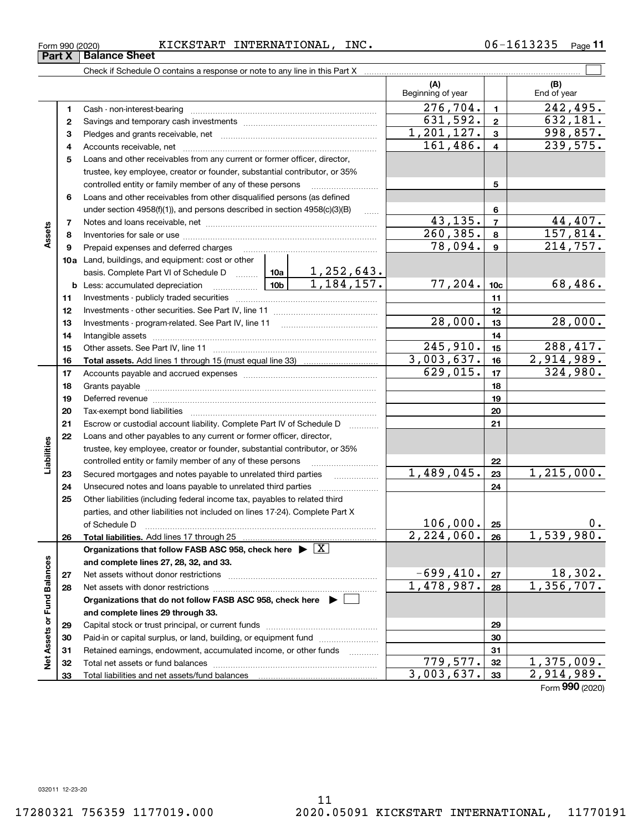$779,577.$   $32$  | 1,375,009.  $3,003,637.$   $33$   $2,914,989.$ 

**Part X** | Balance Sheet

|                             |    |                                                                                                                                                                                                                                |         |                     | (A)<br>Beginning of year |                         | (B)<br>End of year      |
|-----------------------------|----|--------------------------------------------------------------------------------------------------------------------------------------------------------------------------------------------------------------------------------|---------|---------------------|--------------------------|-------------------------|-------------------------|
|                             | 1  | Cash - non-interest-bearing                                                                                                                                                                                                    |         |                     | $\overline{276}$ , 704.  | $\mathbf{1}$            | $\overline{242}$ , 495. |
|                             | 2  |                                                                                                                                                                                                                                |         |                     | 631,592.                 | $\mathbf 2$             | 632, 181.               |
|                             | 3  |                                                                                                                                                                                                                                |         |                     | 1,201,127.               | $\mathbf{3}$            | 998,857.                |
|                             | 4  |                                                                                                                                                                                                                                |         |                     | 161,486.                 | $\overline{\mathbf{4}}$ | 239,575.                |
|                             | 5  | Loans and other receivables from any current or former officer, director,                                                                                                                                                      |         |                     |                          |                         |                         |
|                             |    | trustee, key employee, creator or founder, substantial contributor, or 35%                                                                                                                                                     |         |                     |                          |                         |                         |
|                             |    | controlled entity or family member of any of these persons                                                                                                                                                                     |         |                     |                          | 5                       |                         |
|                             | 6  | Loans and other receivables from other disqualified persons (as defined                                                                                                                                                        |         |                     |                          |                         |                         |
|                             |    | under section 4958(f)(1)), and persons described in section 4958(c)(3)(B)                                                                                                                                                      |         | .                   |                          | 6                       |                         |
|                             | 7  |                                                                                                                                                                                                                                |         |                     | 43, 135.                 | $\overline{7}$          | 44, 407.                |
| Assets                      | 8  |                                                                                                                                                                                                                                |         |                     | 260, 385.                | 8                       | 157,814.                |
|                             | 9  | Prepaid expenses and deferred charges                                                                                                                                                                                          |         | 78,094.             | $\mathbf{9}$             | 214,757.                |                         |
|                             |    | 10a Land, buildings, and equipment: cost or other                                                                                                                                                                              |         |                     |                          |                         |                         |
|                             |    | basis. Complete Part VI of Schedule D $\begin{array}{ c c c c c }\n\hline\n1,252,643. \\ \hline\n\text{Less: accumulated depreciation} & \text{10b} & 1,184,157.\n\hline\n\end{array}$                                         |         |                     |                          |                         |                         |
|                             |    | $\boxed{10b}$<br><b>b</b> Less: accumulated depreciation                                                                                                                                                                       |         |                     | 77,204.                  | 10 <sub>c</sub>         | 68,486.                 |
|                             | 11 |                                                                                                                                                                                                                                |         |                     |                          | 11                      |                         |
|                             | 12 |                                                                                                                                                                                                                                |         | 12                  |                          |                         |                         |
|                             | 13 | Investments - program-related. See Part IV, line 11                                                                                                                                                                            | 28,000. | 13                  | 28,000.                  |                         |                         |
|                             | 14 |                                                                                                                                                                                                                                |         |                     | 14                       |                         |                         |
|                             | 15 |                                                                                                                                                                                                                                |         |                     | $\overline{245,910}$ .   | 15                      | 288,417.                |
|                             | 16 |                                                                                                                                                                                                                                |         |                     | 3,003,637.               | 16                      | 2,914,989.              |
|                             | 17 |                                                                                                                                                                                                                                |         |                     | 629,015.                 | 17                      | 324,980.                |
|                             | 18 |                                                                                                                                                                                                                                |         | 18                  |                          |                         |                         |
|                             | 19 | Deferred revenue manual contracts and contracts are contracted and contract and contract are contracted and contract are contracted and contract are contracted and contract are contracted and contract are contracted and co |         |                     |                          | 19                      |                         |
|                             | 20 |                                                                                                                                                                                                                                |         |                     |                          | 20                      |                         |
|                             | 21 | Escrow or custodial account liability. Complete Part IV of Schedule D                                                                                                                                                          |         | .                   |                          | 21                      |                         |
|                             | 22 | Loans and other payables to any current or former officer, director,                                                                                                                                                           |         |                     |                          |                         |                         |
|                             |    | trustee, key employee, creator or founder, substantial contributor, or 35%                                                                                                                                                     |         |                     |                          |                         |                         |
| Liabilities                 |    | controlled entity or family member of any of these persons                                                                                                                                                                     |         |                     |                          | 22                      |                         |
|                             | 23 | Secured mortgages and notes payable to unrelated third parties                                                                                                                                                                 |         |                     | 1,489,045.               | 23                      | $\overline{1,215},000.$ |
|                             | 24 | Unsecured notes and loans payable to unrelated third parties                                                                                                                                                                   |         |                     |                          | 24                      |                         |
|                             | 25 | Other liabilities (including federal income tax, payables to related third                                                                                                                                                     |         |                     |                          |                         |                         |
|                             |    | parties, and other liabilities not included on lines 17-24). Complete Part X                                                                                                                                                   |         |                     |                          |                         |                         |
|                             |    | of Schedule D                                                                                                                                                                                                                  |         |                     | 106,000.                 | 25                      |                         |
|                             | 26 | Total liabilities. Add lines 17 through 25                                                                                                                                                                                     |         |                     | 2,224,060.               | 26                      | 1,539,980.              |
|                             |    | Organizations that follow FASB ASC 958, check here $\blacktriangleright \boxed{X}$                                                                                                                                             |         |                     |                          |                         |                         |
|                             |    | and complete lines 27, 28, 32, and 33.                                                                                                                                                                                         |         |                     |                          |                         |                         |
|                             | 27 | Net assets without donor restrictions                                                                                                                                                                                          |         |                     | $-699,410.$              | 27                      | 18,302.<br>1,356,707.   |
|                             | 28 | Net assets with donor restrictions                                                                                                                                                                                             |         |                     | 1,478,987.               | 28                      |                         |
|                             |    | Organizations that do not follow FASB ASC 958, check here $\blacktriangleright$                                                                                                                                                |         |                     |                          |                         |                         |
| Net Assets or Fund Balances |    | and complete lines 29 through 33.                                                                                                                                                                                              |         |                     |                          |                         |                         |
|                             | 29 |                                                                                                                                                                                                                                |         |                     |                          | 29                      |                         |
|                             | 30 | Paid-in or capital surplus, or land, building, or equipment fund                                                                                                                                                               |         |                     |                          | 30                      |                         |
|                             | 31 | Retained earnings, endowment, accumulated income, or other funds                                                                                                                                                               |         | 1.1.1.1.1.1.1.1.1.1 |                          | 31                      |                         |
|                             | 32 |                                                                                                                                                                                                                                |         |                     | 779,577.                 | 32                      | 1,375,009.              |

Total liabilities and net assets/fund balances

Form 990 (2020) <code>KICKSTART INTERNATIONAL, INC</code> . 0 6-1613235 Page

**11**

Form (2020) **990**

 $\mathcal{L}^{\text{max}}$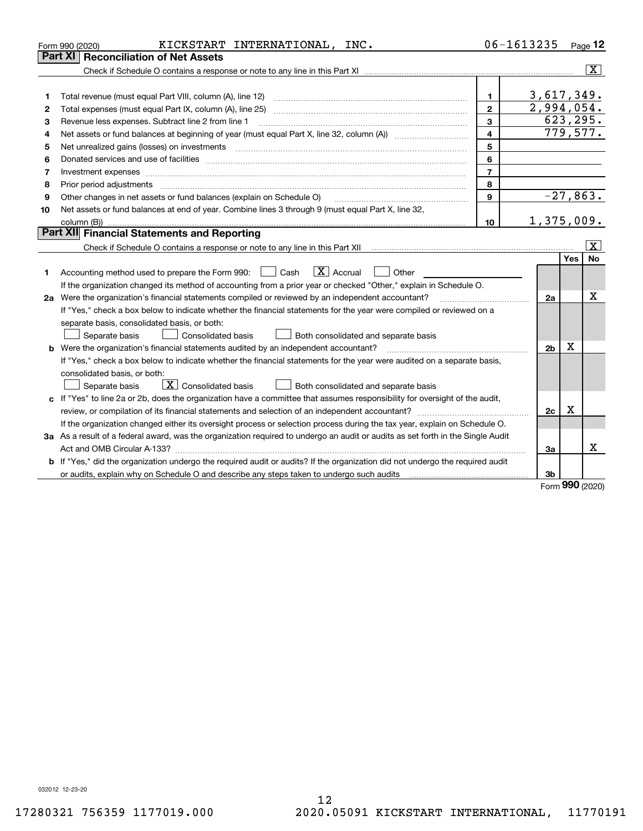|    | KICKSTART INTERNATIONAL, INC.<br>Form 990 (2020)                                                                                     |                | 06-1613235     |                    | Page 12                 |
|----|--------------------------------------------------------------------------------------------------------------------------------------|----------------|----------------|--------------------|-------------------------|
|    | Part XI   Reconciliation of Net Assets                                                                                               |                |                |                    |                         |
|    |                                                                                                                                      |                |                |                    | $\overline{\mathtt{x}}$ |
|    |                                                                                                                                      |                |                |                    |                         |
| 1  |                                                                                                                                      | 1.             | 3,617,349.     |                    |                         |
| 2  |                                                                                                                                      | $\overline{2}$ | 2,994,054.     |                    |                         |
| З  | Revenue less expenses. Subtract line 2 from line 1                                                                                   | 3              | 623, 295.      |                    |                         |
| 4  |                                                                                                                                      | $\overline{4}$ |                |                    | 779,577.                |
| 5  |                                                                                                                                      | 5              |                |                    |                         |
| 6  |                                                                                                                                      | 6              |                |                    |                         |
| 7  |                                                                                                                                      | $\overline{7}$ |                |                    |                         |
| 8  |                                                                                                                                      | 8              |                |                    |                         |
| 9  | Other changes in net assets or fund balances (explain on Schedule O)                                                                 | 9              |                |                    | $-27,863.$              |
| 10 | Net assets or fund balances at end of year. Combine lines 3 through 9 (must equal Part X, line 32,                                   |                |                |                    |                         |
|    |                                                                                                                                      | 10             | 1,375,009.     |                    |                         |
|    | Part XII Financial Statements and Reporting                                                                                          |                |                |                    |                         |
|    |                                                                                                                                      |                |                |                    | $\vert X \vert$         |
| 1  | $\boxed{\mathbf{X}}$ Accrual<br>Accounting method used to prepare the Form 990: <u>[</u> Cash<br>Other                               |                |                | Yes                | <b>No</b>               |
|    | If the organization changed its method of accounting from a prior year or checked "Other," explain in Schedule O.                    |                |                |                    |                         |
|    | 2a Were the organization's financial statements compiled or reviewed by an independent accountant?                                   |                | 2a             |                    | x                       |
|    | If "Yes," check a box below to indicate whether the financial statements for the year were compiled or reviewed on a                 |                |                |                    |                         |
|    | separate basis, consolidated basis, or both:                                                                                         |                |                |                    |                         |
|    | Separate basis<br><b>Consolidated basis</b><br>Both consolidated and separate basis                                                  |                |                |                    |                         |
|    | <b>b</b> Were the organization's financial statements audited by an independent accountant?                                          |                | 2 <sub>b</sub> | х                  |                         |
|    | If "Yes," check a box below to indicate whether the financial statements for the year were audited on a separate basis,              |                |                |                    |                         |
|    | consolidated basis, or both:                                                                                                         |                |                |                    |                         |
|    | $\boxed{\textbf{X}}$ Consolidated basis<br>Separate basis<br>Both consolidated and separate basis                                    |                |                |                    |                         |
|    | c If "Yes" to line 2a or 2b, does the organization have a committee that assumes responsibility for oversight of the audit,          |                |                |                    |                         |
|    |                                                                                                                                      |                | 2c             | х                  |                         |
|    | If the organization changed either its oversight process or selection process during the tax year, explain on Schedule O.            |                |                |                    |                         |
|    | 3a As a result of a federal award, was the organization required to undergo an audit or audits as set forth in the Single Audit      |                |                |                    |                         |
|    | Act and OMB Circular A-133?                                                                                                          |                | 3a             |                    | x                       |
|    | <b>b</b> If "Yes," did the organization undergo the required audit or audits? If the organization did not undergo the required audit |                |                |                    |                         |
|    |                                                                                                                                      |                | 3b             | $000 \text{ days}$ |                         |
|    |                                                                                                                                      |                |                |                    |                         |

Form (2020) **990**

032012 12-23-20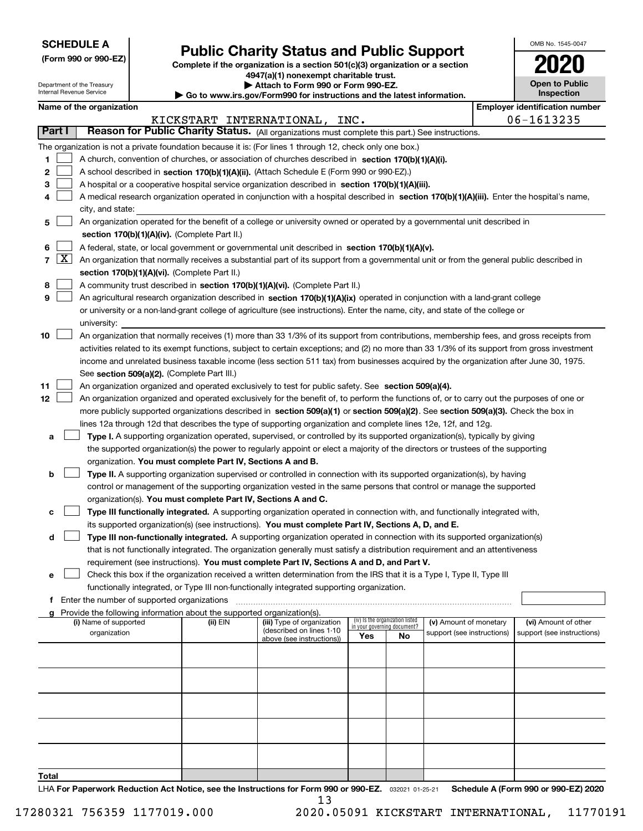| <b>SCHEDULE A</b> |
|-------------------|
|-------------------|

Department of the Treasury Internal Revenue Service

**5**

**67**

**89**

**10**

**1112**

**a**

**b**

**c**

**d**

**e**

**g**

**Total**

**(Form 990 or 990-EZ)**

**Name of the organization** 

The organization is not a privation

**Part I Reason for P** 

# **Public Charity Status and Public Support**

|                     |                                                        |                                                                                     | Complete if the organization is a section 501(c)(3) organization or a section                                                                                                                         |                                                                                                                                                                                                                                    |                                                                                                                      |                                                                                                                                                                                                                                                                                                                                                                                                                                                           |                                                                                                                                                                                                                                                                                                                                                                                                                                                                                                                                                                                                                                                                                                 |                                                                                                                                                                                                                                                                                                                                                                                                                                                                                                                                                                                                                                                                                                                                                                                                                                                                                                                                                                                                                                                                                                                                                                                                                                                                                                                                                                                                                                                                                                                                                                                                                                                                                                                                                                                                                                                                                                                                                                                                                                                                                                                                                                                                                                                                                                                                                                                                                                                                                                                                                                                                                                                                                                                                          |
|---------------------|--------------------------------------------------------|-------------------------------------------------------------------------------------|-------------------------------------------------------------------------------------------------------------------------------------------------------------------------------------------------------|------------------------------------------------------------------------------------------------------------------------------------------------------------------------------------------------------------------------------------|----------------------------------------------------------------------------------------------------------------------|-----------------------------------------------------------------------------------------------------------------------------------------------------------------------------------------------------------------------------------------------------------------------------------------------------------------------------------------------------------------------------------------------------------------------------------------------------------|-------------------------------------------------------------------------------------------------------------------------------------------------------------------------------------------------------------------------------------------------------------------------------------------------------------------------------------------------------------------------------------------------------------------------------------------------------------------------------------------------------------------------------------------------------------------------------------------------------------------------------------------------------------------------------------------------|------------------------------------------------------------------------------------------------------------------------------------------------------------------------------------------------------------------------------------------------------------------------------------------------------------------------------------------------------------------------------------------------------------------------------------------------------------------------------------------------------------------------------------------------------------------------------------------------------------------------------------------------------------------------------------------------------------------------------------------------------------------------------------------------------------------------------------------------------------------------------------------------------------------------------------------------------------------------------------------------------------------------------------------------------------------------------------------------------------------------------------------------------------------------------------------------------------------------------------------------------------------------------------------------------------------------------------------------------------------------------------------------------------------------------------------------------------------------------------------------------------------------------------------------------------------------------------------------------------------------------------------------------------------------------------------------------------------------------------------------------------------------------------------------------------------------------------------------------------------------------------------------------------------------------------------------------------------------------------------------------------------------------------------------------------------------------------------------------------------------------------------------------------------------------------------------------------------------------------------------------------------------------------------------------------------------------------------------------------------------------------------------------------------------------------------------------------------------------------------------------------------------------------------------------------------------------------------------------------------------------------------------------------------------------------------------------------------------------------------|
|                     |                                                        |                                                                                     |                                                                                                                                                                                                       |                                                                                                                                                                                                                                    |                                                                                                                      |                                                                                                                                                                                                                                                                                                                                                                                                                                                           |                                                                                                                                                                                                                                                                                                                                                                                                                                                                                                                                                                                                                                                                                                 | Open to Public                                                                                                                                                                                                                                                                                                                                                                                                                                                                                                                                                                                                                                                                                                                                                                                                                                                                                                                                                                                                                                                                                                                                                                                                                                                                                                                                                                                                                                                                                                                                                                                                                                                                                                                                                                                                                                                                                                                                                                                                                                                                                                                                                                                                                                                                                                                                                                                                                                                                                                                                                                                                                                                                                                                           |
| nal Revenue Service |                                                        |                                                                                     |                                                                                                                                                                                                       |                                                                                                                                                                                                                                    |                                                                                                                      |                                                                                                                                                                                                                                                                                                                                                                                                                                                           |                                                                                                                                                                                                                                                                                                                                                                                                                                                                                                                                                                                                                                                                                                 | Inspection                                                                                                                                                                                                                                                                                                                                                                                                                                                                                                                                                                                                                                                                                                                                                                                                                                                                                                                                                                                                                                                                                                                                                                                                                                                                                                                                                                                                                                                                                                                                                                                                                                                                                                                                                                                                                                                                                                                                                                                                                                                                                                                                                                                                                                                                                                                                                                                                                                                                                                                                                                                                                                                                                                                               |
|                     |                                                        |                                                                                     |                                                                                                                                                                                                       |                                                                                                                                                                                                                                    |                                                                                                                      |                                                                                                                                                                                                                                                                                                                                                                                                                                                           |                                                                                                                                                                                                                                                                                                                                                                                                                                                                                                                                                                                                                                                                                                 | <b>Employer identification numb</b>                                                                                                                                                                                                                                                                                                                                                                                                                                                                                                                                                                                                                                                                                                                                                                                                                                                                                                                                                                                                                                                                                                                                                                                                                                                                                                                                                                                                                                                                                                                                                                                                                                                                                                                                                                                                                                                                                                                                                                                                                                                                                                                                                                                                                                                                                                                                                                                                                                                                                                                                                                                                                                                                                                      |
|                     |                                                        |                                                                                     |                                                                                                                                                                                                       |                                                                                                                                                                                                                                    |                                                                                                                      |                                                                                                                                                                                                                                                                                                                                                                                                                                                           |                                                                                                                                                                                                                                                                                                                                                                                                                                                                                                                                                                                                                                                                                                 | 06-1613235                                                                                                                                                                                                                                                                                                                                                                                                                                                                                                                                                                                                                                                                                                                                                                                                                                                                                                                                                                                                                                                                                                                                                                                                                                                                                                                                                                                                                                                                                                                                                                                                                                                                                                                                                                                                                                                                                                                                                                                                                                                                                                                                                                                                                                                                                                                                                                                                                                                                                                                                                                                                                                                                                                                               |
| art I               |                                                        |                                                                                     |                                                                                                                                                                                                       |                                                                                                                                                                                                                                    |                                                                                                                      |                                                                                                                                                                                                                                                                                                                                                                                                                                                           |                                                                                                                                                                                                                                                                                                                                                                                                                                                                                                                                                                                                                                                                                                 |                                                                                                                                                                                                                                                                                                                                                                                                                                                                                                                                                                                                                                                                                                                                                                                                                                                                                                                                                                                                                                                                                                                                                                                                                                                                                                                                                                                                                                                                                                                                                                                                                                                                                                                                                                                                                                                                                                                                                                                                                                                                                                                                                                                                                                                                                                                                                                                                                                                                                                                                                                                                                                                                                                                                          |
|                     |                                                        |                                                                                     |                                                                                                                                                                                                       |                                                                                                                                                                                                                                    |                                                                                                                      |                                                                                                                                                                                                                                                                                                                                                                                                                                                           |                                                                                                                                                                                                                                                                                                                                                                                                                                                                                                                                                                                                                                                                                                 |                                                                                                                                                                                                                                                                                                                                                                                                                                                                                                                                                                                                                                                                                                                                                                                                                                                                                                                                                                                                                                                                                                                                                                                                                                                                                                                                                                                                                                                                                                                                                                                                                                                                                                                                                                                                                                                                                                                                                                                                                                                                                                                                                                                                                                                                                                                                                                                                                                                                                                                                                                                                                                                                                                                                          |
|                     |                                                        |                                                                                     |                                                                                                                                                                                                       |                                                                                                                                                                                                                                    |                                                                                                                      |                                                                                                                                                                                                                                                                                                                                                                                                                                                           |                                                                                                                                                                                                                                                                                                                                                                                                                                                                                                                                                                                                                                                                                                 |                                                                                                                                                                                                                                                                                                                                                                                                                                                                                                                                                                                                                                                                                                                                                                                                                                                                                                                                                                                                                                                                                                                                                                                                                                                                                                                                                                                                                                                                                                                                                                                                                                                                                                                                                                                                                                                                                                                                                                                                                                                                                                                                                                                                                                                                                                                                                                                                                                                                                                                                                                                                                                                                                                                                          |
|                     |                                                        |                                                                                     |                                                                                                                                                                                                       |                                                                                                                                                                                                                                    |                                                                                                                      |                                                                                                                                                                                                                                                                                                                                                                                                                                                           |                                                                                                                                                                                                                                                                                                                                                                                                                                                                                                                                                                                                                                                                                                 |                                                                                                                                                                                                                                                                                                                                                                                                                                                                                                                                                                                                                                                                                                                                                                                                                                                                                                                                                                                                                                                                                                                                                                                                                                                                                                                                                                                                                                                                                                                                                                                                                                                                                                                                                                                                                                                                                                                                                                                                                                                                                                                                                                                                                                                                                                                                                                                                                                                                                                                                                                                                                                                                                                                                          |
|                     |                                                        |                                                                                     |                                                                                                                                                                                                       |                                                                                                                                                                                                                                    |                                                                                                                      |                                                                                                                                                                                                                                                                                                                                                                                                                                                           |                                                                                                                                                                                                                                                                                                                                                                                                                                                                                                                                                                                                                                                                                                 |                                                                                                                                                                                                                                                                                                                                                                                                                                                                                                                                                                                                                                                                                                                                                                                                                                                                                                                                                                                                                                                                                                                                                                                                                                                                                                                                                                                                                                                                                                                                                                                                                                                                                                                                                                                                                                                                                                                                                                                                                                                                                                                                                                                                                                                                                                                                                                                                                                                                                                                                                                                                                                                                                                                                          |
|                     |                                                        |                                                                                     |                                                                                                                                                                                                       |                                                                                                                                                                                                                                    |                                                                                                                      |                                                                                                                                                                                                                                                                                                                                                                                                                                                           |                                                                                                                                                                                                                                                                                                                                                                                                                                                                                                                                                                                                                                                                                                 |                                                                                                                                                                                                                                                                                                                                                                                                                                                                                                                                                                                                                                                                                                                                                                                                                                                                                                                                                                                                                                                                                                                                                                                                                                                                                                                                                                                                                                                                                                                                                                                                                                                                                                                                                                                                                                                                                                                                                                                                                                                                                                                                                                                                                                                                                                                                                                                                                                                                                                                                                                                                                                                                                                                                          |
|                     |                                                        |                                                                                     |                                                                                                                                                                                                       |                                                                                                                                                                                                                                    |                                                                                                                      |                                                                                                                                                                                                                                                                                                                                                                                                                                                           |                                                                                                                                                                                                                                                                                                                                                                                                                                                                                                                                                                                                                                                                                                 |                                                                                                                                                                                                                                                                                                                                                                                                                                                                                                                                                                                                                                                                                                                                                                                                                                                                                                                                                                                                                                                                                                                                                                                                                                                                                                                                                                                                                                                                                                                                                                                                                                                                                                                                                                                                                                                                                                                                                                                                                                                                                                                                                                                                                                                                                                                                                                                                                                                                                                                                                                                                                                                                                                                                          |
|                     |                                                        |                                                                                     |                                                                                                                                                                                                       |                                                                                                                                                                                                                                    |                                                                                                                      |                                                                                                                                                                                                                                                                                                                                                                                                                                                           |                                                                                                                                                                                                                                                                                                                                                                                                                                                                                                                                                                                                                                                                                                 |                                                                                                                                                                                                                                                                                                                                                                                                                                                                                                                                                                                                                                                                                                                                                                                                                                                                                                                                                                                                                                                                                                                                                                                                                                                                                                                                                                                                                                                                                                                                                                                                                                                                                                                                                                                                                                                                                                                                                                                                                                                                                                                                                                                                                                                                                                                                                                                                                                                                                                                                                                                                                                                                                                                                          |
|                     |                                                        |                                                                                     |                                                                                                                                                                                                       |                                                                                                                                                                                                                                    |                                                                                                                      |                                                                                                                                                                                                                                                                                                                                                                                                                                                           |                                                                                                                                                                                                                                                                                                                                                                                                                                                                                                                                                                                                                                                                                                 |                                                                                                                                                                                                                                                                                                                                                                                                                                                                                                                                                                                                                                                                                                                                                                                                                                                                                                                                                                                                                                                                                                                                                                                                                                                                                                                                                                                                                                                                                                                                                                                                                                                                                                                                                                                                                                                                                                                                                                                                                                                                                                                                                                                                                                                                                                                                                                                                                                                                                                                                                                                                                                                                                                                                          |
|                     |                                                        |                                                                                     |                                                                                                                                                                                                       |                                                                                                                                                                                                                                    |                                                                                                                      |                                                                                                                                                                                                                                                                                                                                                                                                                                                           |                                                                                                                                                                                                                                                                                                                                                                                                                                                                                                                                                                                                                                                                                                 |                                                                                                                                                                                                                                                                                                                                                                                                                                                                                                                                                                                                                                                                                                                                                                                                                                                                                                                                                                                                                                                                                                                                                                                                                                                                                                                                                                                                                                                                                                                                                                                                                                                                                                                                                                                                                                                                                                                                                                                                                                                                                                                                                                                                                                                                                                                                                                                                                                                                                                                                                                                                                                                                                                                                          |
|                     |                                                        |                                                                                     |                                                                                                                                                                                                       |                                                                                                                                                                                                                                    |                                                                                                                      |                                                                                                                                                                                                                                                                                                                                                                                                                                                           |                                                                                                                                                                                                                                                                                                                                                                                                                                                                                                                                                                                                                                                                                                 |                                                                                                                                                                                                                                                                                                                                                                                                                                                                                                                                                                                                                                                                                                                                                                                                                                                                                                                                                                                                                                                                                                                                                                                                                                                                                                                                                                                                                                                                                                                                                                                                                                                                                                                                                                                                                                                                                                                                                                                                                                                                                                                                                                                                                                                                                                                                                                                                                                                                                                                                                                                                                                                                                                                                          |
|                     |                                                        |                                                                                     |                                                                                                                                                                                                       |                                                                                                                                                                                                                                    |                                                                                                                      |                                                                                                                                                                                                                                                                                                                                                                                                                                                           |                                                                                                                                                                                                                                                                                                                                                                                                                                                                                                                                                                                                                                                                                                 |                                                                                                                                                                                                                                                                                                                                                                                                                                                                                                                                                                                                                                                                                                                                                                                                                                                                                                                                                                                                                                                                                                                                                                                                                                                                                                                                                                                                                                                                                                                                                                                                                                                                                                                                                                                                                                                                                                                                                                                                                                                                                                                                                                                                                                                                                                                                                                                                                                                                                                                                                                                                                                                                                                                                          |
|                     |                                                        |                                                                                     |                                                                                                                                                                                                       |                                                                                                                                                                                                                                    |                                                                                                                      |                                                                                                                                                                                                                                                                                                                                                                                                                                                           |                                                                                                                                                                                                                                                                                                                                                                                                                                                                                                                                                                                                                                                                                                 |                                                                                                                                                                                                                                                                                                                                                                                                                                                                                                                                                                                                                                                                                                                                                                                                                                                                                                                                                                                                                                                                                                                                                                                                                                                                                                                                                                                                                                                                                                                                                                                                                                                                                                                                                                                                                                                                                                                                                                                                                                                                                                                                                                                                                                                                                                                                                                                                                                                                                                                                                                                                                                                                                                                                          |
|                     |                                                        |                                                                                     |                                                                                                                                                                                                       |                                                                                                                                                                                                                                    |                                                                                                                      |                                                                                                                                                                                                                                                                                                                                                                                                                                                           |                                                                                                                                                                                                                                                                                                                                                                                                                                                                                                                                                                                                                                                                                                 |                                                                                                                                                                                                                                                                                                                                                                                                                                                                                                                                                                                                                                                                                                                                                                                                                                                                                                                                                                                                                                                                                                                                                                                                                                                                                                                                                                                                                                                                                                                                                                                                                                                                                                                                                                                                                                                                                                                                                                                                                                                                                                                                                                                                                                                                                                                                                                                                                                                                                                                                                                                                                                                                                                                                          |
|                     |                                                        |                                                                                     |                                                                                                                                                                                                       |                                                                                                                                                                                                                                    |                                                                                                                      |                                                                                                                                                                                                                                                                                                                                                                                                                                                           |                                                                                                                                                                                                                                                                                                                                                                                                                                                                                                                                                                                                                                                                                                 |                                                                                                                                                                                                                                                                                                                                                                                                                                                                                                                                                                                                                                                                                                                                                                                                                                                                                                                                                                                                                                                                                                                                                                                                                                                                                                                                                                                                                                                                                                                                                                                                                                                                                                                                                                                                                                                                                                                                                                                                                                                                                                                                                                                                                                                                                                                                                                                                                                                                                                                                                                                                                                                                                                                                          |
|                     |                                                        |                                                                                     |                                                                                                                                                                                                       |                                                                                                                                                                                                                                    |                                                                                                                      |                                                                                                                                                                                                                                                                                                                                                                                                                                                           |                                                                                                                                                                                                                                                                                                                                                                                                                                                                                                                                                                                                                                                                                                 |                                                                                                                                                                                                                                                                                                                                                                                                                                                                                                                                                                                                                                                                                                                                                                                                                                                                                                                                                                                                                                                                                                                                                                                                                                                                                                                                                                                                                                                                                                                                                                                                                                                                                                                                                                                                                                                                                                                                                                                                                                                                                                                                                                                                                                                                                                                                                                                                                                                                                                                                                                                                                                                                                                                                          |
|                     |                                                        |                                                                                     |                                                                                                                                                                                                       |                                                                                                                                                                                                                                    |                                                                                                                      |                                                                                                                                                                                                                                                                                                                                                                                                                                                           |                                                                                                                                                                                                                                                                                                                                                                                                                                                                                                                                                                                                                                                                                                 |                                                                                                                                                                                                                                                                                                                                                                                                                                                                                                                                                                                                                                                                                                                                                                                                                                                                                                                                                                                                                                                                                                                                                                                                                                                                                                                                                                                                                                                                                                                                                                                                                                                                                                                                                                                                                                                                                                                                                                                                                                                                                                                                                                                                                                                                                                                                                                                                                                                                                                                                                                                                                                                                                                                                          |
|                     |                                                        |                                                                                     |                                                                                                                                                                                                       |                                                                                                                                                                                                                                    |                                                                                                                      |                                                                                                                                                                                                                                                                                                                                                                                                                                                           |                                                                                                                                                                                                                                                                                                                                                                                                                                                                                                                                                                                                                                                                                                 |                                                                                                                                                                                                                                                                                                                                                                                                                                                                                                                                                                                                                                                                                                                                                                                                                                                                                                                                                                                                                                                                                                                                                                                                                                                                                                                                                                                                                                                                                                                                                                                                                                                                                                                                                                                                                                                                                                                                                                                                                                                                                                                                                                                                                                                                                                                                                                                                                                                                                                                                                                                                                                                                                                                                          |
|                     |                                                        |                                                                                     |                                                                                                                                                                                                       |                                                                                                                                                                                                                                    |                                                                                                                      |                                                                                                                                                                                                                                                                                                                                                                                                                                                           |                                                                                                                                                                                                                                                                                                                                                                                                                                                                                                                                                                                                                                                                                                 |                                                                                                                                                                                                                                                                                                                                                                                                                                                                                                                                                                                                                                                                                                                                                                                                                                                                                                                                                                                                                                                                                                                                                                                                                                                                                                                                                                                                                                                                                                                                                                                                                                                                                                                                                                                                                                                                                                                                                                                                                                                                                                                                                                                                                                                                                                                                                                                                                                                                                                                                                                                                                                                                                                                                          |
|                     |                                                        |                                                                                     |                                                                                                                                                                                                       |                                                                                                                                                                                                                                    |                                                                                                                      |                                                                                                                                                                                                                                                                                                                                                                                                                                                           |                                                                                                                                                                                                                                                                                                                                                                                                                                                                                                                                                                                                                                                                                                 |                                                                                                                                                                                                                                                                                                                                                                                                                                                                                                                                                                                                                                                                                                                                                                                                                                                                                                                                                                                                                                                                                                                                                                                                                                                                                                                                                                                                                                                                                                                                                                                                                                                                                                                                                                                                                                                                                                                                                                                                                                                                                                                                                                                                                                                                                                                                                                                                                                                                                                                                                                                                                                                                                                                                          |
|                     |                                                        |                                                                                     |                                                                                                                                                                                                       |                                                                                                                                                                                                                                    |                                                                                                                      |                                                                                                                                                                                                                                                                                                                                                                                                                                                           |                                                                                                                                                                                                                                                                                                                                                                                                                                                                                                                                                                                                                                                                                                 |                                                                                                                                                                                                                                                                                                                                                                                                                                                                                                                                                                                                                                                                                                                                                                                                                                                                                                                                                                                                                                                                                                                                                                                                                                                                                                                                                                                                                                                                                                                                                                                                                                                                                                                                                                                                                                                                                                                                                                                                                                                                                                                                                                                                                                                                                                                                                                                                                                                                                                                                                                                                                                                                                                                                          |
|                     |                                                        |                                                                                     |                                                                                                                                                                                                       |                                                                                                                                                                                                                                    |                                                                                                                      |                                                                                                                                                                                                                                                                                                                                                                                                                                                           |                                                                                                                                                                                                                                                                                                                                                                                                                                                                                                                                                                                                                                                                                                 |                                                                                                                                                                                                                                                                                                                                                                                                                                                                                                                                                                                                                                                                                                                                                                                                                                                                                                                                                                                                                                                                                                                                                                                                                                                                                                                                                                                                                                                                                                                                                                                                                                                                                                                                                                                                                                                                                                                                                                                                                                                                                                                                                                                                                                                                                                                                                                                                                                                                                                                                                                                                                                                                                                                                          |
|                     |                                                        |                                                                                     |                                                                                                                                                                                                       |                                                                                                                                                                                                                                    |                                                                                                                      |                                                                                                                                                                                                                                                                                                                                                                                                                                                           |                                                                                                                                                                                                                                                                                                                                                                                                                                                                                                                                                                                                                                                                                                 |                                                                                                                                                                                                                                                                                                                                                                                                                                                                                                                                                                                                                                                                                                                                                                                                                                                                                                                                                                                                                                                                                                                                                                                                                                                                                                                                                                                                                                                                                                                                                                                                                                                                                                                                                                                                                                                                                                                                                                                                                                                                                                                                                                                                                                                                                                                                                                                                                                                                                                                                                                                                                                                                                                                                          |
|                     |                                                        |                                                                                     |                                                                                                                                                                                                       |                                                                                                                                                                                                                                    |                                                                                                                      |                                                                                                                                                                                                                                                                                                                                                                                                                                                           |                                                                                                                                                                                                                                                                                                                                                                                                                                                                                                                                                                                                                                                                                                 |                                                                                                                                                                                                                                                                                                                                                                                                                                                                                                                                                                                                                                                                                                                                                                                                                                                                                                                                                                                                                                                                                                                                                                                                                                                                                                                                                                                                                                                                                                                                                                                                                                                                                                                                                                                                                                                                                                                                                                                                                                                                                                                                                                                                                                                                                                                                                                                                                                                                                                                                                                                                                                                                                                                                          |
|                     |                                                        |                                                                                     |                                                                                                                                                                                                       |                                                                                                                                                                                                                                    |                                                                                                                      |                                                                                                                                                                                                                                                                                                                                                                                                                                                           |                                                                                                                                                                                                                                                                                                                                                                                                                                                                                                                                                                                                                                                                                                 |                                                                                                                                                                                                                                                                                                                                                                                                                                                                                                                                                                                                                                                                                                                                                                                                                                                                                                                                                                                                                                                                                                                                                                                                                                                                                                                                                                                                                                                                                                                                                                                                                                                                                                                                                                                                                                                                                                                                                                                                                                                                                                                                                                                                                                                                                                                                                                                                                                                                                                                                                                                                                                                                                                                                          |
|                     |                                                        |                                                                                     |                                                                                                                                                                                                       |                                                                                                                                                                                                                                    |                                                                                                                      |                                                                                                                                                                                                                                                                                                                                                                                                                                                           |                                                                                                                                                                                                                                                                                                                                                                                                                                                                                                                                                                                                                                                                                                 |                                                                                                                                                                                                                                                                                                                                                                                                                                                                                                                                                                                                                                                                                                                                                                                                                                                                                                                                                                                                                                                                                                                                                                                                                                                                                                                                                                                                                                                                                                                                                                                                                                                                                                                                                                                                                                                                                                                                                                                                                                                                                                                                                                                                                                                                                                                                                                                                                                                                                                                                                                                                                                                                                                                                          |
|                     |                                                        |                                                                                     |                                                                                                                                                                                                       |                                                                                                                                                                                                                                    |                                                                                                                      |                                                                                                                                                                                                                                                                                                                                                                                                                                                           |                                                                                                                                                                                                                                                                                                                                                                                                                                                                                                                                                                                                                                                                                                 |                                                                                                                                                                                                                                                                                                                                                                                                                                                                                                                                                                                                                                                                                                                                                                                                                                                                                                                                                                                                                                                                                                                                                                                                                                                                                                                                                                                                                                                                                                                                                                                                                                                                                                                                                                                                                                                                                                                                                                                                                                                                                                                                                                                                                                                                                                                                                                                                                                                                                                                                                                                                                                                                                                                                          |
|                     |                                                        |                                                                                     |                                                                                                                                                                                                       |                                                                                                                                                                                                                                    |                                                                                                                      |                                                                                                                                                                                                                                                                                                                                                                                                                                                           |                                                                                                                                                                                                                                                                                                                                                                                                                                                                                                                                                                                                                                                                                                 |                                                                                                                                                                                                                                                                                                                                                                                                                                                                                                                                                                                                                                                                                                                                                                                                                                                                                                                                                                                                                                                                                                                                                                                                                                                                                                                                                                                                                                                                                                                                                                                                                                                                                                                                                                                                                                                                                                                                                                                                                                                                                                                                                                                                                                                                                                                                                                                                                                                                                                                                                                                                                                                                                                                                          |
|                     |                                                        |                                                                                     |                                                                                                                                                                                                       |                                                                                                                                                                                                                                    |                                                                                                                      |                                                                                                                                                                                                                                                                                                                                                                                                                                                           |                                                                                                                                                                                                                                                                                                                                                                                                                                                                                                                                                                                                                                                                                                 |                                                                                                                                                                                                                                                                                                                                                                                                                                                                                                                                                                                                                                                                                                                                                                                                                                                                                                                                                                                                                                                                                                                                                                                                                                                                                                                                                                                                                                                                                                                                                                                                                                                                                                                                                                                                                                                                                                                                                                                                                                                                                                                                                                                                                                                                                                                                                                                                                                                                                                                                                                                                                                                                                                                                          |
|                     |                                                        |                                                                                     |                                                                                                                                                                                                       |                                                                                                                                                                                                                                    |                                                                                                                      |                                                                                                                                                                                                                                                                                                                                                                                                                                                           |                                                                                                                                                                                                                                                                                                                                                                                                                                                                                                                                                                                                                                                                                                 |                                                                                                                                                                                                                                                                                                                                                                                                                                                                                                                                                                                                                                                                                                                                                                                                                                                                                                                                                                                                                                                                                                                                                                                                                                                                                                                                                                                                                                                                                                                                                                                                                                                                                                                                                                                                                                                                                                                                                                                                                                                                                                                                                                                                                                                                                                                                                                                                                                                                                                                                                                                                                                                                                                                                          |
|                     |                                                        |                                                                                     |                                                                                                                                                                                                       |                                                                                                                                                                                                                                    |                                                                                                                      |                                                                                                                                                                                                                                                                                                                                                                                                                                                           |                                                                                                                                                                                                                                                                                                                                                                                                                                                                                                                                                                                                                                                                                                 |                                                                                                                                                                                                                                                                                                                                                                                                                                                                                                                                                                                                                                                                                                                                                                                                                                                                                                                                                                                                                                                                                                                                                                                                                                                                                                                                                                                                                                                                                                                                                                                                                                                                                                                                                                                                                                                                                                                                                                                                                                                                                                                                                                                                                                                                                                                                                                                                                                                                                                                                                                                                                                                                                                                                          |
|                     |                                                        |                                                                                     |                                                                                                                                                                                                       |                                                                                                                                                                                                                                    |                                                                                                                      |                                                                                                                                                                                                                                                                                                                                                                                                                                                           |                                                                                                                                                                                                                                                                                                                                                                                                                                                                                                                                                                                                                                                                                                 |                                                                                                                                                                                                                                                                                                                                                                                                                                                                                                                                                                                                                                                                                                                                                                                                                                                                                                                                                                                                                                                                                                                                                                                                                                                                                                                                                                                                                                                                                                                                                                                                                                                                                                                                                                                                                                                                                                                                                                                                                                                                                                                                                                                                                                                                                                                                                                                                                                                                                                                                                                                                                                                                                                                                          |
|                     |                                                        |                                                                                     |                                                                                                                                                                                                       |                                                                                                                                                                                                                                    |                                                                                                                      |                                                                                                                                                                                                                                                                                                                                                                                                                                                           |                                                                                                                                                                                                                                                                                                                                                                                                                                                                                                                                                                                                                                                                                                 |                                                                                                                                                                                                                                                                                                                                                                                                                                                                                                                                                                                                                                                                                                                                                                                                                                                                                                                                                                                                                                                                                                                                                                                                                                                                                                                                                                                                                                                                                                                                                                                                                                                                                                                                                                                                                                                                                                                                                                                                                                                                                                                                                                                                                                                                                                                                                                                                                                                                                                                                                                                                                                                                                                                                          |
|                     |                                                        |                                                                                     |                                                                                                                                                                                                       |                                                                                                                                                                                                                                    |                                                                                                                      |                                                                                                                                                                                                                                                                                                                                                                                                                                                           |                                                                                                                                                                                                                                                                                                                                                                                                                                                                                                                                                                                                                                                                                                 |                                                                                                                                                                                                                                                                                                                                                                                                                                                                                                                                                                                                                                                                                                                                                                                                                                                                                                                                                                                                                                                                                                                                                                                                                                                                                                                                                                                                                                                                                                                                                                                                                                                                                                                                                                                                                                                                                                                                                                                                                                                                                                                                                                                                                                                                                                                                                                                                                                                                                                                                                                                                                                                                                                                                          |
|                     |                                                        |                                                                                     |                                                                                                                                                                                                       |                                                                                                                                                                                                                                    |                                                                                                                      |                                                                                                                                                                                                                                                                                                                                                                                                                                                           |                                                                                                                                                                                                                                                                                                                                                                                                                                                                                                                                                                                                                                                                                                 |                                                                                                                                                                                                                                                                                                                                                                                                                                                                                                                                                                                                                                                                                                                                                                                                                                                                                                                                                                                                                                                                                                                                                                                                                                                                                                                                                                                                                                                                                                                                                                                                                                                                                                                                                                                                                                                                                                                                                                                                                                                                                                                                                                                                                                                                                                                                                                                                                                                                                                                                                                                                                                                                                                                                          |
|                     |                                                        |                                                                                     |                                                                                                                                                                                                       |                                                                                                                                                                                                                                    |                                                                                                                      |                                                                                                                                                                                                                                                                                                                                                                                                                                                           |                                                                                                                                                                                                                                                                                                                                                                                                                                                                                                                                                                                                                                                                                                 |                                                                                                                                                                                                                                                                                                                                                                                                                                                                                                                                                                                                                                                                                                                                                                                                                                                                                                                                                                                                                                                                                                                                                                                                                                                                                                                                                                                                                                                                                                                                                                                                                                                                                                                                                                                                                                                                                                                                                                                                                                                                                                                                                                                                                                                                                                                                                                                                                                                                                                                                                                                                                                                                                                                                          |
|                     |                                                        |                                                                                     |                                                                                                                                                                                                       |                                                                                                                                                                                                                                    |                                                                                                                      |                                                                                                                                                                                                                                                                                                                                                                                                                                                           |                                                                                                                                                                                                                                                                                                                                                                                                                                                                                                                                                                                                                                                                                                 |                                                                                                                                                                                                                                                                                                                                                                                                                                                                                                                                                                                                                                                                                                                                                                                                                                                                                                                                                                                                                                                                                                                                                                                                                                                                                                                                                                                                                                                                                                                                                                                                                                                                                                                                                                                                                                                                                                                                                                                                                                                                                                                                                                                                                                                                                                                                                                                                                                                                                                                                                                                                                                                                                                                                          |
|                     |                                                        |                                                                                     |                                                                                                                                                                                                       |                                                                                                                                                                                                                                    |                                                                                                                      |                                                                                                                                                                                                                                                                                                                                                                                                                                                           |                                                                                                                                                                                                                                                                                                                                                                                                                                                                                                                                                                                                                                                                                                 |                                                                                                                                                                                                                                                                                                                                                                                                                                                                                                                                                                                                                                                                                                                                                                                                                                                                                                                                                                                                                                                                                                                                                                                                                                                                                                                                                                                                                                                                                                                                                                                                                                                                                                                                                                                                                                                                                                                                                                                                                                                                                                                                                                                                                                                                                                                                                                                                                                                                                                                                                                                                                                                                                                                                          |
|                     |                                                        |                                                                                     |                                                                                                                                                                                                       |                                                                                                                                                                                                                                    |                                                                                                                      |                                                                                                                                                                                                                                                                                                                                                                                                                                                           |                                                                                                                                                                                                                                                                                                                                                                                                                                                                                                                                                                                                                                                                                                 |                                                                                                                                                                                                                                                                                                                                                                                                                                                                                                                                                                                                                                                                                                                                                                                                                                                                                                                                                                                                                                                                                                                                                                                                                                                                                                                                                                                                                                                                                                                                                                                                                                                                                                                                                                                                                                                                                                                                                                                                                                                                                                                                                                                                                                                                                                                                                                                                                                                                                                                                                                                                                                                                                                                                          |
|                     |                                                        | (ii) EIN                                                                            | (iii) Type of organization                                                                                                                                                                            |                                                                                                                                                                                                                                    |                                                                                                                      |                                                                                                                                                                                                                                                                                                                                                                                                                                                           |                                                                                                                                                                                                                                                                                                                                                                                                                                                                                                                                                                                                                                                                                                 | (vi) Amount of other                                                                                                                                                                                                                                                                                                                                                                                                                                                                                                                                                                                                                                                                                                                                                                                                                                                                                                                                                                                                                                                                                                                                                                                                                                                                                                                                                                                                                                                                                                                                                                                                                                                                                                                                                                                                                                                                                                                                                                                                                                                                                                                                                                                                                                                                                                                                                                                                                                                                                                                                                                                                                                                                                                                     |
|                     |                                                        |                                                                                     | (described on lines 1-10                                                                                                                                                                              |                                                                                                                                                                                                                                    |                                                                                                                      |                                                                                                                                                                                                                                                                                                                                                                                                                                                           |                                                                                                                                                                                                                                                                                                                                                                                                                                                                                                                                                                                                                                                                                                 | support (see instructio                                                                                                                                                                                                                                                                                                                                                                                                                                                                                                                                                                                                                                                                                                                                                                                                                                                                                                                                                                                                                                                                                                                                                                                                                                                                                                                                                                                                                                                                                                                                                                                                                                                                                                                                                                                                                                                                                                                                                                                                                                                                                                                                                                                                                                                                                                                                                                                                                                                                                                                                                                                                                                                                                                                  |
|                     |                                                        |                                                                                     |                                                                                                                                                                                                       |                                                                                                                                                                                                                                    |                                                                                                                      |                                                                                                                                                                                                                                                                                                                                                                                                                                                           |                                                                                                                                                                                                                                                                                                                                                                                                                                                                                                                                                                                                                                                                                                 |                                                                                                                                                                                                                                                                                                                                                                                                                                                                                                                                                                                                                                                                                                                                                                                                                                                                                                                                                                                                                                                                                                                                                                                                                                                                                                                                                                                                                                                                                                                                                                                                                                                                                                                                                                                                                                                                                                                                                                                                                                                                                                                                                                                                                                                                                                                                                                                                                                                                                                                                                                                                                                                                                                                                          |
|                     |                                                        |                                                                                     |                                                                                                                                                                                                       |                                                                                                                                                                                                                                    |                                                                                                                      |                                                                                                                                                                                                                                                                                                                                                                                                                                                           |                                                                                                                                                                                                                                                                                                                                                                                                                                                                                                                                                                                                                                                                                                 |                                                                                                                                                                                                                                                                                                                                                                                                                                                                                                                                                                                                                                                                                                                                                                                                                                                                                                                                                                                                                                                                                                                                                                                                                                                                                                                                                                                                                                                                                                                                                                                                                                                                                                                                                                                                                                                                                                                                                                                                                                                                                                                                                                                                                                                                                                                                                                                                                                                                                                                                                                                                                                                                                                                                          |
|                     | artment of the Treasury<br>$\mathbf{X}$<br>university: | me of the organization<br>city, and state:<br>(i) Name of supported<br>organization | section 170(b)(1)(A)(iv). (Complete Part II.)<br>section 170(b)(1)(A)(vi). (Complete Part II.)<br>See section 509(a)(2). (Complete Part III.)<br><b>f</b> Enter the number of supported organizations | organization. You must complete Part IV, Sections A and B.<br>organization(s). You must complete Part IV, Sections A and C.<br>Provide the following information about the supported organization(s).<br>above (see instructions)) | KICKSTART INTERNATIONAL, INC.<br>A community trust described in section 170(b)(1)(A)(vi). (Complete Part II.)<br>Yes | 4947(a)(1) nonexempt charitable trust.<br>Attach to Form 990 or Form 990-EZ.<br>e organization is not a private foundation because it is: (For lines 1 through 12, check only one box.)<br>A school described in section 170(b)(1)(A)(ii). (Attach Schedule E (Form 990 or 990-EZ).)<br>functionally integrated, or Type III non-functionally integrated supporting organization.<br>(iv) Is the organization listed<br>in your governing document?<br>No | Go to www.irs.gov/Form990 for instructions and the latest information.<br>A church, convention of churches, or association of churches described in section 170(b)(1)(A)(i).<br>A hospital or a cooperative hospital service organization described in section 170(b)(1)(A)(iii).<br>A federal, state, or local government or governmental unit described in section 170(b)(1)(A)(v).<br>An organization organized and operated exclusively to test for public safety. See section 509(a)(4).<br>its supported organization(s) (see instructions). You must complete Part IV, Sections A, D, and E.<br>requirement (see instructions). You must complete Part IV, Sections A and D, and Part V. | Reason for Public Charity Status. (All organizations must complete this part.) See instructions.<br>A medical research organization operated in conjunction with a hospital described in section 170(b)(1)(A)(iii). Enter the hospital's name,<br>An organization operated for the benefit of a college or university owned or operated by a governmental unit described in<br>An organization that normally receives a substantial part of its support from a governmental unit or from the general public described in<br>An agricultural research organization described in section 170(b)(1)(A)(ix) operated in conjunction with a land-grant college<br>or university or a non-land-grant college of agriculture (see instructions). Enter the name, city, and state of the college or<br>An organization that normally receives (1) more than 33 1/3% of its support from contributions, membership fees, and gross receipts from<br>activities related to its exempt functions, subject to certain exceptions; and (2) no more than 33 1/3% of its support from gross investmen<br>income and unrelated business taxable income (less section 511 tax) from businesses acquired by the organization after June 30, 1975.<br>An organization organized and operated exclusively for the benefit of, to perform the functions of, or to carry out the purposes of one or<br>more publicly supported organizations described in section 509(a)(1) or section 509(a)(2). See section 509(a)(3). Check the box in<br>lines 12a through 12d that describes the type of supporting organization and complete lines 12e, 12f, and 12g.<br>Type I. A supporting organization operated, supervised, or controlled by its supported organization(s), typically by giving<br>the supported organization(s) the power to regularly appoint or elect a majority of the directors or trustees of the supporting<br>Type II. A supporting organization supervised or controlled in connection with its supported organization(s), by having<br>control or management of the supporting organization vested in the same persons that control or manage the supported<br>Type III functionally integrated. A supporting organization operated in connection with, and functionally integrated with,<br>Type III non-functionally integrated. A supporting organization operated in connection with its supported organization(s)<br>that is not functionally integrated. The organization generally must satisfy a distribution requirement and an attentiveness<br>Check this box if the organization received a written determination from the IRS that it is a Type I, Type II, Type III<br>(v) Amount of monetary<br>support (see instructions) |

032021 01-25-21 LHA For Paperwork Reduction Act Notice, see the Instructions for Form 990 or 990-EZ. <sub>032021</sub> o1-25-21 Schedule A (Form 990 or 990-EZ) 2020 13

ns)

OMB No. 1545-0047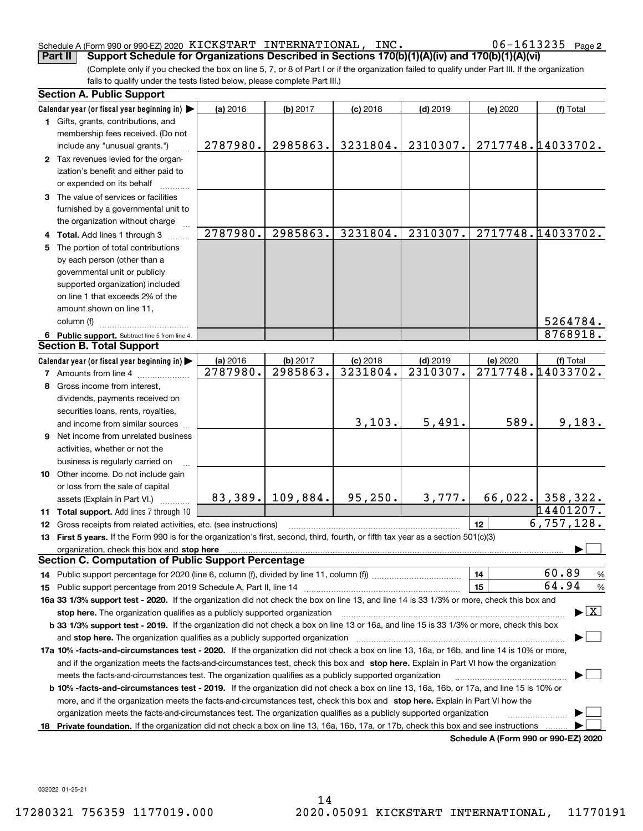# Schedule A (Form 990 or 990-EZ) 2020  $\,$  K<code>ICKSTART INTERNATIONAL</code> ,  $\,$  <code>INC</code> .  $\,$  <code>O6–1613235</code>  $\,$  <code>Page</code>

06-1613235 Page 2

(Complete only if you checked the box on line 5, 7, or 8 of Part I or if the organization failed to qualify under Part III. If the organization fails to qualify under the tests listed below, please complete Part III.) **Part II Support Schedule for Organizations Described in Sections 170(b)(1)(A)(iv) and 170(b)(1)(A)(vi)**

| <b>Section A. Public Support</b>                                                                                                                                                                                                                                                           |          |                      |            |            |          |                                      |
|--------------------------------------------------------------------------------------------------------------------------------------------------------------------------------------------------------------------------------------------------------------------------------------------|----------|----------------------|------------|------------|----------|--------------------------------------|
| Calendar year (or fiscal year beginning in)                                                                                                                                                                                                                                                | (a) 2016 | (b) 2017             | $(c)$ 2018 | $(d)$ 2019 | (e) 2020 | (f) Total                            |
| 1 Gifts, grants, contributions, and                                                                                                                                                                                                                                                        |          |                      |            |            |          |                                      |
| membership fees received. (Do not                                                                                                                                                                                                                                                          |          |                      |            |            |          |                                      |
| include any "unusual grants.")                                                                                                                                                                                                                                                             | 2787980. | 2985863.             | 3231804.   | 2310307.   |          | 2717748.14033702.                    |
| 2 Tax revenues levied for the organ-                                                                                                                                                                                                                                                       |          |                      |            |            |          |                                      |
| ization's benefit and either paid to                                                                                                                                                                                                                                                       |          |                      |            |            |          |                                      |
| or expended on its behalf                                                                                                                                                                                                                                                                  |          |                      |            |            |          |                                      |
| 3 The value of services or facilities                                                                                                                                                                                                                                                      |          |                      |            |            |          |                                      |
| furnished by a governmental unit to                                                                                                                                                                                                                                                        |          |                      |            |            |          |                                      |
| the organization without charge                                                                                                                                                                                                                                                            |          |                      |            |            |          |                                      |
| 4 Total. Add lines 1 through 3                                                                                                                                                                                                                                                             | 2787980. | 2985863.             | 3231804.   | 2310307.   |          | 2717748.14033702.                    |
| 5 The portion of total contributions                                                                                                                                                                                                                                                       |          |                      |            |            |          |                                      |
| by each person (other than a                                                                                                                                                                                                                                                               |          |                      |            |            |          |                                      |
| governmental unit or publicly                                                                                                                                                                                                                                                              |          |                      |            |            |          |                                      |
| supported organization) included                                                                                                                                                                                                                                                           |          |                      |            |            |          |                                      |
| on line 1 that exceeds 2% of the                                                                                                                                                                                                                                                           |          |                      |            |            |          |                                      |
| amount shown on line 11,                                                                                                                                                                                                                                                                   |          |                      |            |            |          |                                      |
| column (f)                                                                                                                                                                                                                                                                                 |          |                      |            |            |          | 5264784.                             |
| 6 Public support. Subtract line 5 from line 4.                                                                                                                                                                                                                                             |          |                      |            |            |          | 8768918.                             |
| <b>Section B. Total Support</b>                                                                                                                                                                                                                                                            |          |                      |            |            |          |                                      |
| Calendar year (or fiscal year beginning in)                                                                                                                                                                                                                                                | (a) 2016 | (b) 2017             | $(c)$ 2018 | $(d)$ 2019 | (e) 2020 | (f) Total                            |
| <b>7</b> Amounts from line 4                                                                                                                                                                                                                                                               | 2787980. | 2985863.             | 3231804.   | 2310307.   |          | 2717748.14033702.                    |
| 8 Gross income from interest,                                                                                                                                                                                                                                                              |          |                      |            |            |          |                                      |
| dividends, payments received on                                                                                                                                                                                                                                                            |          |                      |            |            |          |                                      |
| securities loans, rents, royalties,                                                                                                                                                                                                                                                        |          |                      |            |            |          |                                      |
| and income from similar sources                                                                                                                                                                                                                                                            |          |                      | 3,103.     | 5,491.     | 589.     | 9,183.                               |
| <b>9</b> Net income from unrelated business                                                                                                                                                                                                                                                |          |                      |            |            |          |                                      |
| activities, whether or not the                                                                                                                                                                                                                                                             |          |                      |            |            |          |                                      |
| business is regularly carried on                                                                                                                                                                                                                                                           |          |                      |            |            |          |                                      |
| 10 Other income. Do not include gain                                                                                                                                                                                                                                                       |          |                      |            |            |          |                                      |
| or loss from the sale of capital                                                                                                                                                                                                                                                           |          |                      |            |            |          |                                      |
| assets (Explain in Part VI.)                                                                                                                                                                                                                                                               |          | 83, 389.   109, 884. | 95, 250.   | 3,777.     |          | 66,022. 358,322.                     |
| 11 Total support. Add lines 7 through 10                                                                                                                                                                                                                                                   |          |                      |            |            |          | 14401207.                            |
| 12 Gross receipts from related activities, etc. (see instructions)                                                                                                                                                                                                                         |          |                      |            |            | 12       | 6, 757, 128.                         |
| 13 First 5 years. If the Form 990 is for the organization's first, second, third, fourth, or fifth tax year as a section 501(c)(3)                                                                                                                                                         |          |                      |            |            |          |                                      |
|                                                                                                                                                                                                                                                                                            |          |                      |            |            |          |                                      |
| organization, check this box and stop here <b>construction and construction</b> control and construction of the construction of the construction of the construction of the construction of the construction of the construction of<br>Section C. Computation of Public Support Percentage |          |                      |            |            |          |                                      |
|                                                                                                                                                                                                                                                                                            |          |                      |            |            | 14       | 60.89<br>%                           |
|                                                                                                                                                                                                                                                                                            |          |                      |            |            | 15       | 64.94<br>%                           |
| 16a 33 1/3% support test - 2020. If the organization did not check the box on line 13, and line 14 is 33 1/3% or more, check this box and                                                                                                                                                  |          |                      |            |            |          |                                      |
| stop here. The organization qualifies as a publicly supported organization                                                                                                                                                                                                                 |          |                      |            |            |          | $\blacktriangleright$ $\mid$ X       |
| b 33 1/3% support test - 2019. If the organization did not check a box on line 13 or 16a, and line 15 is 33 1/3% or more, check this box                                                                                                                                                   |          |                      |            |            |          |                                      |
|                                                                                                                                                                                                                                                                                            |          |                      |            |            |          |                                      |
| and stop here. The organization qualifies as a publicly supported organization                                                                                                                                                                                                             |          |                      |            |            |          |                                      |
| 17a 10% -facts-and-circumstances test - 2020. If the organization did not check a box on line 13, 16a, or 16b, and line 14 is 10% or more,                                                                                                                                                 |          |                      |            |            |          |                                      |
| and if the organization meets the facts-and-circumstances test, check this box and stop here. Explain in Part VI how the organization                                                                                                                                                      |          |                      |            |            |          |                                      |
| meets the facts-and-circumstances test. The organization qualifies as a publicly supported organization                                                                                                                                                                                    |          |                      |            |            |          |                                      |
| <b>b 10% -facts-and-circumstances test - 2019.</b> If the organization did not check a box on line 13, 16a, 16b, or 17a, and line 15 is 10% or                                                                                                                                             |          |                      |            |            |          |                                      |
| more, and if the organization meets the facts-and-circumstances test, check this box and stop here. Explain in Part VI how the                                                                                                                                                             |          |                      |            |            |          |                                      |
| organization meets the facts-and-circumstances test. The organization qualifies as a publicly supported organization                                                                                                                                                                       |          |                      |            |            |          |                                      |
| 18 Private foundation. If the organization did not check a box on line 13, 16a, 16b, 17a, or 17b, check this box and see instructions                                                                                                                                                      |          |                      |            |            |          | Schedule A (Form 990 or 990-F7) 2020 |

**Schedule A (Form 990 or 990-EZ) 2020**

032022 01-25-21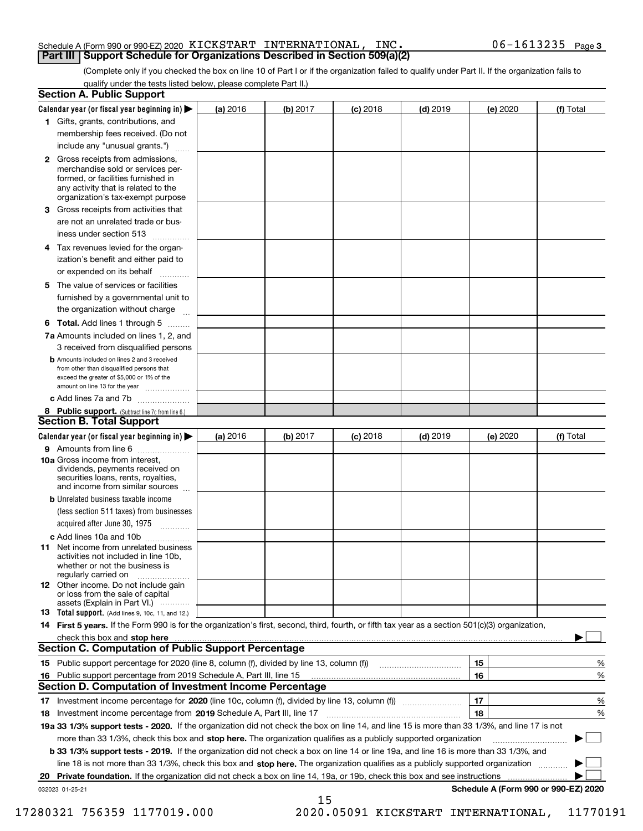### Schedule A (Form 990 or 990-EZ) 2020  $\,$  K<code>ICKSTART INTERNATIONAL</code> ,  $\,$  <code>INC</code> .  $\,$  <code>O6–1613235</code>  $\,$  <code>Page</code> **Part III Support Schedule for Organizations Described in Section 509(a)(2)**

(Complete only if you checked the box on line 10 of Part I or if the organization failed to qualify under Part II. If the organization fails to qualify under the tests listed below, please complete Part II.)

|    | <b>Section A. Public Support</b>                                                                                                                                                                                                     |          |          |            |            |          |                                      |
|----|--------------------------------------------------------------------------------------------------------------------------------------------------------------------------------------------------------------------------------------|----------|----------|------------|------------|----------|--------------------------------------|
|    | Calendar year (or fiscal year beginning in) $\blacktriangleright$                                                                                                                                                                    | (a) 2016 | (b) 2017 | $(c)$ 2018 | $(d)$ 2019 | (e) 2020 | (f) Total                            |
|    | 1 Gifts, grants, contributions, and                                                                                                                                                                                                  |          |          |            |            |          |                                      |
|    | membership fees received. (Do not                                                                                                                                                                                                    |          |          |            |            |          |                                      |
|    | include any "unusual grants.")                                                                                                                                                                                                       |          |          |            |            |          |                                      |
|    | 2 Gross receipts from admissions,<br>merchandise sold or services per-<br>formed, or facilities furnished in<br>any activity that is related to the<br>organization's tax-exempt purpose                                             |          |          |            |            |          |                                      |
|    | 3 Gross receipts from activities that                                                                                                                                                                                                |          |          |            |            |          |                                      |
|    | are not an unrelated trade or bus-                                                                                                                                                                                                   |          |          |            |            |          |                                      |
|    | iness under section 513                                                                                                                                                                                                              |          |          |            |            |          |                                      |
|    | 4 Tax revenues levied for the organ-<br>ization's benefit and either paid to                                                                                                                                                         |          |          |            |            |          |                                      |
|    | or expended on its behalf                                                                                                                                                                                                            |          |          |            |            |          |                                      |
|    | 5 The value of services or facilities                                                                                                                                                                                                |          |          |            |            |          |                                      |
|    | furnished by a governmental unit to                                                                                                                                                                                                  |          |          |            |            |          |                                      |
|    | the organization without charge                                                                                                                                                                                                      |          |          |            |            |          |                                      |
|    | <b>6 Total.</b> Add lines 1 through 5 $\dots$                                                                                                                                                                                        |          |          |            |            |          |                                      |
|    | 7a Amounts included on lines 1, 2, and                                                                                                                                                                                               |          |          |            |            |          |                                      |
|    | 3 received from disqualified persons                                                                                                                                                                                                 |          |          |            |            |          |                                      |
|    | <b>b</b> Amounts included on lines 2 and 3 received<br>from other than disqualified persons that<br>exceed the greater of \$5,000 or 1% of the<br>amount on line 13 for the year                                                     |          |          |            |            |          |                                      |
|    | c Add lines 7a and 7b                                                                                                                                                                                                                |          |          |            |            |          |                                      |
|    | 8 Public support. (Subtract line 7c from line 6.)                                                                                                                                                                                    |          |          |            |            |          |                                      |
|    | <b>Section B. Total Support</b>                                                                                                                                                                                                      |          |          |            |            |          |                                      |
|    | Calendar year (or fiscal year beginning in)                                                                                                                                                                                          | (a) 2016 | (b) 2017 | $(c)$ 2018 | $(d)$ 2019 | (e) 2020 | (f) Total                            |
|    | 9 Amounts from line 6                                                                                                                                                                                                                |          |          |            |            |          |                                      |
|    | 10a Gross income from interest,<br>dividends, payments received on<br>securities loans, rents, royalties,<br>and income from similar sources                                                                                         |          |          |            |            |          |                                      |
|    | <b>b</b> Unrelated business taxable income                                                                                                                                                                                           |          |          |            |            |          |                                      |
|    | (less section 511 taxes) from businesses                                                                                                                                                                                             |          |          |            |            |          |                                      |
|    | acquired after June 30, 1975                                                                                                                                                                                                         |          |          |            |            |          |                                      |
|    | c Add lines 10a and 10b                                                                                                                                                                                                              |          |          |            |            |          |                                      |
|    | <b>11</b> Net income from unrelated business<br>activities not included in line 10b,<br>whether or not the business is<br>regularly carried on                                                                                       |          |          |            |            |          |                                      |
|    | <b>12</b> Other income. Do not include gain<br>or loss from the sale of capital                                                                                                                                                      |          |          |            |            |          |                                      |
|    | assets (Explain in Part VI.)<br>13 Total support. (Add lines 9, 10c, 11, and 12.)                                                                                                                                                    |          |          |            |            |          |                                      |
|    | 14 First 5 years. If the Form 990 is for the organization's first, second, third, fourth, or fifth tax year as a section 501(c)(3) organization,                                                                                     |          |          |            |            |          |                                      |
|    | check this box and stop here <b>contract the contract of the contract of the contract of the state of the contract of the contract of the contract of the contract of the contract of the contract of the contract of the contra</b> |          |          |            |            |          |                                      |
|    | <b>Section C. Computation of Public Support Percentage</b>                                                                                                                                                                           |          |          |            |            |          |                                      |
|    |                                                                                                                                                                                                                                      |          |          |            |            | 15       | %                                    |
|    | 16 Public support percentage from 2019 Schedule A, Part III, line 15                                                                                                                                                                 |          |          |            |            | 16       | %                                    |
|    | Section D. Computation of Investment Income Percentage                                                                                                                                                                               |          |          |            |            |          |                                      |
|    |                                                                                                                                                                                                                                      |          |          |            |            | 17       | %                                    |
|    | 18 Investment income percentage from 2019 Schedule A, Part III, line 17                                                                                                                                                              |          |          |            |            | 18       | %                                    |
|    | 19a 33 1/3% support tests - 2020. If the organization did not check the box on line 14, and line 15 is more than 33 1/3%, and line 17 is not                                                                                         |          |          |            |            |          |                                      |
|    | more than 33 1/3%, check this box and stop here. The organization qualifies as a publicly supported organization                                                                                                                     |          |          |            |            |          |                                      |
|    | b 33 1/3% support tests - 2019. If the organization did not check a box on line 14 or line 19a, and line 16 is more than 33 1/3%, and                                                                                                |          |          |            |            |          |                                      |
|    | line 18 is not more than 33 1/3%, check this box and stop here. The organization qualifies as a publicly supported organization                                                                                                      |          |          |            |            |          |                                      |
| 20 |                                                                                                                                                                                                                                      |          |          |            |            |          |                                      |
|    | 032023 01-25-21                                                                                                                                                                                                                      |          |          |            |            |          | Schedule A (Form 990 or 990-EZ) 2020 |
|    |                                                                                                                                                                                                                                      |          | 15       |            |            |          |                                      |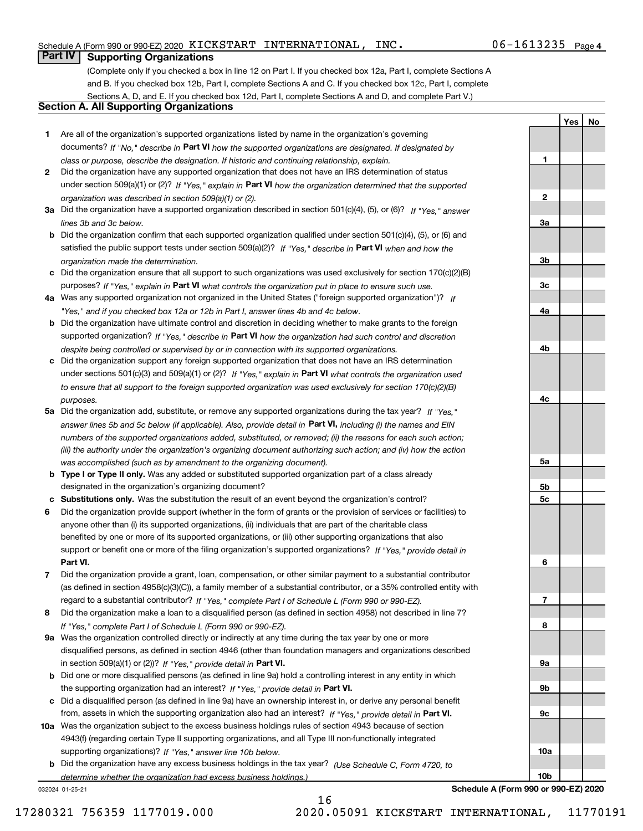# Schedule A (Form 990 or 990-EZ) 2020  $\,$  K<code>ICKSTART INTERNATIONAL</code> ,  $\,$  <code>INC</code> .  $\,$  <code>O6–1613235</code>  $\,$  <code>Page</code>

(Complete only if you checked a box in line 12 on Part I. If you checked box 12a, Part I, complete Sections A and B. If you checked box 12b, Part I, complete Sections A and C. If you checked box 12c, Part I, complete Sections A, D, and E. If you checked box 12d, Part I, complete Sections A and D, and complete Part V.)

# **Section A. All Supporting Organizations**

- **1** Are all of the organization's supported organizations listed by name in the organization's governing documents? If "No," describe in **Part VI** how the supported organizations are designated. If designated by *class or purpose, describe the designation. If historic and continuing relationship, explain.*
- **2** Did the organization have any supported organization that does not have an IRS determination of status under section 509(a)(1) or (2)? If "Yes," explain in Part VI how the organization determined that the supported *organization was described in section 509(a)(1) or (2).*
- **3a** Did the organization have a supported organization described in section 501(c)(4), (5), or (6)? If "Yes," answer *lines 3b and 3c below.*
- **b** Did the organization confirm that each supported organization qualified under section 501(c)(4), (5), or (6) and satisfied the public support tests under section 509(a)(2)? If "Yes," describe in **Part VI** when and how the *organization made the determination.*
- **c**Did the organization ensure that all support to such organizations was used exclusively for section 170(c)(2)(B) purposes? If "Yes," explain in **Part VI** what controls the organization put in place to ensure such use.
- **4a***If* Was any supported organization not organized in the United States ("foreign supported organization")? *"Yes," and if you checked box 12a or 12b in Part I, answer lines 4b and 4c below.*
- **b** Did the organization have ultimate control and discretion in deciding whether to make grants to the foreign supported organization? If "Yes," describe in **Part VI** how the organization had such control and discretion *despite being controlled or supervised by or in connection with its supported organizations.*
- **c** Did the organization support any foreign supported organization that does not have an IRS determination under sections 501(c)(3) and 509(a)(1) or (2)? If "Yes," explain in **Part VI** what controls the organization used *to ensure that all support to the foreign supported organization was used exclusively for section 170(c)(2)(B) purposes.*
- **5a** Did the organization add, substitute, or remove any supported organizations during the tax year? If "Yes," answer lines 5b and 5c below (if applicable). Also, provide detail in **Part VI,** including (i) the names and EIN *numbers of the supported organizations added, substituted, or removed; (ii) the reasons for each such action; (iii) the authority under the organization's organizing document authorizing such action; and (iv) how the action was accomplished (such as by amendment to the organizing document).*
- **b** Type I or Type II only. Was any added or substituted supported organization part of a class already designated in the organization's organizing document?
- **cSubstitutions only.**  Was the substitution the result of an event beyond the organization's control?
- **6** Did the organization provide support (whether in the form of grants or the provision of services or facilities) to **Part VI.** *If "Yes," provide detail in* support or benefit one or more of the filing organization's supported organizations? anyone other than (i) its supported organizations, (ii) individuals that are part of the charitable class benefited by one or more of its supported organizations, or (iii) other supporting organizations that also
- **7**Did the organization provide a grant, loan, compensation, or other similar payment to a substantial contributor *If "Yes," complete Part I of Schedule L (Form 990 or 990-EZ).* regard to a substantial contributor? (as defined in section 4958(c)(3)(C)), a family member of a substantial contributor, or a 35% controlled entity with
- **8** Did the organization make a loan to a disqualified person (as defined in section 4958) not described in line 7? *If "Yes," complete Part I of Schedule L (Form 990 or 990-EZ).*
- **9a** Was the organization controlled directly or indirectly at any time during the tax year by one or more in section 509(a)(1) or (2))? If "Yes," *provide detail in* <code>Part VI.</code> disqualified persons, as defined in section 4946 (other than foundation managers and organizations described
- **b** Did one or more disqualified persons (as defined in line 9a) hold a controlling interest in any entity in which the supporting organization had an interest? If "Yes," provide detail in P**art VI**.
- **c**Did a disqualified person (as defined in line 9a) have an ownership interest in, or derive any personal benefit from, assets in which the supporting organization also had an interest? If "Yes," provide detail in P**art VI.**
- **10a** Was the organization subject to the excess business holdings rules of section 4943 because of section supporting organizations)? If "Yes," answer line 10b below. 4943(f) (regarding certain Type II supporting organizations, and all Type III non-functionally integrated
- **b** Did the organization have any excess business holdings in the tax year? (Use Schedule C, Form 4720, to *determine whether the organization had excess business holdings.)*

16

032024 01-25-21

**Yes No 123a3b3c4a4b4c5a 5b5c6789a 9b**

**Schedule A (Form 990 or 990-EZ) 2020**

**9c**

**10a**

**10b**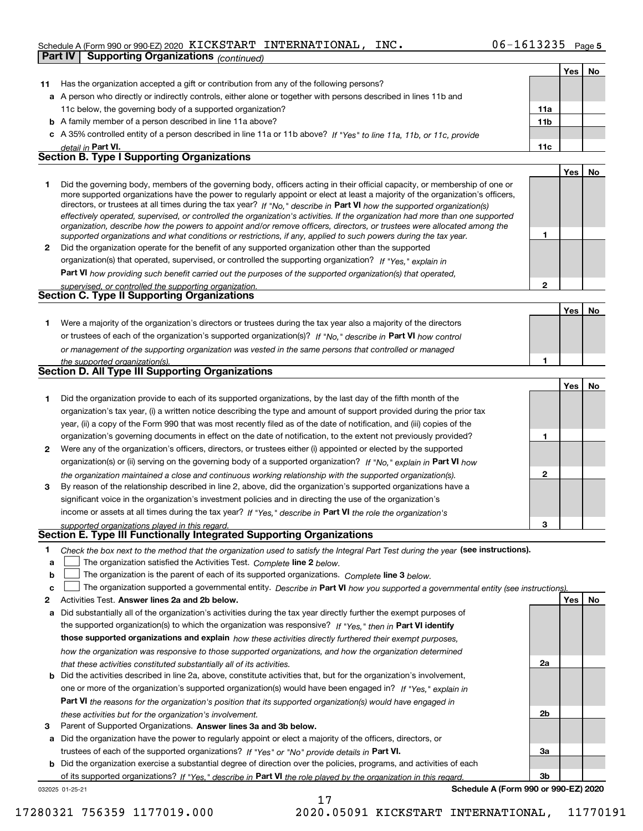# Schedule A (Form 990 or 990-EZ) 2020  $\,$  K<code>ICKSTART INTERNATIONAL</code> ,  $\,$  <code>INC</code> .  $\,$  <code>O6–1613235</code>  $\,$  <code>Page</code>

|              | <b>Supporting Organizations (continued)</b><br>Part IV                                                                                                                                                                                                     |                 |     |    |
|--------------|------------------------------------------------------------------------------------------------------------------------------------------------------------------------------------------------------------------------------------------------------------|-----------------|-----|----|
|              |                                                                                                                                                                                                                                                            |                 | Yes | No |
| 11           | Has the organization accepted a gift or contribution from any of the following persons?                                                                                                                                                                    |                 |     |    |
|              | a A person who directly or indirectly controls, either alone or together with persons described in lines 11b and                                                                                                                                           |                 |     |    |
|              | 11c below, the governing body of a supported organization?                                                                                                                                                                                                 | 11a             |     |    |
|              | <b>b</b> A family member of a person described in line 11a above?                                                                                                                                                                                          | 11 <sub>b</sub> |     |    |
|              | c A 35% controlled entity of a person described in line 11a or 11b above? If "Yes" to line 11a, 11b, or 11c, provide                                                                                                                                       |                 |     |    |
|              | detail in Part VI.                                                                                                                                                                                                                                         | 11c             |     |    |
|              | <b>Section B. Type I Supporting Organizations</b>                                                                                                                                                                                                          |                 |     |    |
|              |                                                                                                                                                                                                                                                            |                 | Yes | No |
| 1.           | Did the governing body, members of the governing body, officers acting in their official capacity, or membership of one or                                                                                                                                 |                 |     |    |
|              | more supported organizations have the power to regularly appoint or elect at least a majority of the organization's officers,                                                                                                                              |                 |     |    |
|              | directors, or trustees at all times during the tax year? If "No," describe in Part VI how the supported organization(s)                                                                                                                                    |                 |     |    |
|              | effectively operated, supervised, or controlled the organization's activities. If the organization had more than one supported<br>organization, describe how the powers to appoint and/or remove officers, directors, or trustees were allocated among the |                 |     |    |
|              | supported organizations and what conditions or restrictions, if any, applied to such powers during the tax year.                                                                                                                                           | 1               |     |    |
| $\mathbf{2}$ | Did the organization operate for the benefit of any supported organization other than the supported                                                                                                                                                        |                 |     |    |
|              | organization(s) that operated, supervised, or controlled the supporting organization? If "Yes," explain in                                                                                                                                                 |                 |     |    |
|              | <b>Part VI</b> how providing such benefit carried out the purposes of the supported organization(s) that operated,                                                                                                                                         |                 |     |    |
|              | supervised, or controlled the supporting organization.                                                                                                                                                                                                     | $\mathbf{2}$    |     |    |
|              | Section C. Type II Supporting Organizations                                                                                                                                                                                                                |                 |     |    |
|              |                                                                                                                                                                                                                                                            |                 | Yes | No |
| 1.           | Were a majority of the organization's directors or trustees during the tax year also a majority of the directors                                                                                                                                           |                 |     |    |
|              | or trustees of each of the organization's supported organization(s)? If "No," describe in Part VI how control                                                                                                                                              |                 |     |    |
|              | or management of the supporting organization was vested in the same persons that controlled or managed                                                                                                                                                     |                 |     |    |
|              | the supported organization(s).                                                                                                                                                                                                                             | 1               |     |    |
|              | Section D. All Type III Supporting Organizations                                                                                                                                                                                                           |                 |     |    |
|              |                                                                                                                                                                                                                                                            |                 | Yes | No |
| 1            | Did the organization provide to each of its supported organizations, by the last day of the fifth month of the                                                                                                                                             |                 |     |    |
|              | organization's tax year, (i) a written notice describing the type and amount of support provided during the prior tax                                                                                                                                      |                 |     |    |
|              | year, (ii) a copy of the Form 990 that was most recently filed as of the date of notification, and (iii) copies of the                                                                                                                                     |                 |     |    |
|              | organization's governing documents in effect on the date of notification, to the extent not previously provided?                                                                                                                                           | 1               |     |    |
| 2            | Were any of the organization's officers, directors, or trustees either (i) appointed or elected by the supported                                                                                                                                           |                 |     |    |
|              | organization(s) or (ii) serving on the governing body of a supported organization? If "No," explain in Part VI how                                                                                                                                         |                 |     |    |
|              | the organization maintained a close and continuous working relationship with the supported organization(s).                                                                                                                                                | $\mathbf{2}$    |     |    |
| 3            | By reason of the relationship described in line 2, above, did the organization's supported organizations have a                                                                                                                                            |                 |     |    |
|              | significant voice in the organization's investment policies and in directing the use of the organization's                                                                                                                                                 |                 |     |    |
|              | income or assets at all times during the tax year? If "Yes," describe in Part VI the role the organization's                                                                                                                                               |                 |     |    |
|              | supported organizations played in this regard.<br>Section E. Type III Functionally Integrated Supporting Organizations                                                                                                                                     | з               |     |    |
| 1            |                                                                                                                                                                                                                                                            |                 |     |    |
| a            | Check the box next to the method that the organization used to satisfy the Integral Part Test during the year (see instructions).<br>The organization satisfied the Activities Test. Complete line 2 below.                                                |                 |     |    |
| b            | The organization is the parent of each of its supported organizations. Complete line 3 below.                                                                                                                                                              |                 |     |    |
| c            | The organization supported a governmental entity. Describe in Part VI how you supported a governmental entity (see instructions).                                                                                                                          |                 |     |    |
| 2            | Activities Test. Answer lines 2a and 2b below.                                                                                                                                                                                                             |                 | Yes | No |
| a            | Did substantially all of the organization's activities during the tax year directly further the exempt purposes of                                                                                                                                         |                 |     |    |
|              | the supported organization(s) to which the organization was responsive? If "Yes," then in Part VI identify                                                                                                                                                 |                 |     |    |
|              | those supported organizations and explain how these activities directly furthered their exempt purposes,                                                                                                                                                   |                 |     |    |
|              | how the organization was responsive to those supported organizations, and how the organization determined                                                                                                                                                  |                 |     |    |
|              | that these activities constituted substantially all of its activities.                                                                                                                                                                                     | 2a              |     |    |
|              | <b>b</b> Did the activities described in line 2a, above, constitute activities that, but for the organization's involvement,                                                                                                                               |                 |     |    |
|              | one or more of the organization's supported organization(s) would have been engaged in? If "Yes," explain in                                                                                                                                               |                 |     |    |
|              | <b>Part VI</b> the reasons for the organization's position that its supported organization(s) would have engaged in                                                                                                                                        |                 |     |    |
|              | these activities but for the organization's involvement.                                                                                                                                                                                                   | 2b              |     |    |
| З            | Parent of Supported Organizations. Answer lines 3a and 3b below.                                                                                                                                                                                           |                 |     |    |

**a** Did the organization have the power to regularly appoint or elect a majority of the officers, directors, or trustees of each of the supported organizations? If "Yes" or "No" provide details in **Part VI.** 

**b** Did the organization exercise a substantial degree of direction over the policies, programs, and activities of each of its supported organizations? If "Yes," describe in Part VI the role played by the organization in this regard.

17

032025 01-25-21

**Schedule A (Form 990 or 990-EZ) 2020**

**3a**

**3b**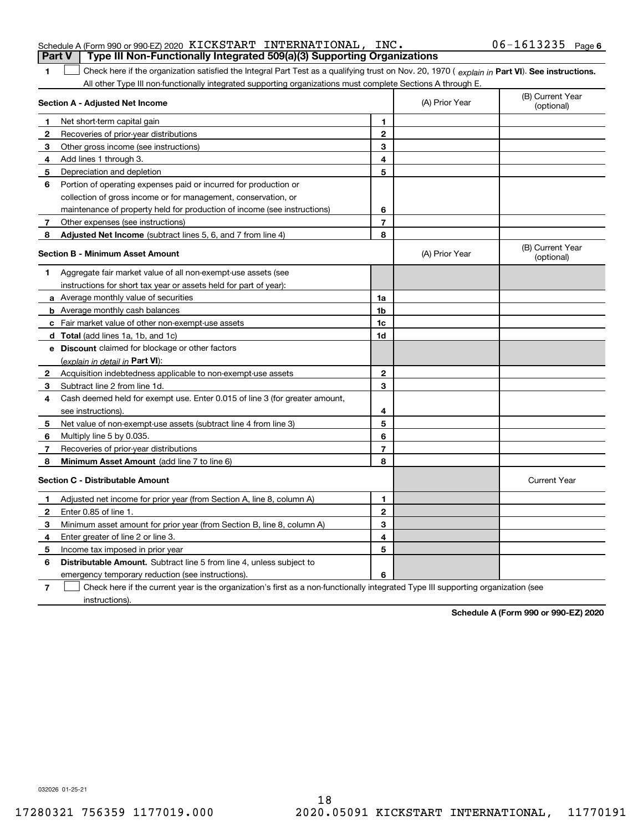# **1Part V Type III Non-Functionally Integrated 509(a)(3) Supporting Organizations**

1 Check here if the organization satisfied the Integral Part Test as a qualifying trust on Nov. 20, 1970 (explain in Part VI). See instructions. All other Type III non-functionally integrated supporting organizations must complete Sections A through E.

|              | Section A - Adjusted Net Income                                             |                         | (A) Prior Year | (B) Current Year<br>(optional) |
|--------------|-----------------------------------------------------------------------------|-------------------------|----------------|--------------------------------|
| 1            | Net short-term capital gain                                                 | 1                       |                |                                |
| 2            | Recoveries of prior-year distributions                                      | $\mathbf{2}$            |                |                                |
| 3            | Other gross income (see instructions)                                       | 3                       |                |                                |
| 4            | Add lines 1 through 3.                                                      | 4                       |                |                                |
| 5            | Depreciation and depletion                                                  | 5                       |                |                                |
| 6            | Portion of operating expenses paid or incurred for production or            |                         |                |                                |
|              | collection of gross income or for management, conservation, or              |                         |                |                                |
|              | maintenance of property held for production of income (see instructions)    | 6                       |                |                                |
| 7            | Other expenses (see instructions)                                           | $\overline{\mathbf{r}}$ |                |                                |
| 8            | <b>Adjusted Net Income</b> (subtract lines 5, 6, and 7 from line 4)         | 8                       |                |                                |
|              | <b>Section B - Minimum Asset Amount</b>                                     |                         | (A) Prior Year | (B) Current Year<br>(optional) |
| 1            | Aggregate fair market value of all non-exempt-use assets (see               |                         |                |                                |
|              | instructions for short tax year or assets held for part of year):           |                         |                |                                |
|              | <b>a</b> Average monthly value of securities                                | 1a                      |                |                                |
|              | <b>b</b> Average monthly cash balances                                      | 1b                      |                |                                |
|              | c Fair market value of other non-exempt-use assets                          | 1c                      |                |                                |
|              | <b>d</b> Total (add lines 1a, 1b, and 1c)                                   | 1d                      |                |                                |
|              | e Discount claimed for blockage or other factors                            |                         |                |                                |
|              | (explain in detail in Part VI):                                             |                         |                |                                |
| $\mathbf{2}$ | Acquisition indebtedness applicable to non-exempt-use assets                | $\mathbf{2}$            |                |                                |
| 3            | Subtract line 2 from line 1d.                                               | 3                       |                |                                |
| 4            | Cash deemed held for exempt use. Enter 0.015 of line 3 (for greater amount, |                         |                |                                |
|              | see instructions).                                                          | 4                       |                |                                |
| 5            | Net value of non-exempt-use assets (subtract line 4 from line 3)            | 5                       |                |                                |
| 6            | Multiply line 5 by 0.035.                                                   | 6                       |                |                                |
| 7            | Recoveries of prior-year distributions                                      | $\overline{7}$          |                |                                |
| 8            | Minimum Asset Amount (add line 7 to line 6)                                 | 8                       |                |                                |
|              | <b>Section C - Distributable Amount</b>                                     |                         |                | <b>Current Year</b>            |
| 1            | Adjusted net income for prior year (from Section A, line 8, column A)       | 1                       |                |                                |
| $\mathbf{2}$ | Enter 0.85 of line 1                                                        | $\mathbf{2}$            |                |                                |
| 3            | Minimum asset amount for prior year (from Section B, line 8, column A)      | 3                       |                |                                |
| 4            | Enter greater of line 2 or line 3.                                          | 4                       |                |                                |
| 5            | Income tax imposed in prior year                                            | 5                       |                |                                |
| 6            | <b>Distributable Amount.</b> Subtract line 5 from line 4, unless subject to |                         |                |                                |
|              | emergency temporary reduction (see instructions).                           | 6                       |                |                                |
|              |                                                                             |                         |                |                                |

**7**Check here if the current year is the organization's first as a non-functionally integrated Type III supporting organization (see instructions).

**Schedule A (Form 990 or 990-EZ) 2020**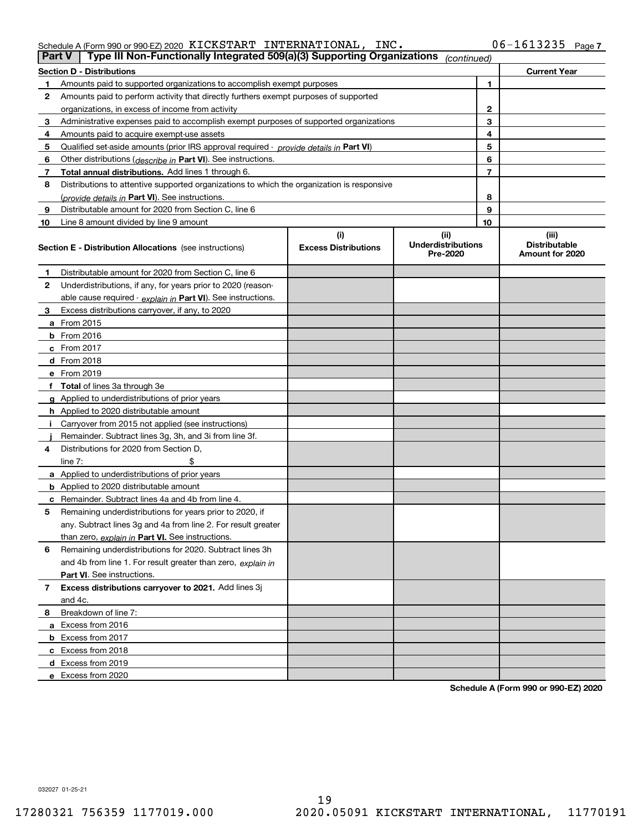|  | Schedule A (Form 990 or 990-EZ) 2020 $\,$ <code>KICKSTART INTERNATIONAL</code> , $\,$ $\,$ $\,$ | INC. | $06 - 1613235$ Page 7 |  |
|--|-------------------------------------------------------------------------------------------------|------|-----------------------|--|
|  |                                                                                                 |      |                       |  |

| <b>Part V</b> | Type III Non-Functionally Integrated 509(a)(3) Supporting Organizations                    |                             | (continued)                           |                |                                         |
|---------------|--------------------------------------------------------------------------------------------|-----------------------------|---------------------------------------|----------------|-----------------------------------------|
|               | <b>Section D - Distributions</b>                                                           |                             |                                       |                | <b>Current Year</b>                     |
| 1             | Amounts paid to supported organizations to accomplish exempt purposes                      |                             | 1                                     |                |                                         |
| 2             | Amounts paid to perform activity that directly furthers exempt purposes of supported       |                             |                                       |                |                                         |
|               | organizations, in excess of income from activity                                           |                             | 2                                     |                |                                         |
| 3             | Administrative expenses paid to accomplish exempt purposes of supported organizations      |                             |                                       | 3              |                                         |
| 4             | Amounts paid to acquire exempt-use assets                                                  |                             |                                       | 4              |                                         |
| 5             | Qualified set-aside amounts (prior IRS approval required - provide details in Part VI)     |                             |                                       | 5              |                                         |
| 6             | Other distributions ( <i>describe in</i> Part VI). See instructions.                       |                             |                                       | 6              |                                         |
| 7             | Total annual distributions. Add lines 1 through 6.                                         |                             |                                       | $\overline{7}$ |                                         |
| 8             | Distributions to attentive supported organizations to which the organization is responsive |                             |                                       |                |                                         |
|               | (provide details in Part VI). See instructions.                                            |                             |                                       | 8              |                                         |
| 9             | Distributable amount for 2020 from Section C, line 6                                       |                             |                                       | 9              |                                         |
| 10            | Line 8 amount divided by line 9 amount                                                     |                             |                                       | 10             |                                         |
|               |                                                                                            | (i)                         | (ii)                                  |                | (iii)                                   |
|               | <b>Section E - Distribution Allocations</b> (see instructions)                             | <b>Excess Distributions</b> | <b>Underdistributions</b><br>Pre-2020 |                | <b>Distributable</b><br>Amount for 2020 |
| 1             | Distributable amount for 2020 from Section C, line 6                                       |                             |                                       |                |                                         |
| 2             | Underdistributions, if any, for years prior to 2020 (reason-                               |                             |                                       |                |                                         |
|               | able cause required - explain in Part VI). See instructions.                               |                             |                                       |                |                                         |
| 3             | Excess distributions carryover, if any, to 2020                                            |                             |                                       |                |                                         |
|               | <b>a</b> From 2015                                                                         |                             |                                       |                |                                         |
|               | <b>b</b> From 2016                                                                         |                             |                                       |                |                                         |
|               | c From 2017                                                                                |                             |                                       |                |                                         |
|               | <b>d</b> From 2018                                                                         |                             |                                       |                |                                         |
|               | e From 2019                                                                                |                             |                                       |                |                                         |
|               | f Total of lines 3a through 3e                                                             |                             |                                       |                |                                         |
|               | g Applied to underdistributions of prior years                                             |                             |                                       |                |                                         |
|               | <b>h</b> Applied to 2020 distributable amount                                              |                             |                                       |                |                                         |
|               | Carryover from 2015 not applied (see instructions)                                         |                             |                                       |                |                                         |
|               | Remainder. Subtract lines 3g, 3h, and 3i from line 3f.                                     |                             |                                       |                |                                         |
| 4             | Distributions for 2020 from Section D,                                                     |                             |                                       |                |                                         |
|               | line $7:$                                                                                  |                             |                                       |                |                                         |
|               | a Applied to underdistributions of prior years                                             |                             |                                       |                |                                         |
|               | <b>b</b> Applied to 2020 distributable amount                                              |                             |                                       |                |                                         |
|               | c Remainder. Subtract lines 4a and 4b from line 4.                                         |                             |                                       |                |                                         |
| 5             | Remaining underdistributions for years prior to 2020, if                                   |                             |                                       |                |                                         |
|               | any. Subtract lines 3g and 4a from line 2. For result greater                              |                             |                                       |                |                                         |
|               | than zero, explain in Part VI. See instructions.                                           |                             |                                       |                |                                         |
| 6             | Remaining underdistributions for 2020. Subtract lines 3h                                   |                             |                                       |                |                                         |
|               | and 4b from line 1. For result greater than zero, explain in                               |                             |                                       |                |                                         |
|               | Part VI. See instructions.                                                                 |                             |                                       |                |                                         |
| 7             | Excess distributions carryover to 2021. Add lines 3j                                       |                             |                                       |                |                                         |
|               | and 4c.                                                                                    |                             |                                       |                |                                         |
| 8             | Breakdown of line 7:                                                                       |                             |                                       |                |                                         |
|               | a Excess from 2016                                                                         |                             |                                       |                |                                         |
|               | <b>b</b> Excess from 2017                                                                  |                             |                                       |                |                                         |
|               | c Excess from 2018                                                                         |                             |                                       |                |                                         |
|               | d Excess from 2019                                                                         |                             |                                       |                |                                         |
|               | e Excess from 2020                                                                         |                             |                                       |                |                                         |
|               |                                                                                            |                             |                                       |                |                                         |

**Schedule A (Form 990 or 990-EZ) 2020**

032027 01-25-21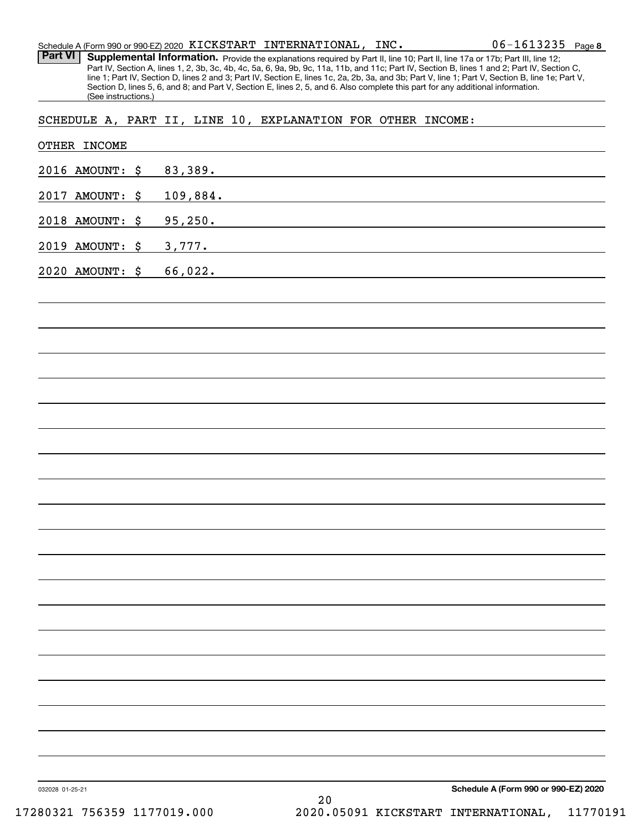|  | Schedule A (Form 990 or 990-EZ) 2020 $\,$ KICKSTART $\,$ INTERNATIONAL , $\,$ INC $_{\bullet}$ | $06 - 1613235$ Page 8 |  |
|--|------------------------------------------------------------------------------------------------|-----------------------|--|
|  |                                                                                                |                       |  |

Part VI | Supplemental Information. Provide the explanations required by Part II, line 10; Part II, line 17a or 17b; Part III, line 12; Part IV, Section A, lines 1, 2, 3b, 3c, 4b, 4c, 5a, 6, 9a, 9b, 9c, 11a, 11b, and 11c; Part IV, Section B, lines 1 and 2; Part IV, Section C, line 1; Part IV, Section D, lines 2 and 3; Part IV, Section E, lines 1c, 2a, 2b, 3a, and 3b; Part V, line 1; Part V, Section B, line 1e; Part V, Section D, lines 5, 6, and 8; and Part V, Section E, lines 2, 5, and 6. Also complete this part for any additional information. (See instructions.)

SCHEDULE A, PART II, LINE 10, EXPLANATION FOR OTHER INCOME:

| 2016 AMOUNT: \$ | 83,389.                              |  |
|-----------------|--------------------------------------|--|
| 2017 AMOUNT: \$ | 109,884.                             |  |
| 2018 AMOUNT: \$ | 95, 250.                             |  |
| 2019 AMOUNT: \$ | 3,777.                               |  |
| 2020 AMOUNT: \$ | 66,022.                              |  |
|                 |                                      |  |
|                 |                                      |  |
|                 |                                      |  |
|                 |                                      |  |
|                 |                                      |  |
|                 |                                      |  |
|                 |                                      |  |
|                 |                                      |  |
|                 |                                      |  |
|                 |                                      |  |
|                 |                                      |  |
|                 |                                      |  |
|                 |                                      |  |
|                 |                                      |  |
|                 |                                      |  |
|                 |                                      |  |
|                 |                                      |  |
|                 |                                      |  |
|                 |                                      |  |
|                 |                                      |  |
| 032028 01-25-21 | Schedule A (Form 990 or 990-EZ) 2020 |  |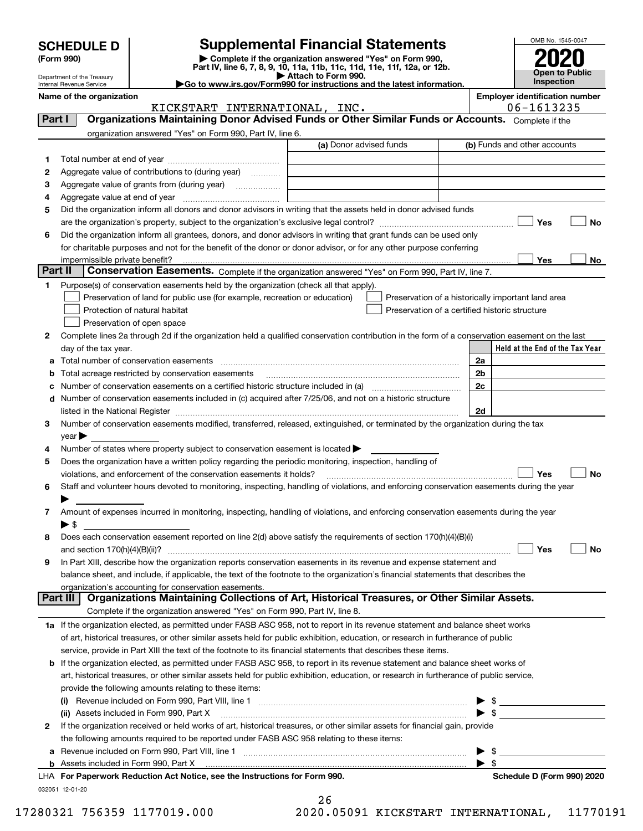| <b>SCHEDULE D</b> |  |
|-------------------|--|
|-------------------|--|

Department of the Treasury Internal Revenue Service

# **SCHEDULE D Supplemental Financial Statements**

(Form 990)<br>
Pepartment of the Treasury<br>
Department of the Treasury<br>
Department of the Treasury<br>
Department of the Treasury<br> **Co to www.irs.gov/Form990 for instructions and the latest information.**<br> **Co to www.irs.gov/Form9** 



**Name of the organization Employer identification number**

OMB No. 1545-0047

|         | KICKSTART INTERNATIONAL, INC.                                                                                                                  | 06-1613235                                         |
|---------|------------------------------------------------------------------------------------------------------------------------------------------------|----------------------------------------------------|
| Part I  | Organizations Maintaining Donor Advised Funds or Other Similar Funds or Accounts. Complete if the                                              |                                                    |
|         | organization answered "Yes" on Form 990, Part IV, line 6.                                                                                      |                                                    |
|         | (a) Donor advised funds                                                                                                                        | (b) Funds and other accounts                       |
| 1       |                                                                                                                                                |                                                    |
| 2       | Aggregate value of contributions to (during year)                                                                                              |                                                    |
| з       | Aggregate value of grants from (during year)                                                                                                   |                                                    |
| 4       |                                                                                                                                                |                                                    |
| 5       | Did the organization inform all donors and donor advisors in writing that the assets held in donor advised funds                               |                                                    |
|         |                                                                                                                                                | Yes<br>No                                          |
| 6       | Did the organization inform all grantees, donors, and donor advisors in writing that grant funds can be used only                              |                                                    |
|         | for charitable purposes and not for the benefit of the donor or donor advisor, or for any other purpose conferring                             |                                                    |
|         | impermissible private benefit?                                                                                                                 | Yes<br>No                                          |
| Part II | Conservation Easements. Complete if the organization answered "Yes" on Form 990, Part IV, line 7.                                              |                                                    |
| 1       | Purpose(s) of conservation easements held by the organization (check all that apply).                                                          |                                                    |
|         | Preservation of land for public use (for example, recreation or education)                                                                     | Preservation of a historically important land area |
|         | Protection of natural habitat                                                                                                                  | Preservation of a certified historic structure     |
|         | Preservation of open space                                                                                                                     |                                                    |
| 2       | Complete lines 2a through 2d if the organization held a qualified conservation contribution in the form of a conservation easement on the last |                                                    |
|         | day of the tax year.                                                                                                                           | Held at the End of the Tax Year                    |
| а       | Total number of conservation easements                                                                                                         | 2a                                                 |
| b       | Total acreage restricted by conservation easements                                                                                             | 2 <sub>b</sub>                                     |
| c       | Number of conservation easements on a certified historic structure included in (a) manufacture included in (a)                                 | 2c                                                 |
|         | d Number of conservation easements included in (c) acquired after 7/25/06, and not on a historic structure                                     |                                                    |
|         |                                                                                                                                                | 2d                                                 |
| З.      | Number of conservation easements modified, transferred, released, extinguished, or terminated by the organization during the tax               |                                                    |
|         | $year \blacktriangleright$                                                                                                                     |                                                    |
| 4       | Number of states where property subject to conservation easement is located >                                                                  |                                                    |
| 5       | Does the organization have a written policy regarding the periodic monitoring, inspection, handling of                                         |                                                    |
|         | violations, and enforcement of the conservation easements it holds?                                                                            | Yes<br>No                                          |
| 6       | Staff and volunteer hours devoted to monitoring, inspecting, handling of violations, and enforcing conservation easements during the year      |                                                    |
|         |                                                                                                                                                |                                                    |
| 7       | Amount of expenses incurred in monitoring, inspecting, handling of violations, and enforcing conservation easements during the year            |                                                    |
|         | $\blacktriangleright$ \$                                                                                                                       |                                                    |
| 8       | Does each conservation easement reported on line 2(d) above satisfy the requirements of section 170(h)(4)(B)(i)                                |                                                    |
|         |                                                                                                                                                | Yes<br>No                                          |
| 9       | In Part XIII, describe how the organization reports conservation easements in its revenue and expense statement and                            |                                                    |
|         | balance sheet, and include, if applicable, the text of the footnote to the organization's financial statements that describes the              |                                                    |
|         | organization's accounting for conservation easements.                                                                                          |                                                    |
|         | Organizations Maintaining Collections of Art, Historical Treasures, or Other Similar Assets.<br>Part III                                       |                                                    |
|         | Complete if the organization answered "Yes" on Form 990, Part IV, line 8.                                                                      |                                                    |
|         | 1a If the organization elected, as permitted under FASB ASC 958, not to report in its revenue statement and balance sheet works                |                                                    |
|         | of art, historical treasures, or other similar assets held for public exhibition, education, or research in furtherance of public              |                                                    |
|         | service, provide in Part XIII the text of the footnote to its financial statements that describes these items.                                 |                                                    |
|         | b If the organization elected, as permitted under FASB ASC 958, to report in its revenue statement and balance sheet works of                  |                                                    |
|         | art, historical treasures, or other similar assets held for public exhibition, education, or research in furtherance of public service,        |                                                    |
|         | provide the following amounts relating to these items:                                                                                         |                                                    |
|         |                                                                                                                                                | - \$                                               |
|         | (ii) Assets included in Form 990, Part X                                                                                                       | \$                                                 |
| 2       | If the organization received or held works of art, historical treasures, or other similar assets for financial gain, provide                   |                                                    |
|         | the following amounts required to be reported under FASB ASC 958 relating to these items:                                                      |                                                    |
|         | Revenue included on Form 990, Part VIII, line 1 [2000] [2000] [2000] [2000] [3000] [3000] [3000] [3000] [3000                                  | - \$                                               |
| а       | <b>b</b> Assets included in Form 990, Part X                                                                                                   | ▶<br>$\blacktriangleright$ \$                      |
|         | LHA For Paperwork Reduction Act Notice, see the Instructions for Form 990.                                                                     | Schedule D (Form 990) 2020                         |
|         | 032051 12-01-20                                                                                                                                |                                                    |

| 26  |  |       |  |  |  |
|-----|--|-------|--|--|--|
| ^ ^ |  | 0.001 |  |  |  |

 $\sim$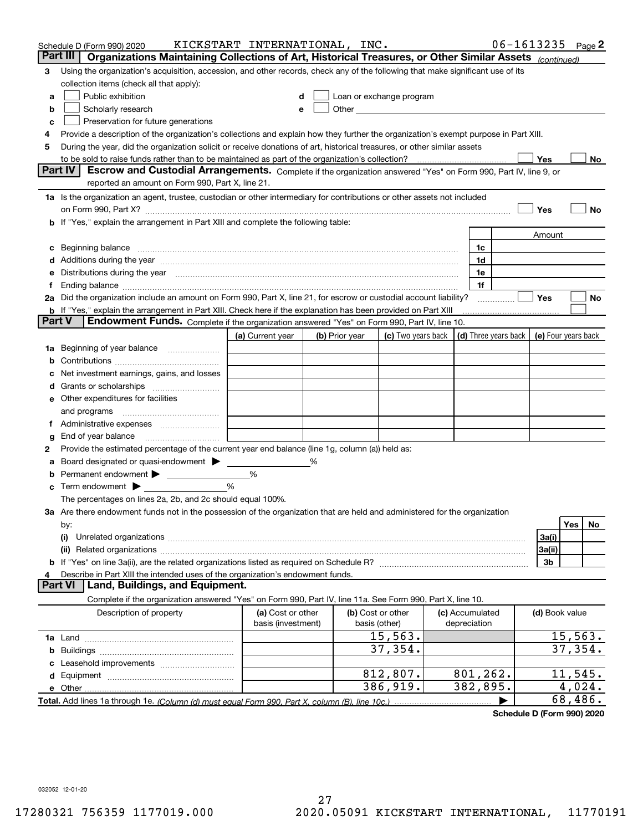|        | Schedule D (Form 990) 2020                                                                                                                                                                                                     | KICKSTART INTERNATIONAL, INC. |   |                |                                                                                                                                                                                                                               |                 | $06 - 1613235$       |                     |         | Page 2 |
|--------|--------------------------------------------------------------------------------------------------------------------------------------------------------------------------------------------------------------------------------|-------------------------------|---|----------------|-------------------------------------------------------------------------------------------------------------------------------------------------------------------------------------------------------------------------------|-----------------|----------------------|---------------------|---------|--------|
|        | Organizations Maintaining Collections of Art, Historical Treasures, or Other Similar Assets (continued)<br>Part III                                                                                                            |                               |   |                |                                                                                                                                                                                                                               |                 |                      |                     |         |        |
| 3      | Using the organization's acquisition, accession, and other records, check any of the following that make significant use of its                                                                                                |                               |   |                |                                                                                                                                                                                                                               |                 |                      |                     |         |        |
|        | collection items (check all that apply):                                                                                                                                                                                       |                               |   |                |                                                                                                                                                                                                                               |                 |                      |                     |         |        |
| a      | Public exhibition                                                                                                                                                                                                              |                               |   |                | Loan or exchange program                                                                                                                                                                                                      |                 |                      |                     |         |        |
| b      | Scholarly research                                                                                                                                                                                                             | е                             |   |                | Other and the contract of the contract of the contract of the contract of the contract of the contract of the contract of the contract of the contract of the contract of the contract of the contract of the contract of the |                 |                      |                     |         |        |
| с      | Preservation for future generations                                                                                                                                                                                            |                               |   |                |                                                                                                                                                                                                                               |                 |                      |                     |         |        |
| 4      | Provide a description of the organization's collections and explain how they further the organization's exempt purpose in Part XIII.                                                                                           |                               |   |                |                                                                                                                                                                                                                               |                 |                      |                     |         |        |
| 5      | During the year, did the organization solicit or receive donations of art, historical treasures, or other similar assets                                                                                                       |                               |   |                |                                                                                                                                                                                                                               |                 |                      |                     |         |        |
|        | to be sold to raise funds rather than to be maintained as part of the organization's collection?                                                                                                                               |                               |   |                |                                                                                                                                                                                                                               |                 |                      | Yes                 |         | No     |
|        | <b>Part IV</b><br>Escrow and Custodial Arrangements. Complete if the organization answered "Yes" on Form 990, Part IV, line 9, or                                                                                              |                               |   |                |                                                                                                                                                                                                                               |                 |                      |                     |         |        |
|        | reported an amount on Form 990, Part X, line 21.                                                                                                                                                                               |                               |   |                |                                                                                                                                                                                                                               |                 |                      |                     |         |        |
|        | 1a Is the organization an agent, trustee, custodian or other intermediary for contributions or other assets not included                                                                                                       |                               |   |                |                                                                                                                                                                                                                               |                 |                      |                     |         |        |
|        | on Form 990, Part X? [11] matter contracts and contracts and contracts are contracted as a form 990, Part X?                                                                                                                   |                               |   |                |                                                                                                                                                                                                                               |                 |                      | Yes                 |         | No     |
|        | b If "Yes," explain the arrangement in Part XIII and complete the following table:                                                                                                                                             |                               |   |                |                                                                                                                                                                                                                               |                 |                      |                     |         |        |
|        |                                                                                                                                                                                                                                |                               |   |                |                                                                                                                                                                                                                               |                 |                      | Amount              |         |        |
| c      | Beginning balance measurements and contain a series of the series of the series of the series of the series of                                                                                                                 |                               |   |                |                                                                                                                                                                                                                               | 1c              |                      |                     |         |        |
|        | Additions during the year manufactured and an annual contract of the year manufactured and all the year manufactured and all the year manufactured and all the year manufactured and all the year manufactured and all the yea |                               |   |                |                                                                                                                                                                                                                               | 1d              |                      |                     |         |        |
|        | Distributions during the year manufactured and continuum and continuum and continuum and continuum and continuum                                                                                                               |                               |   |                |                                                                                                                                                                                                                               | 1e              |                      |                     |         |        |
| Ť.     |                                                                                                                                                                                                                                |                               |   |                |                                                                                                                                                                                                                               | 1f              |                      |                     |         |        |
|        | 2a Did the organization include an amount on Form 990, Part X, line 21, for escrow or custodial account liability?                                                                                                             |                               |   |                |                                                                                                                                                                                                                               |                 | .                    | Yes                 |         | No     |
| Part V | <b>b</b> If "Yes," explain the arrangement in Part XIII. Check here if the explanation has been provided on Part XIII                                                                                                          |                               |   |                |                                                                                                                                                                                                                               |                 |                      |                     |         |        |
|        | Endowment Funds. Complete if the organization answered "Yes" on Form 990, Part IV, line 10.                                                                                                                                    |                               |   |                |                                                                                                                                                                                                                               |                 |                      |                     |         |        |
|        |                                                                                                                                                                                                                                | (a) Current year              |   | (b) Prior year | (c) Two years back                                                                                                                                                                                                            |                 | (d) Three years back | (e) Four years back |         |        |
| 1a     | Beginning of year balance                                                                                                                                                                                                      |                               |   |                |                                                                                                                                                                                                                               |                 |                      |                     |         |        |
|        |                                                                                                                                                                                                                                |                               |   |                |                                                                                                                                                                                                                               |                 |                      |                     |         |        |
|        | Net investment earnings, gains, and losses                                                                                                                                                                                     |                               |   |                |                                                                                                                                                                                                                               |                 |                      |                     |         |        |
| d      |                                                                                                                                                                                                                                |                               |   |                |                                                                                                                                                                                                                               |                 |                      |                     |         |        |
|        | e Other expenditures for facilities                                                                                                                                                                                            |                               |   |                |                                                                                                                                                                                                                               |                 |                      |                     |         |        |
|        | and programs                                                                                                                                                                                                                   |                               |   |                |                                                                                                                                                                                                                               |                 |                      |                     |         |        |
|        | End of year balance                                                                                                                                                                                                            |                               |   |                |                                                                                                                                                                                                                               |                 |                      |                     |         |        |
| g      | Provide the estimated percentage of the current year end balance (line 1g, column (a)) held as:                                                                                                                                |                               |   |                |                                                                                                                                                                                                                               |                 |                      |                     |         |        |
| 2      | Board designated or quasi-endowment                                                                                                                                                                                            |                               | ℅ |                |                                                                                                                                                                                                                               |                 |                      |                     |         |        |
| а      | Permanent endowment > <u>example</u>                                                                                                                                                                                           | %                             |   |                |                                                                                                                                                                                                                               |                 |                      |                     |         |        |
|        | Term endowment $\blacktriangleright$                                                                                                                                                                                           | %                             |   |                |                                                                                                                                                                                                                               |                 |                      |                     |         |        |
|        | The percentages on lines 2a, 2b, and 2c should equal 100%.                                                                                                                                                                     |                               |   |                |                                                                                                                                                                                                                               |                 |                      |                     |         |        |
|        | 3a Are there endowment funds not in the possession of the organization that are held and administered for the organization                                                                                                     |                               |   |                |                                                                                                                                                                                                                               |                 |                      |                     |         |        |
|        | by:                                                                                                                                                                                                                            |                               |   |                |                                                                                                                                                                                                                               |                 |                      |                     | Yes     | No.    |
|        | (i)                                                                                                                                                                                                                            |                               |   |                |                                                                                                                                                                                                                               |                 |                      | 3a(i)               |         |        |
|        |                                                                                                                                                                                                                                |                               |   |                |                                                                                                                                                                                                                               |                 |                      | 3a(ii)              |         |        |
|        |                                                                                                                                                                                                                                |                               |   |                |                                                                                                                                                                                                                               |                 |                      | 3b                  |         |        |
|        | Describe in Part XIII the intended uses of the organization's endowment funds.                                                                                                                                                 |                               |   |                |                                                                                                                                                                                                                               |                 |                      |                     |         |        |
|        | Land, Buildings, and Equipment.<br>Part VI                                                                                                                                                                                     |                               |   |                |                                                                                                                                                                                                                               |                 |                      |                     |         |        |
|        | Complete if the organization answered "Yes" on Form 990, Part IV, line 11a. See Form 990, Part X, line 10.                                                                                                                     |                               |   |                |                                                                                                                                                                                                                               |                 |                      |                     |         |        |
|        | Description of property                                                                                                                                                                                                        | (a) Cost or other             |   |                | (b) Cost or other                                                                                                                                                                                                             | (c) Accumulated |                      | (d) Book value      |         |        |
|        |                                                                                                                                                                                                                                | basis (investment)            |   |                | basis (other)                                                                                                                                                                                                                 | depreciation    |                      |                     |         |        |
|        |                                                                                                                                                                                                                                |                               |   |                | 15,563.                                                                                                                                                                                                                       |                 |                      |                     | 15,563. |        |
| b      |                                                                                                                                                                                                                                |                               |   |                | 37,354.                                                                                                                                                                                                                       |                 |                      |                     | 37,354. |        |
|        |                                                                                                                                                                                                                                |                               |   |                |                                                                                                                                                                                                                               |                 |                      |                     |         |        |
|        |                                                                                                                                                                                                                                |                               |   |                | 812,807.                                                                                                                                                                                                                      | 801,262.        |                      |                     | 11,545. |        |
|        |                                                                                                                                                                                                                                |                               |   |                | 386,919.                                                                                                                                                                                                                      | 382,895.        |                      |                     | 4,024.  |        |
|        |                                                                                                                                                                                                                                |                               |   |                |                                                                                                                                                                                                                               |                 |                      |                     | 68,486. |        |

**Schedule D (Form 990) 2020**

032052 12-01-20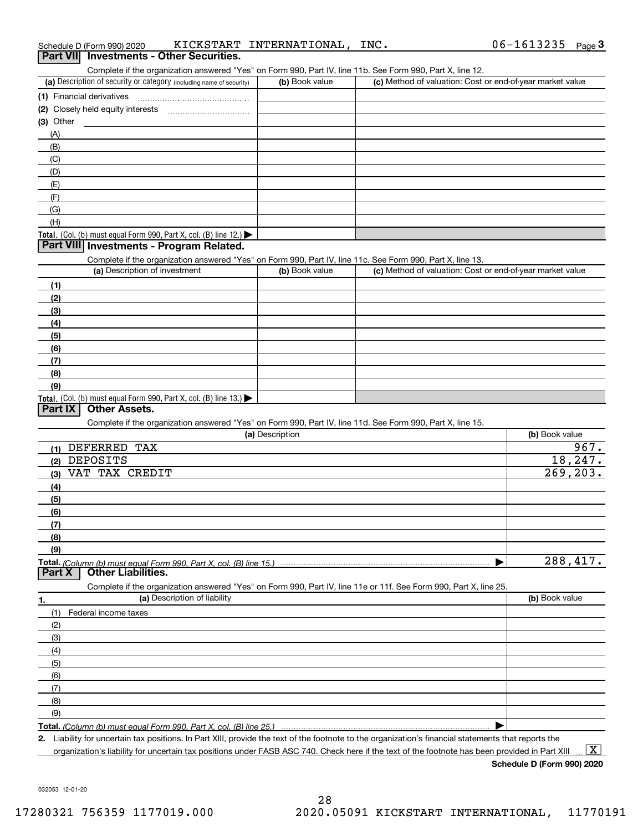| Schedule D (Form 990) 2020 |  | KICKSTART INTERNATIONAL, | INC. |
|----------------------------|--|--------------------------|------|
|                            |  |                          |      |

| Schedule D (Form 990) 2020                                                                                 | KICKSTART INTERNATIONAL, | INC.                                                      | 06-1613235<br>Page $3$ |
|------------------------------------------------------------------------------------------------------------|--------------------------|-----------------------------------------------------------|------------------------|
| <b>Investments - Other Securities.</b><br><b>Part VIII</b>                                                 |                          |                                                           |                        |
| Complete if the organization answered "Yes" on Form 990, Part IV, line 11b. See Form 990, Part X, line 12. |                          |                                                           |                        |
| (a) Description of security or category (including name of security)                                       | (b) Book value           | (c) Method of valuation: Cost or end-of-year market value |                        |
| (1) Financial derivatives                                                                                  |                          |                                                           |                        |
|                                                                                                            |                          |                                                           |                        |
| (3) Other                                                                                                  |                          |                                                           |                        |
| (A)                                                                                                        |                          |                                                           |                        |
| (B)                                                                                                        |                          |                                                           |                        |
| (C)                                                                                                        |                          |                                                           |                        |
| (D)                                                                                                        |                          |                                                           |                        |
| (E)                                                                                                        |                          |                                                           |                        |
| (F)                                                                                                        |                          |                                                           |                        |
| (G)                                                                                                        |                          |                                                           |                        |
| (H)                                                                                                        |                          |                                                           |                        |
| <b>Total.</b> (Col. (b) must equal Form 990, Part X, col. (B) line 12.)                                    |                          |                                                           |                        |
| Part VIII Investments - Program Related.                                                                   |                          |                                                           |                        |
| Complete if the organization answered "Yes" on Form 990, Part IV, line 11c. See Form 990, Part X, line 13. |                          |                                                           |                        |
| (a) Description of investment                                                                              | (b) Book value           | (c) Method of valuation: Cost or end-of-year market value |                        |
| (1)                                                                                                        |                          |                                                           |                        |
| (2)                                                                                                        |                          |                                                           |                        |
| (3)                                                                                                        |                          |                                                           |                        |
| (4)                                                                                                        |                          |                                                           |                        |
| (5)                                                                                                        |                          |                                                           |                        |
| (6)                                                                                                        |                          |                                                           |                        |
| (7)                                                                                                        |                          |                                                           |                        |
| (8)                                                                                                        |                          |                                                           |                        |
| (9)                                                                                                        |                          |                                                           |                        |
| <b>Total.</b> (Col. (b) must equal Form 990, Part X, col. (B) line 13.)                                    |                          |                                                           |                        |
| <b>Other Assets.</b><br>Part IX                                                                            |                          |                                                           |                        |
| Complete if the organization answered "Yes" on Form 990, Part IV, line 11d. See Form 990, Part X, line 15. |                          |                                                           |                        |
|                                                                                                            | (a) Description          |                                                           | (b) Book value         |
| (1) DEFERRED TAX                                                                                           |                          |                                                           | 967.                   |

| .                                                                                                                 |           |
|-------------------------------------------------------------------------------------------------------------------|-----------|
| DEPOSITS<br>(2)                                                                                                   | 18,247.   |
| VAT TAX CREDIT<br>(3)                                                                                             | 269, 203. |
| (4)                                                                                                               |           |
| (5)                                                                                                               |           |
| (6)                                                                                                               |           |
| (7)                                                                                                               |           |
| (8)                                                                                                               |           |
| (9)                                                                                                               |           |
|                                                                                                                   | 288,417.  |
| <b>Part X</b>   Other Liabilities.                                                                                |           |
| Complete if the organization answered "Yes" on Form 990, Part IV, line 11e or 11f. See Form 990, Part X, line 25. |           |
|                                                                                                                   |           |

| (a) Description of liability | (b) Book value |
|------------------------------|----------------|
| Federal income taxes<br>(1)  |                |
| (2)                          |                |
| $\qquad \qquad (3)$          |                |
| (4)                          |                |
| (5)                          |                |
| (6)                          |                |
| (7)                          |                |
| (8)                          |                |
| (9)                          |                |
|                              |                |

**2.**Liability for uncertain tax positions. In Part XIII, provide the text of the footnote to the organization's financial statements that reports the

organization's liability for uncertain tax positions under FASB ASC 740. Check here if the text of the footnote has been provided in Part XIII

**Schedule D (Form 990) 2020**

 $\boxed{\text{X}}$ 

032053 12-01-20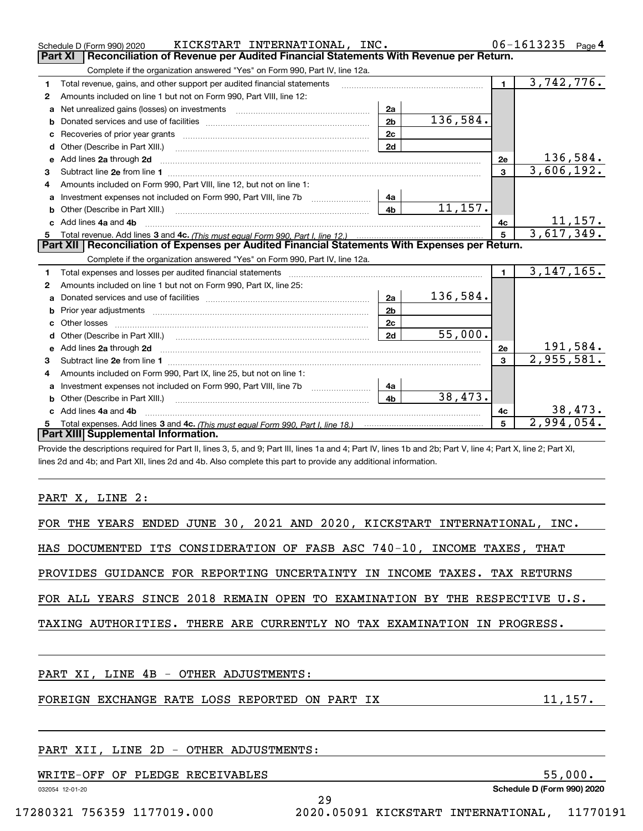|              | KICKSTART INTERNATIONAL, INC.<br>Schedule D (Form 990) 2020                                                                                                                                                                    |                |          |                         | 06-1613235<br>Page 4         |
|--------------|--------------------------------------------------------------------------------------------------------------------------------------------------------------------------------------------------------------------------------|----------------|----------|-------------------------|------------------------------|
|              | <b>Part XI</b><br>Reconciliation of Revenue per Audited Financial Statements With Revenue per Return.                                                                                                                          |                |          |                         |                              |
|              | Complete if the organization answered "Yes" on Form 990, Part IV, line 12a.                                                                                                                                                    |                |          |                         |                              |
| 1            | Total revenue, gains, and other support per audited financial statements                                                                                                                                                       |                |          | $\blacksquare$          | 3,742,776.                   |
| 2            | Amounts included on line 1 but not on Form 990, Part VIII, line 12:                                                                                                                                                            |                |          |                         |                              |
| a            |                                                                                                                                                                                                                                | 2a             |          |                         |                              |
|              |                                                                                                                                                                                                                                | 2 <sub>b</sub> | 136,584. |                         |                              |
| с            |                                                                                                                                                                                                                                | 2 <sub>c</sub> |          |                         |                              |
| d            | Other (Describe in Part XIII.) <b>Construction Contract Construction</b> Chern Construction Construction Construction                                                                                                          | 2d             |          |                         |                              |
| е            | Add lines 2a through 2d                                                                                                                                                                                                        |                |          | 2e                      | 136,584.                     |
| З.           |                                                                                                                                                                                                                                |                |          | $\overline{\mathbf{3}}$ | 3,606,192.                   |
| 4            | Amounts included on Form 990, Part VIII, line 12, but not on line 1:                                                                                                                                                           |                |          |                         |                              |
| a            |                                                                                                                                                                                                                                |                |          |                         |                              |
| b            |                                                                                                                                                                                                                                | 4 <sub>b</sub> | 11,157.  |                         |                              |
| c.           | Add lines 4a and 4b                                                                                                                                                                                                            |                |          | 4c                      | $\frac{11,157}{3,617,349}$ . |
|              |                                                                                                                                                                                                                                |                |          | 5                       |                              |
|              |                                                                                                                                                                                                                                |                |          |                         |                              |
|              | Part XII   Reconciliation of Expenses per Audited Financial Statements With Expenses per Return.                                                                                                                               |                |          |                         |                              |
|              | Complete if the organization answered "Yes" on Form 990, Part IV, line 12a.                                                                                                                                                    |                |          |                         |                              |
| 1            | Total expenses and losses per audited financial statements [11, 11] matter contracts and contract and contract to the statements [11] matter contract and contract and contract and contract and contract and contract and con |                |          | $\mathbf{1}$            | 3,147,165.                   |
| $\mathbf{2}$ | Amounts included on line 1 but not on Form 990, Part IX, line 25:                                                                                                                                                              |                |          |                         |                              |
| a            |                                                                                                                                                                                                                                | 2a             | 136,584. |                         |                              |
| b            |                                                                                                                                                                                                                                | 2 <sub>b</sub> |          |                         |                              |
| c            |                                                                                                                                                                                                                                | 2 <sub>c</sub> |          |                         |                              |
| d            | Other (Describe in Part XIII.) (2000) (2000) (2000) (2010) (2010) (2010) (2010) (2010) (2010) (2010) (2010) (20                                                                                                                | 2d             | 55,000.  |                         |                              |
| е            | Add lines 2a through 2d                                                                                                                                                                                                        |                |          | 2e                      | 191,584.                     |
| 3            |                                                                                                                                                                                                                                |                |          | $\mathbf{a}$            | 2,955,581.                   |
| 4            | Amounts included on Form 990, Part IX, line 25, but not on line 1:                                                                                                                                                             |                |          |                         |                              |
| a            | Investment expenses not included on Form 990, Part VIII, line 7b [1000000000000000000000000000000000                                                                                                                           | 4a             |          |                         |                              |
| b            |                                                                                                                                                                                                                                | 4 <sub>b</sub> | 38,473.  |                         |                              |
|              | Add lines 4a and 4b                                                                                                                                                                                                            |                |          | 4c                      | 38,473.                      |
| 5            | Part XIII Supplemental Information.                                                                                                                                                                                            |                |          | 5                       | 2,994,054.                   |

Provide the descriptions required for Part II, lines 3, 5, and 9; Part III, lines 1a and 4; Part IV, lines 1b and 2b; Part V, line 4; Part X, line 2; Part XI, lines 2d and 4b; and Part XII, lines 2d and 4b. Also complete this part to provide any additional information.

# PART X, LINE 2:

|  |  | FOR THE YEARS ENDED JUNE 30, 2021 AND 2020, KICKSTART INTERNATIONAL, INC. |  |  |  |                                                                            |
|--|--|---------------------------------------------------------------------------|--|--|--|----------------------------------------------------------------------------|
|  |  | HAS DOCUMENTED ITS CONSIDERATION OF FASB ASC 740-10, INCOME TAXES, THAT   |  |  |  |                                                                            |
|  |  | PROVIDES GUIDANCE FOR REPORTING UNCERTAINTY IN INCOME TAXES. TAX RETURNS  |  |  |  |                                                                            |
|  |  |                                                                           |  |  |  | FOR ALL YEARS SINCE 2018 REMAIN OPEN TO EXAMINATION BY THE RESPECTIVE U.S. |
|  |  | TAXING AUTHORITIES. THERE ARE CURRENTLY NO TAX EXAMINATION IN PROGRESS.   |  |  |  |                                                                            |
|  |  |                                                                           |  |  |  |                                                                            |
|  |  | PART XI, LINE 4B - OTHER ADJUSTMENTS:                                     |  |  |  |                                                                            |
|  |  | FOREIGN EXCHANGE RATE LOSS REPORTED ON PART IX                            |  |  |  | 11,157.                                                                    |
|  |  |                                                                           |  |  |  |                                                                            |
|  |  |                                                                           |  |  |  |                                                                            |

29

# PART XII, LINE 2D - OTHER ADJUSTMENTS:

WRITE-OFF OF PLEDGE RECEIVABLES 55,000.

032054 12-01-20

**Schedule D (Form 990) 2020**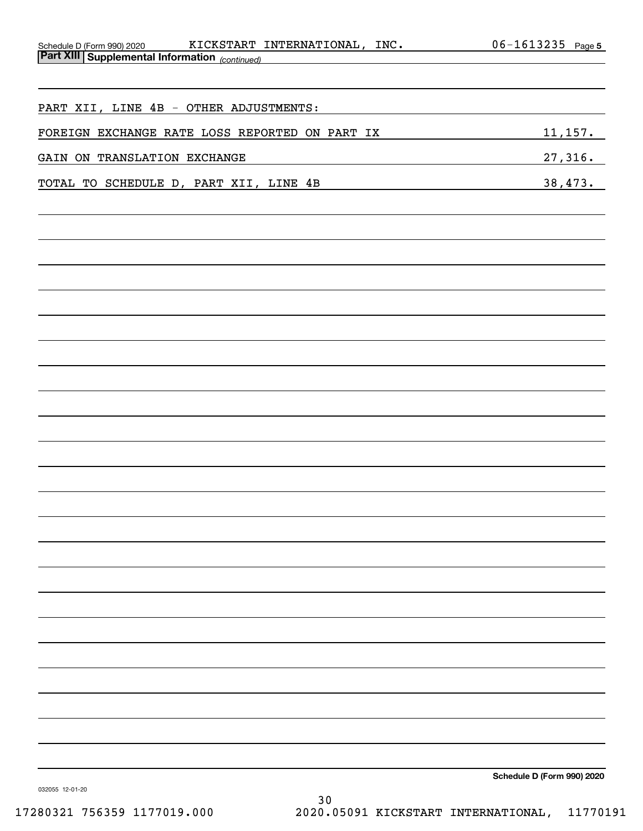| Schedule D (Form 990) 2020 KICKSTART INTERNATIONAL, INC.                                                                                             | $06 - 1613235$ Page 5      |
|------------------------------------------------------------------------------------------------------------------------------------------------------|----------------------------|
| <u>Part XIII Supplemental Information (continued)</u>                                                                                                |                            |
|                                                                                                                                                      |                            |
| PART XII, LINE 4B - OTHER ADJUSTMENTS:                                                                                                               |                            |
| FOREIGN EXCHANGE RATE LOSS REPORTED ON PART IX                                                                                                       | 11,157.                    |
| GAIN ON TRANSLATION EXCHANGE<br><u> 1980 - Johann Barn, amerikan bestemanns og forskellige og det forskellige og det forskellige og det forskell</u> | 27,316.                    |
| TOTAL TO SCHEDULE D, PART XII, LINE 4B                                                                                                               | 38,473.                    |
|                                                                                                                                                      |                            |
|                                                                                                                                                      |                            |
|                                                                                                                                                      |                            |
|                                                                                                                                                      |                            |
|                                                                                                                                                      |                            |
|                                                                                                                                                      |                            |
|                                                                                                                                                      |                            |
|                                                                                                                                                      |                            |
|                                                                                                                                                      |                            |
|                                                                                                                                                      |                            |
|                                                                                                                                                      |                            |
|                                                                                                                                                      |                            |
|                                                                                                                                                      |                            |
|                                                                                                                                                      |                            |
|                                                                                                                                                      |                            |
|                                                                                                                                                      |                            |
|                                                                                                                                                      |                            |
|                                                                                                                                                      |                            |
|                                                                                                                                                      |                            |
|                                                                                                                                                      |                            |
|                                                                                                                                                      |                            |
|                                                                                                                                                      |                            |
|                                                                                                                                                      |                            |
|                                                                                                                                                      |                            |
|                                                                                                                                                      |                            |
|                                                                                                                                                      |                            |
|                                                                                                                                                      | Schedule D (Form 990) 2020 |

032055 12-01-20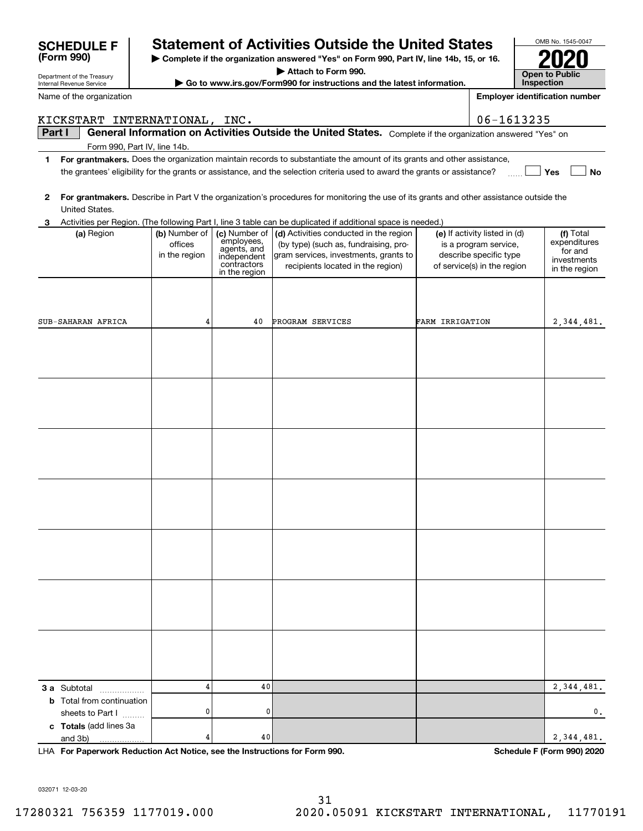|        | KICKSTART INTERNATIONAL, INC.    |                          |                            |                                                                                                                                         |                                                 | 06-1613235                |
|--------|----------------------------------|--------------------------|----------------------------|-----------------------------------------------------------------------------------------------------------------------------------------|-------------------------------------------------|---------------------------|
| Part I |                                  |                          |                            | General Information on Activities Outside the United States. Complete if the organization answered "Yes" on                             |                                                 |                           |
|        | Form 990, Part IV, line 14b.     |                          |                            |                                                                                                                                         |                                                 |                           |
| 1      |                                  |                          |                            | For grantmakers. Does the organization maintain records to substantiate the amount of its grants and other assistance,                  |                                                 |                           |
|        |                                  |                          |                            | the grantees' eligibility for the grants or assistance, and the selection criteria used to award the grants or assistance?              |                                                 | Yes<br>No                 |
|        |                                  |                          |                            |                                                                                                                                         |                                                 |                           |
| 2      |                                  |                          |                            | For grantmakers. Describe in Part V the organization's procedures for monitoring the use of its grants and other assistance outside the |                                                 |                           |
|        | United States.                   |                          |                            |                                                                                                                                         |                                                 |                           |
| 3      |                                  |                          |                            | Activities per Region. (The following Part I, line 3 table can be duplicated if additional space is needed.)                            |                                                 |                           |
|        | (a) Region                       | (b) Number of            | (c) Number of              | (d) Activities conducted in the region                                                                                                  | (e) If activity listed in (d)                   | (f) Total<br>expenditures |
|        |                                  | offices<br>in the region | employees,<br>agents, and  | (by type) (such as, fundraising, pro-<br>gram services, investments, grants to                                                          | is a program service,<br>describe specific type | for and                   |
|        |                                  |                          | independent<br>contractors | recipients located in the region)                                                                                                       | of service(s) in the region                     | investments               |
|        |                                  |                          | in the region              |                                                                                                                                         |                                                 | in the region             |
|        |                                  |                          |                            |                                                                                                                                         |                                                 |                           |
|        |                                  |                          |                            |                                                                                                                                         |                                                 |                           |
|        |                                  |                          |                            |                                                                                                                                         |                                                 |                           |
|        | SUB-SAHARAN AFRICA               | 4                        | 40                         | PROGRAM SERVICES                                                                                                                        | FARM IRRIGATION                                 | 2,344,481.                |
|        |                                  |                          |                            |                                                                                                                                         |                                                 |                           |
|        |                                  |                          |                            |                                                                                                                                         |                                                 |                           |
|        |                                  |                          |                            |                                                                                                                                         |                                                 |                           |
|        |                                  |                          |                            |                                                                                                                                         |                                                 |                           |
|        |                                  |                          |                            |                                                                                                                                         |                                                 |                           |
|        |                                  |                          |                            |                                                                                                                                         |                                                 |                           |
|        |                                  |                          |                            |                                                                                                                                         |                                                 |                           |
|        |                                  |                          |                            |                                                                                                                                         |                                                 |                           |
|        |                                  |                          |                            |                                                                                                                                         |                                                 |                           |
|        |                                  |                          |                            |                                                                                                                                         |                                                 |                           |
|        |                                  |                          |                            |                                                                                                                                         |                                                 |                           |
|        |                                  |                          |                            |                                                                                                                                         |                                                 |                           |
|        |                                  |                          |                            |                                                                                                                                         |                                                 |                           |
|        |                                  |                          |                            |                                                                                                                                         |                                                 |                           |
|        |                                  |                          |                            |                                                                                                                                         |                                                 |                           |
|        |                                  |                          |                            |                                                                                                                                         |                                                 |                           |
|        |                                  |                          |                            |                                                                                                                                         |                                                 |                           |
|        |                                  |                          |                            |                                                                                                                                         |                                                 |                           |
|        |                                  |                          |                            |                                                                                                                                         |                                                 |                           |
|        |                                  |                          |                            |                                                                                                                                         |                                                 |                           |
|        |                                  |                          |                            |                                                                                                                                         |                                                 |                           |
|        |                                  |                          |                            |                                                                                                                                         |                                                 |                           |
|        |                                  |                          |                            |                                                                                                                                         |                                                 |                           |
|        |                                  |                          |                            |                                                                                                                                         |                                                 |                           |
|        |                                  |                          |                            |                                                                                                                                         |                                                 |                           |
|        |                                  |                          |                            |                                                                                                                                         |                                                 |                           |
|        |                                  |                          |                            |                                                                                                                                         |                                                 |                           |
|        | <b>3 a</b> Subtotal              | 4                        | 40                         |                                                                                                                                         |                                                 | 2, 344, 481.              |
|        | <b>b</b> Total from continuation |                          |                            |                                                                                                                                         |                                                 |                           |
|        | sheets to Part I                 | 0                        | 0                          |                                                                                                                                         |                                                 | 0,                        |
|        | c Totals (add lines 3a           |                          |                            |                                                                                                                                         |                                                 |                           |
|        | and 3b)                          | 4                        | 40                         |                                                                                                                                         |                                                 | 2, 344, 481.              |

**For Paperwork Reduction Act Notice, see the Instructions for Form 990. Schedule F (Form 990) 2020** LHA

032071 12-03-20

Department of the Treasury Internal Revenue Service

**(Form 990)**

Name of the organization



# **SCHEDULE F Statement of Activities Outside the United States**

**| Complete if the organization answered "Yes" on Form 990, Part IV, line 14b, 15, or 16.**

**| Attach to Form 990.**

**| Go to www.irs.gov/Form990 for instructions and the latest information.**

OMB No. 1545-0047 **2020**

**Employer identification number**

| <b>Open to Public</b><br><b>Inspection</b> |
|--------------------------------------------|
|--------------------------------------------|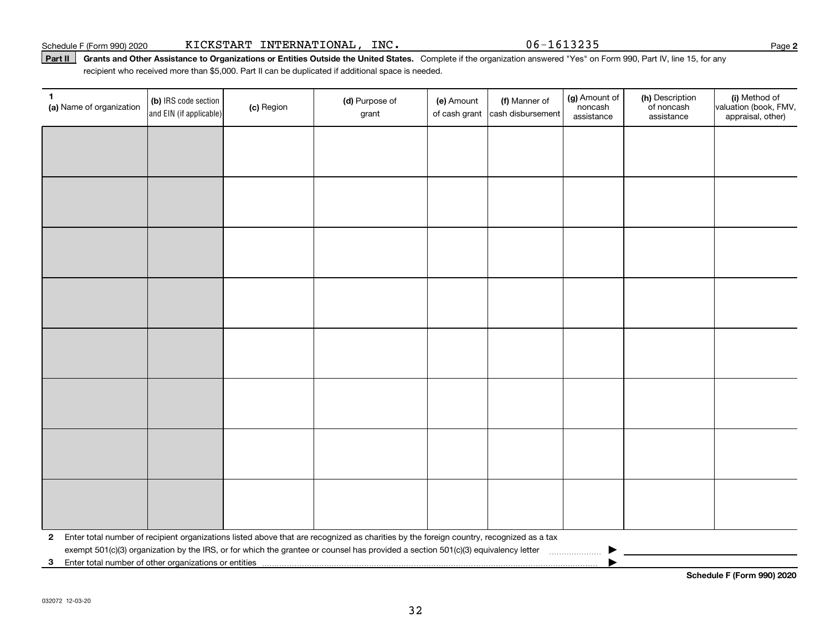### Part II | Grants and Other Assistance to Organizations or Entities Outside the United States. Complete if the organization answered "Yes" on Form 990, Part IV, line 15, for any recipient who received more than \$5,000. Part II can be duplicated if additional space is needed.

| 1<br>(a) Name of organization | (b) IRS code section<br>and EIN (if applicable) | (c) Region | (d) Purpose of<br>grant                                                                                                                 | (e) Amount<br>of cash grant | (f) Manner of<br>cash disbursement | (g) Amount of<br>noncash<br>assistance | (h) Description<br>of noncash<br>assistance | (i) Method of<br>valuation (book, FMV,<br>appraisal, other) |
|-------------------------------|-------------------------------------------------|------------|-----------------------------------------------------------------------------------------------------------------------------------------|-----------------------------|------------------------------------|----------------------------------------|---------------------------------------------|-------------------------------------------------------------|
|                               |                                                 |            |                                                                                                                                         |                             |                                    |                                        |                                             |                                                             |
|                               |                                                 |            |                                                                                                                                         |                             |                                    |                                        |                                             |                                                             |
|                               |                                                 |            |                                                                                                                                         |                             |                                    |                                        |                                             |                                                             |
|                               |                                                 |            |                                                                                                                                         |                             |                                    |                                        |                                             |                                                             |
|                               |                                                 |            |                                                                                                                                         |                             |                                    |                                        |                                             |                                                             |
|                               |                                                 |            |                                                                                                                                         |                             |                                    |                                        |                                             |                                                             |
|                               |                                                 |            |                                                                                                                                         |                             |                                    |                                        |                                             |                                                             |
|                               |                                                 |            |                                                                                                                                         |                             |                                    |                                        |                                             |                                                             |
|                               |                                                 |            |                                                                                                                                         |                             |                                    |                                        |                                             |                                                             |
|                               |                                                 |            |                                                                                                                                         |                             |                                    |                                        |                                             |                                                             |
|                               |                                                 |            |                                                                                                                                         |                             |                                    |                                        |                                             |                                                             |
|                               |                                                 |            |                                                                                                                                         |                             |                                    |                                        |                                             |                                                             |
|                               |                                                 |            |                                                                                                                                         |                             |                                    |                                        |                                             |                                                             |
|                               |                                                 |            |                                                                                                                                         |                             |                                    |                                        |                                             |                                                             |
|                               |                                                 |            |                                                                                                                                         |                             |                                    |                                        |                                             |                                                             |
|                               |                                                 |            |                                                                                                                                         |                             |                                    |                                        |                                             |                                                             |
| $\mathbf{2}$                  |                                                 |            | Enter total number of recipient organizations listed above that are recognized as charities by the foreign country, recognized as a tax |                             |                                    |                                        |                                             |                                                             |
|                               |                                                 |            | exempt 501(c)(3) organization by the IRS, or for which the grantee or counsel has provided a section 501(c)(3) equivalency letter       |                             |                                    |                                        |                                             |                                                             |
| $\mathbf{3}$                  |                                                 |            |                                                                                                                                         |                             |                                    |                                        |                                             |                                                             |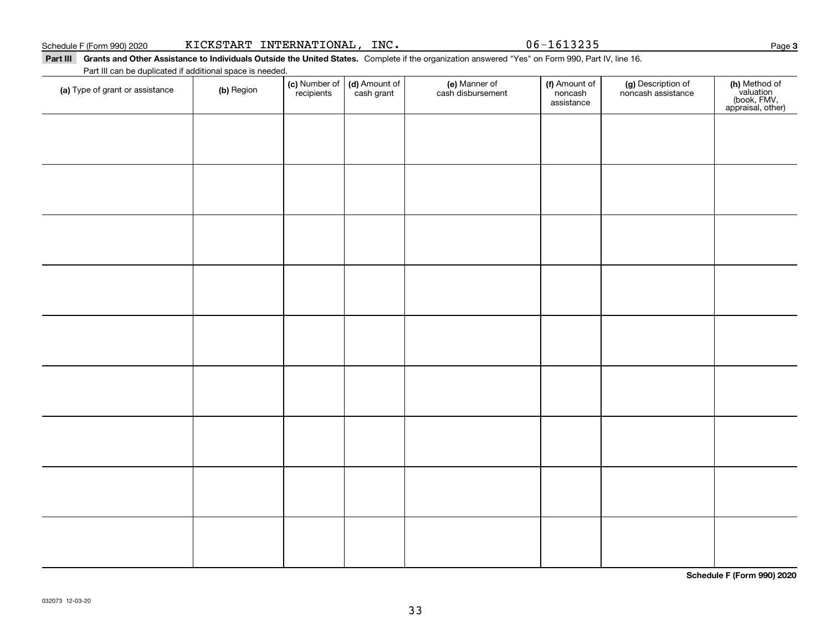Part III Grants and Other Assistance to Individuals Outside the United States. Complete if the organization answered "Yes" on Form 990, Part IV, line 16. Part III can be duplicated if additional space is needed.

| (a) Type of grant or assistance | (b) Region | (c) Number of<br>recipients | (d) Amount of<br>cash grant | (e) Manner of<br>cash disbursement | (f) Amount of<br>noncash<br>assistance | (g) Description of<br>noncash assistance | (h) Method of<br>valuation<br>(book, FMV,<br>appraisal, other) |
|---------------------------------|------------|-----------------------------|-----------------------------|------------------------------------|----------------------------------------|------------------------------------------|----------------------------------------------------------------|
|                                 |            |                             |                             |                                    |                                        |                                          |                                                                |
|                                 |            |                             |                             |                                    |                                        |                                          |                                                                |
|                                 |            |                             |                             |                                    |                                        |                                          |                                                                |
|                                 |            |                             |                             |                                    |                                        |                                          |                                                                |
|                                 |            |                             |                             |                                    |                                        |                                          |                                                                |
|                                 |            |                             |                             |                                    |                                        |                                          |                                                                |
|                                 |            |                             |                             |                                    |                                        |                                          |                                                                |
|                                 |            |                             |                             |                                    |                                        |                                          |                                                                |
|                                 |            |                             |                             |                                    |                                        |                                          |                                                                |
|                                 |            |                             |                             |                                    |                                        |                                          |                                                                |
|                                 |            |                             |                             |                                    |                                        |                                          |                                                                |
|                                 |            |                             |                             |                                    |                                        |                                          |                                                                |
|                                 |            |                             |                             |                                    |                                        |                                          |                                                                |
|                                 |            |                             |                             |                                    |                                        |                                          |                                                                |
|                                 |            |                             |                             |                                    |                                        |                                          |                                                                |

**Schedule F (Form 990) 2020**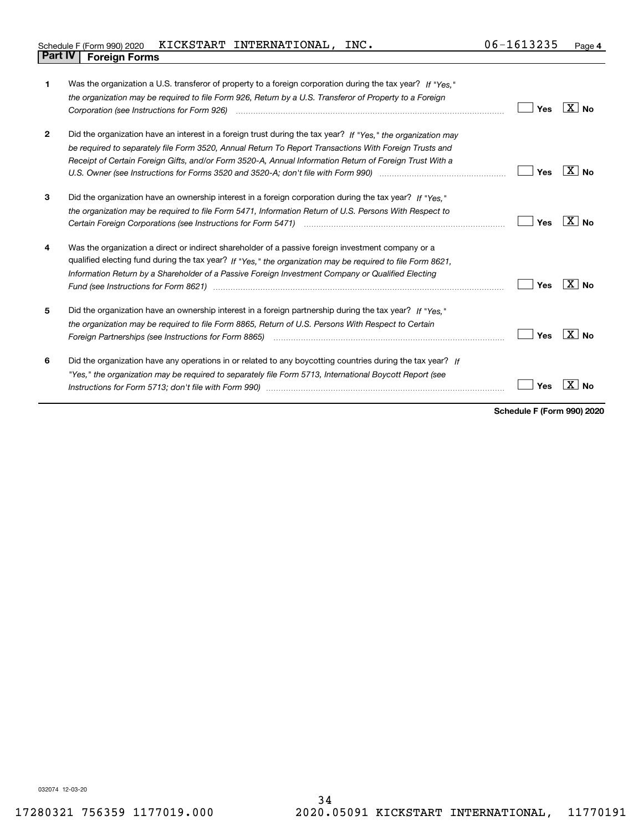| Schedule F (Form 990) 2020 KICKSTART INTERNATIONAL, |  | INC. | 06-1613235 | Page |
|-----------------------------------------------------|--|------|------------|------|
| <b>Part IV   Foreign Forms</b>                      |  |      |            |      |

| 1            | Was the organization a U.S. transferor of property to a foreign corporation during the tax year? If "Yes."<br>the organization may be required to file Form 926, Return by a U.S. Transferor of Property to a Foreign<br>Corporation (see Instructions for Form 926)                                                                                                     | Yes | ∣X I No         |
|--------------|--------------------------------------------------------------------------------------------------------------------------------------------------------------------------------------------------------------------------------------------------------------------------------------------------------------------------------------------------------------------------|-----|-----------------|
| $\mathbf{2}$ | Did the organization have an interest in a foreign trust during the tax year? If "Yes." the organization may<br>be required to separately file Form 3520, Annual Return To Report Transactions With Foreign Trusts and<br>Receipt of Certain Foreign Gifts, and/or Form 3520-A, Annual Information Return of Foreign Trust With a                                        | Yes | $X _{N_Q}$      |
| 3            | Did the organization have an ownership interest in a foreign corporation during the tax year? If "Yes."<br>the organization may be required to file Form 5471, Information Return of U.S. Persons With Respect to<br>Certain Foreign Corporations (see Instructions for Form 5471) manufactured contain the content of the Corporations (see Instructions for Form 5471) | Yes | X∣No            |
| 4            | Was the organization a direct or indirect shareholder of a passive foreign investment company or a<br>qualified electing fund during the tax year? If "Yes," the organization may be required to file Form 8621,<br>Information Return by a Shareholder of a Passive Foreign Investment Company or Qualified Electing                                                    | Yes | ΧI<br><b>No</b> |
| 5            | Did the organization have an ownership interest in a foreign partnership during the tax year? If "Yes."<br>the organization may be required to file Form 8865, Return of U.S. Persons With Respect to Certain                                                                                                                                                            | Yes | $X \mid N_0$    |
| 6            | Did the organization have any operations in or related to any boycotting countries during the tax year? If<br>"Yes," the organization may be required to separately file Form 5713, International Boycott Report (see                                                                                                                                                    | Yes |                 |

**Schedule F (Form 990) 2020**

032074 12-03-20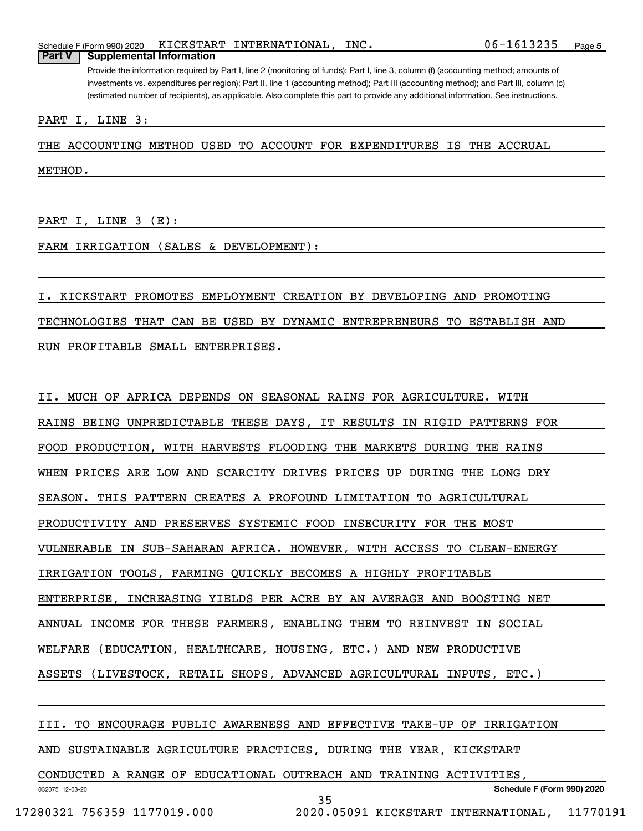Provide the information required by Part I, line 2 (monitoring of funds); Part I, line 3, column (f) (accounting method; amounts of investments vs. expenditures per region); Part II, line 1 (accounting method); Part III (accounting method); and Part III, column (c) (estimated number of recipients), as applicable. Also complete this part to provide any additional information. See instructions.

PART I, LINE 3:

THE ACCOUNTING METHOD USED TO ACCOUNT FOR EXPENDITURES IS THE ACCRUAL

METHOD.

PART I, LINE 3 (E):

FARM IRRIGATION (SALES & DEVELOPMENT):

I. KICKSTART PROMOTES EMPLOYMENT CREATION BY DEVELOPING AND PROMOTING TECHNOLOGIES THAT CAN BE USED BY DYNAMIC ENTREPRENEURS TO ESTABLISH AND RUN PROFITABLE SMALL ENTERPRISES.

II. MUCH OF AFRICA DEPENDS ON SEASONAL RAINS FOR AGRICULTURE. WITH RAINS BEING UNPREDICTABLE THESE DAYS, IT RESULTS IN RIGID PATTERNS FOR FOOD PRODUCTION, WITH HARVESTS FLOODING THE MARKETS DURING THE RAINS WHEN PRICES ARE LOW AND SCARCITY DRIVES PRICES UP DURING THE LONG DRY SEASON. THIS PATTERN CREATES A PROFOUND LIMITATION TO AGRICULTURAL PRODUCTIVITY AND PRESERVES SYSTEMIC FOOD INSECURITY FOR THE MOST VULNERABLE IN SUB-SAHARAN AFRICA. HOWEVER, WITH ACCESS TO CLEAN-ENERGY IRRIGATION TOOLS, FARMING QUICKLY BECOMES A HIGHLY PROFITABLE ENTERPRISE, INCREASING YIELDS PER ACRE BY AN AVERAGE AND BOOSTING NET ANNUAL INCOME FOR THESE FARMERS, ENABLING THEM TO REINVEST IN SOCIAL WELFARE (EDUCATION, HEALTHCARE, HOUSING, ETC.) AND NEW PRODUCTIVE ASSETS (LIVESTOCK, RETAIL SHOPS, ADVANCED AGRICULTURAL INPUTS, ETC.)

III. TO ENCOURAGE PUBLIC AWARENESS AND EFFECTIVE TAKE-UP OF IRRIGATION

AND SUSTAINABLE AGRICULTURE PRACTICES, DURING THE YEAR, KICKSTART

CONDUCTED A RANGE OF EDUCATIONAL OUTREACH AND TRAINING ACTIVITIES,

032075 12-03-20

**Schedule F (Form 990) 2020**

35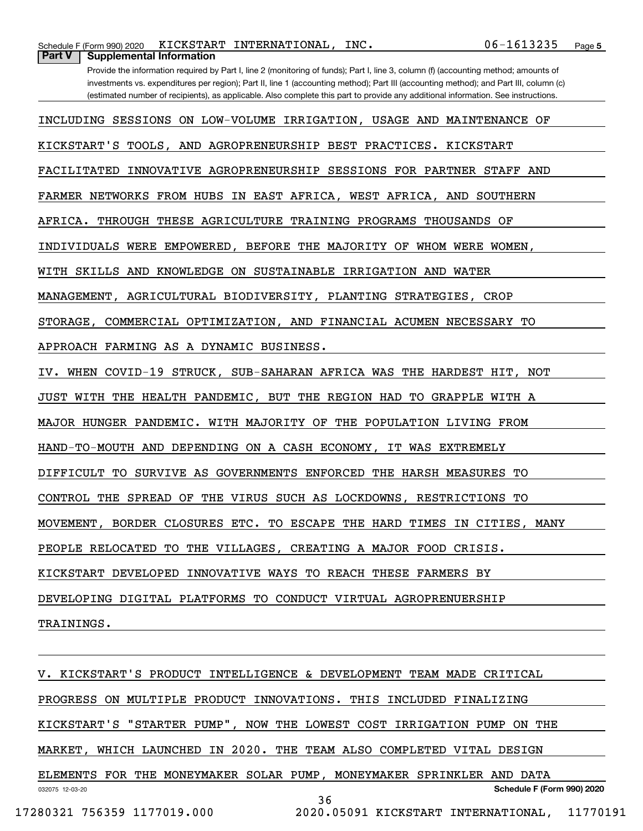| 06-1613235<br>KICKSTART INTERNATIONAL, INC.<br>Schedule F (Form 990) 2020                                                                                                                                                                                                  | Page 5 |
|----------------------------------------------------------------------------------------------------------------------------------------------------------------------------------------------------------------------------------------------------------------------------|--------|
| Part V<br><b>Supplemental Information</b>                                                                                                                                                                                                                                  |        |
| Provide the information required by Part I, line 2 (monitoring of funds); Part I, line 3, column (f) (accounting method; amounts of                                                                                                                                        |        |
| investments vs. expenditures per region); Part II, line 1 (accounting method); Part III (accounting method); and Part III, column (c)<br>(estimated number of recipients), as applicable. Also complete this part to provide any additional information. See instructions. |        |
|                                                                                                                                                                                                                                                                            |        |
| INCLUDING SESSIONS ON LOW-VOLUME IRRIGATION, USAGE AND MAINTENANCE OF                                                                                                                                                                                                      |        |
|                                                                                                                                                                                                                                                                            |        |
| KICKSTART'S TOOLS, AND AGROPRENEURSHIP BEST PRACTICES. KICKSTART                                                                                                                                                                                                           |        |
| FACILITATED INNOVATIVE AGROPRENEURSHIP SESSIONS FOR PARTNER STAFF AND                                                                                                                                                                                                      |        |
|                                                                                                                                                                                                                                                                            |        |
| FARMER NETWORKS FROM HUBS IN EAST AFRICA, WEST AFRICA, AND SOUTHERN                                                                                                                                                                                                        |        |
|                                                                                                                                                                                                                                                                            |        |
| AFRICA. THROUGH THESE AGRICULTURE TRAINING PROGRAMS THOUSANDS OF                                                                                                                                                                                                           |        |
| INDIVIDUALS WERE EMPOWERED, BEFORE THE MAJORITY OF WHOM WERE WOMEN,                                                                                                                                                                                                        |        |
|                                                                                                                                                                                                                                                                            |        |
| WITH SKILLS AND KNOWLEDGE ON SUSTAINABLE IRRIGATION AND WATER                                                                                                                                                                                                              |        |
|                                                                                                                                                                                                                                                                            |        |
| MANAGEMENT, AGRICULTURAL BIODIVERSITY, PLANTING STRATEGIES, CROP                                                                                                                                                                                                           |        |
| STORAGE, COMMERCIAL OPTIMIZATION, AND FINANCIAL ACUMEN NECESSARY TO                                                                                                                                                                                                        |        |
|                                                                                                                                                                                                                                                                            |        |
| APPROACH FARMING AS A DYNAMIC BUSINESS.                                                                                                                                                                                                                                    |        |
|                                                                                                                                                                                                                                                                            |        |
| IV. WHEN COVID-19 STRUCK, SUB-SAHARAN AFRICA WAS THE HARDEST HIT, NOT                                                                                                                                                                                                      |        |
| JUST WITH THE HEALTH PANDEMIC, BUT THE REGION HAD TO GRAPPLE WITH A                                                                                                                                                                                                        |        |
|                                                                                                                                                                                                                                                                            |        |
| MAJOR HUNGER PANDEMIC. WITH MAJORITY OF THE POPULATION LIVING FROM                                                                                                                                                                                                         |        |
|                                                                                                                                                                                                                                                                            |        |
| HAND-TO-MOUTH AND DEPENDING ON A CASH ECONOMY, IT WAS EXTREMELY                                                                                                                                                                                                            |        |
| DIFFICULT TO SURVIVE AS GOVERNMENTS ENFORCED THE HARSH MEASURES TO                                                                                                                                                                                                         |        |
|                                                                                                                                                                                                                                                                            |        |
| CONTROL THE SPREAD OF THE VIRUS SUCH AS LOCKDOWNS, RESTRICTIONS TO                                                                                                                                                                                                         |        |
|                                                                                                                                                                                                                                                                            |        |
| MOVEMENT, BORDER CLOSURES ETC. TO ESCAPE THE HARD TIMES IN CITIES, MANY                                                                                                                                                                                                    |        |
| PEOPLE RELOCATED TO THE VILLAGES, CREATING A MAJOR FOOD CRISIS.                                                                                                                                                                                                            |        |
|                                                                                                                                                                                                                                                                            |        |
| KICKSTART DEVELOPED INNOVATIVE WAYS TO REACH THESE FARMERS BY                                                                                                                                                                                                              |        |
|                                                                                                                                                                                                                                                                            |        |
| DEVELOPING DIGITAL PLATFORMS TO CONDUCT VIRTUAL AGROPRENUERSHIP                                                                                                                                                                                                            |        |
| TRAININGS.                                                                                                                                                                                                                                                                 |        |
|                                                                                                                                                                                                                                                                            |        |
|                                                                                                                                                                                                                                                                            |        |
|                                                                                                                                                                                                                                                                            |        |
| V. KICKSTART'S PRODUCT INTELLIGENCE & DEVELOPMENT TEAM MADE CRITICAL                                                                                                                                                                                                       |        |
| PROGRESS ON MULTIPLE PRODUCT INNOVATIONS. THIS INCLUDED FINALIZING                                                                                                                                                                                                         |        |
|                                                                                                                                                                                                                                                                            |        |
| KICKSTART'S "STARTER PUMP", NOW THE LOWEST COST IRRIGATION PUMP ON THE                                                                                                                                                                                                     |        |
|                                                                                                                                                                                                                                                                            |        |
| MARKET, WHICH LAUNCHED IN 2020. THE TEAM ALSO COMPLETED VITAL DESIGN                                                                                                                                                                                                       |        |
|                                                                                                                                                                                                                                                                            |        |

032075 12-03-20 **Schedule F (Form 990) 2020** ELEMENTS FOR THE MONEYMAKER SOLAR PUMP, MONEYMAKER SPRINKLER AND DATA 36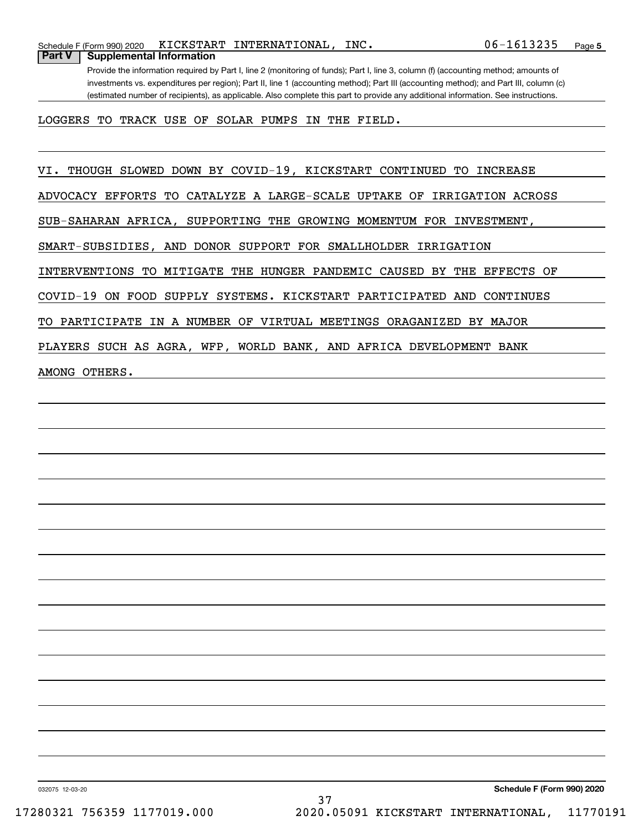Provide the information required by Part I, line 2 (monitoring of funds); Part I, line 3, column (f) (accounting method; amounts of investments vs. expenditures per region); Part II, line 1 (accounting method); Part III (accounting method); and Part III, column (c) (estimated number of recipients), as applicable. Also complete this part to provide any additional information. See instructions.

LOGGERS TO TRACK USE OF SOLAR PUMPS IN THE FIELD.

VI. THOUGH SLOWED DOWN BY COVID-19, KICKSTART CONTINUED TO INCREASE

ADVOCACY EFFORTS TO CATALYZE A LARGE-SCALE UPTAKE OF IRRIGATION ACROSS

SUB-SAHARAN AFRICA, SUPPORTING THE GROWING MOMENTUM FOR INVESTMENT,

SMART-SUBSIDIES, AND DONOR SUPPORT FOR SMALLHOLDER IRRIGATION

INTERVENTIONS TO MITIGATE THE HUNGER PANDEMIC CAUSED BY THE EFFECTS OF

COVID-19 ON FOOD SUPPLY SYSTEMS. KICKSTART PARTICIPATED AND CONTINUES

TO PARTICIPATE IN A NUMBER OF VIRTUAL MEETINGS ORAGANIZED BY MAJOR

PLAYERS SUCH AS AGRA, WFP, WORLD BANK, AND AFRICA DEVELOPMENT BANK

AMONG OTHERS.

032075 12-03-20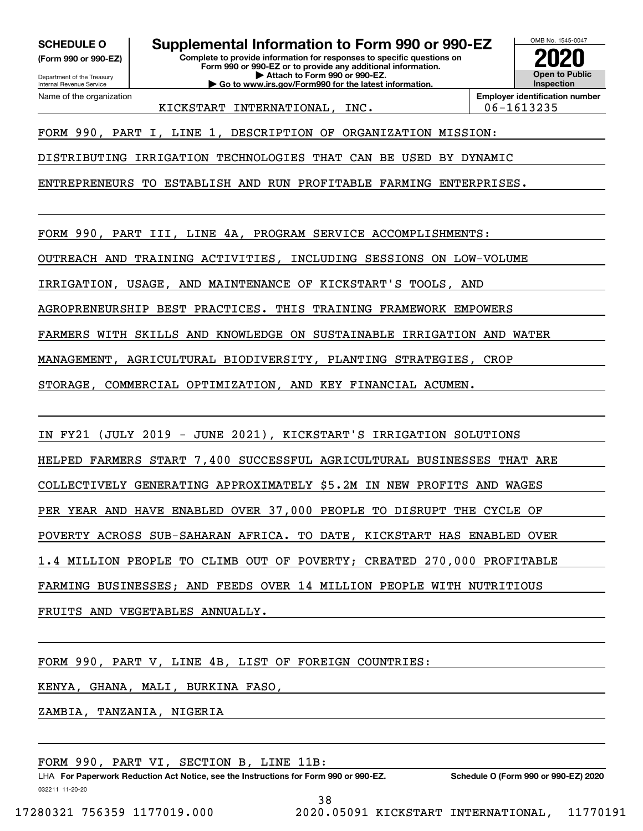**(Form 990 or 990-EZ)**

Department of the Treasury Internal Revenue Service Name of the organization

**SCHEDULE O Supplemental Information to Form 990 or 990-EZ**

**Complete to provide information for responses to specific questions on Form 990 or 990-EZ or to provide any additional information. | Attach to Form 990 or 990-EZ.**

**| Go to www.irs.gov/Form990 for the latest information.**



**Employer identification number** KICKSTART INTERNATIONAL, INC. | 06-1613235

FORM 990, PART I, LINE 1, DESCRIPTION OF ORGANIZATION MISSION:

DISTRIBUTING IRRIGATION TECHNOLOGIES THAT CAN BE USED BY DYNAMIC

ENTREPRENEURS TO ESTABLISH AND RUN PROFITABLE FARMING ENTERPRISES.

FORM 990, PART III, LINE 4A, PROGRAM SERVICE ACCOMPLISHMENTS:

OUTREACH AND TRAINING ACTIVITIES, INCLUDING SESSIONS ON LOW-VOLUME

IRRIGATION, USAGE, AND MAINTENANCE OF KICKSTART'S TOOLS, AND

AGROPRENEURSHIP BEST PRACTICES. THIS TRAINING FRAMEWORK EMPOWERS

FARMERS WITH SKILLS AND KNOWLEDGE ON SUSTAINABLE IRRIGATION AND WATER

MANAGEMENT, AGRICULTURAL BIODIVERSITY, PLANTING STRATEGIES, CROP

STORAGE, COMMERCIAL OPTIMIZATION, AND KEY FINANCIAL ACUMEN.

IN FY21 (JULY 2019 - JUNE 2021), KICKSTART'S IRRIGATION SOLUTIONS

HELPED FARMERS START 7,400 SUCCESSFUL AGRICULTURAL BUSINESSES THAT ARE

COLLECTIVELY GENERATING APPROXIMATELY \$5.2M IN NEW PROFITS AND WAGES

PER YEAR AND HAVE ENABLED OVER 37,000 PEOPLE TO DISRUPT THE CYCLE OF

POVERTY ACROSS SUB-SAHARAN AFRICA. TO DATE, KICKSTART HAS ENABLED OVER

1.4 MILLION PEOPLE TO CLIMB OUT OF POVERTY; CREATED 270,000 PROFITABLE

FARMING BUSINESSES; AND FEEDS OVER 14 MILLION PEOPLE WITH NUTRITIOUS

FRUITS AND VEGETABLES ANNUALLY.

FORM 990, PART V, LINE 4B, LIST OF FOREIGN COUNTRIES:

KENYA, GHANA, MALI, BURKINA FASO,

ZAMBIA, TANZANIA, NIGERIA

FORM 990, PART VI, SECTION B, LINE 11B:

032211 11-20-20 LHA For Paperwork Reduction Act Notice, see the Instructions for Form 990 or 990-EZ. Schedule O (Form 990 or 990-EZ) 2020 38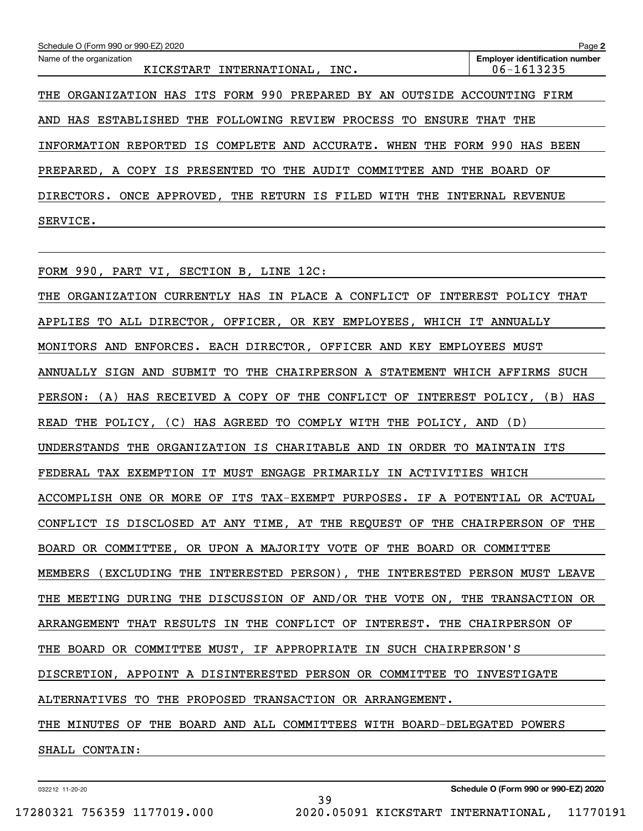| Schedule O (Form 990 or 990-EZ) 2020                                        | Page 2                                              |
|-----------------------------------------------------------------------------|-----------------------------------------------------|
| Name of the organization<br>KICKSTART INTERNATIONAL, INC.                   | <b>Employer identification number</b><br>06-1613235 |
| ORGANIZATION HAS ITS FORM 990 PREPARED BY AN OUTSIDE ACCOUNTING FIRM<br>THE |                                                     |
| HAS ESTABLISHED THE FOLLOWING REVIEW PROCESS<br>ENSURE<br>TO.<br>AND        | THAT THE                                            |
| REPORTED IS COMPLETE AND ACCURATE.<br>WHEN<br>INFORMATION                   | THE FORM 990 HAS BEEN                               |
| PREPARED, A COPY IS PRESENTED TO THE AUDIT COMMITTEE AND                    | THE<br>BOARD OF                                     |
| ONCE APPROVED, THE RETURN IS FILED<br>WITH<br>DIRECTORS.<br>THE             | INTERNAL<br>REVENUE                                 |
| SERVICE.                                                                    |                                                     |

FORM 990, PART VI, SECTION B, LINE 12C:

THE ORGANIZATION CURRENTLY HAS IN PLACE A CONFLICT OF INTEREST POLICY THAT APPLIES TO ALL DIRECTOR, OFFICER, OR KEY EMPLOYEES, WHICH IT ANNUALLY MONITORS AND ENFORCES. EACH DIRECTOR, OFFICER AND KEY EMPLOYEES MUST ANNUALLY SIGN AND SUBMIT TO THE CHAIRPERSON A STATEMENT WHICH AFFIRMS SUCH PERSON: (A) HAS RECEIVED A COPY OF THE CONFLICT OF INTEREST POLICY, (B) HAS READ THE POLICY, (C) HAS AGREED TO COMPLY WITH THE POLICY, AND (D) UNDERSTANDS THE ORGANIZATION IS CHARITABLE AND IN ORDER TO MAINTAIN ITS FEDERAL TAX EXEMPTION IT MUST ENGAGE PRIMARILY IN ACTIVITIES WHICH ACCOMPLISH ONE OR MORE OF ITS TAX-EXEMPT PURPOSES. IF A POTENTIAL OR ACTUAL CONFLICT IS DISCLOSED AT ANY TIME, AT THE REQUEST OF THE CHAIRPERSON OF THE BOARD OR COMMITTEE, OR UPON A MAJORITY VOTE OF THE BOARD OR COMMITTEE MEMBERS (EXCLUDING THE INTERESTED PERSON), THE INTERESTED PERSON MUST LEAVE THE MEETING DURING THE DISCUSSION OF AND/OR THE VOTE ON, THE TRANSACTION OR ARRANGEMENT THAT RESULTS IN THE CONFLICT OF INTEREST. THE CHAIRPERSON OF THE BOARD OR COMMITTEE MUST, IF APPROPRIATE IN SUCH CHAIRPERSON'S DISCRETION, APPOINT A DISINTERESTED PERSON OR COMMITTEE TO INVESTIGATE ALTERNATIVES TO THE PROPOSED TRANSACTION OR ARRANGEMENT. THE MINUTES OF THE BOARD AND ALL COMMITTEES WITH BOARD-DELEGATED POWERS SHALL CONTAIN:

39

032212 11-20-20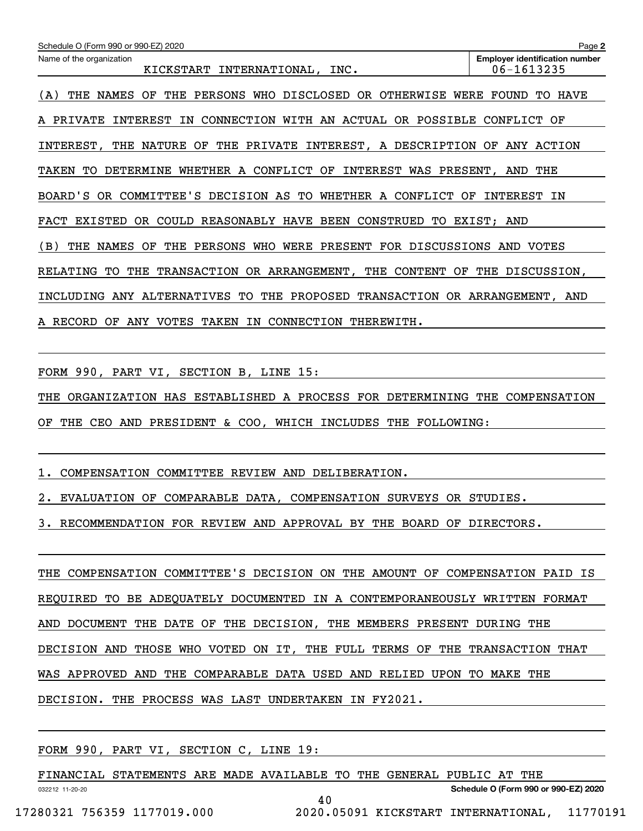| Schedule O (Form 990 or 990-EZ) 2020                                                         | Page 2                                              |
|----------------------------------------------------------------------------------------------|-----------------------------------------------------|
| Name of the organization<br>KICKSTART<br>INTERNATIONAL, INC.                                 | <b>Employer identification number</b><br>06-1613235 |
| NAMES<br>THE<br>PERSONS<br>WHO<br>DISCLOSED<br>OR.<br>OTHERWISE<br>THE<br>OF.<br>WERE<br>(A) | FOUND<br>HAVE<br>TО                                 |
| CONNECTION<br>WITH AN ACTUAL<br>OR POSSIBLE<br>A PRIVATE<br>INTEREST<br>IN                   | CONFLICT<br>ΟF                                      |
| INTEREST, A DESCRIPTION<br>INTEREST,<br>NATURE<br>ОF<br>THE<br>PRIVATE<br>THE                | OF<br>ANY ACTION                                    |
| WHETHER A CONFLICT OF<br>WAS PRESENT,<br>TAKEN<br>TО<br>DETERMINE<br>INTEREST                | AND<br>THE                                          |
| BOARD'S<br>OR COMMITTEE'S DECISION AS TO<br>WHETHER A CONFLICT<br>OF                         | INTEREST<br>ΙN                                      |
| FACT EXISTED<br>COULD<br>REASONABLY HAVE BEEN CONSTRUED<br>OR .<br>TO.                       | EXIST; AND                                          |
| WHO<br>WERE PRESENT FOR DISCUSSIONS<br>NAMES<br>THE PERSONS<br>(B)<br>THE<br>OF              | AND<br>VOTES                                        |
| TRANSACTION OR ARRANGEMENT,<br>THE<br>CONTENT<br>OF<br>RELATING<br>TО<br>THE                 | THE DISCUSSION,                                     |
| ANY ALTERNATIVES TO<br>PROPOSED<br>INCLUDING<br>THE                                          | TRANSACTION OR ARRANGEMENT, AND                     |
| A RECORD<br>ANY VOTES<br>TAKEN<br>CONNECTION<br>THEREWITH.<br>OF<br>IN                       |                                                     |

FORM 990, PART VI, SECTION B, LINE 15:

THE ORGANIZATION HAS ESTABLISHED A PROCESS FOR DETERMINING THE COMPENSATION OF THE CEO AND PRESIDENT & COO, WHICH INCLUDES THE FOLLOWING:

1. COMPENSATION COMMITTEE REVIEW AND DELIBERATION.

2. EVALUATION OF COMPARABLE DATA, COMPENSATION SURVEYS OR STUDIES.

3. RECOMMENDATION FOR REVIEW AND APPROVAL BY THE BOARD OF DIRECTORS.

THE COMPENSATION COMMITTEE'S DECISION ON THE AMOUNT OF COMPENSATION PAID IS REQUIRED TO BE ADEQUATELY DOCUMENTED IN A CONTEMPORANEOUSLY WRITTEN FORMAT AND DOCUMENT THE DATE OF THE DECISION, THE MEMBERS PRESENT DURING THE DECISION AND THOSE WHO VOTED ON IT, THE FULL TERMS OF THE TRANSACTION THAT WAS APPROVED AND THE COMPARABLE DATA USED AND RELIED UPON TO MAKE THE DECISION. THE PROCESS WAS LAST UNDERTAKEN IN FY2021.

FORM 990, PART VI, SECTION C, LINE 19:

032212 11-20-20 **Schedule O (Form 990 or 990-EZ) 2020** FINANCIAL STATEMENTS ARE MADE AVAILABLE TO THE GENERAL PUBLIC AT THE 40 17280321 756359 1177019.000 2020.05091 KICKSTART INTERNATIONAL, 11770191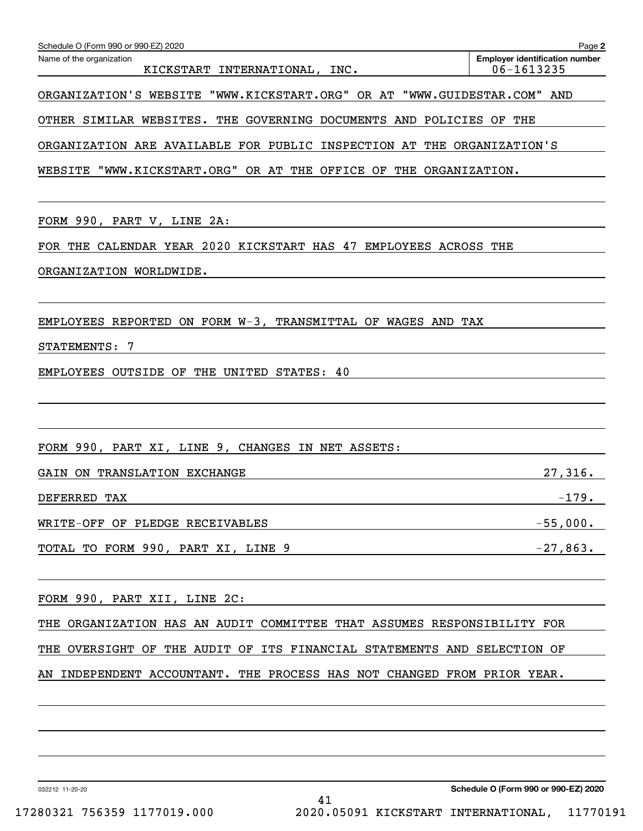| Schedule O (Form 990 or 990-EZ) 2020<br>Name of the organization                                 | Page 2<br><b>Employer identification number</b> |
|--------------------------------------------------------------------------------------------------|-------------------------------------------------|
| KICKSTART INTERNATIONAL, INC.                                                                    | 06-1613235                                      |
| ORGANIZATION'S WEBSITE "WWW.KICKSTART.ORG" OR AT "WWW.GUIDESTAR.COM" AND                         |                                                 |
| OTHER SIMILAR WEBSITES. THE GOVERNING DOCUMENTS AND POLICIES OF THE                              |                                                 |
| ORGANIZATION ARE AVAILABLE FOR PUBLIC INSPECTION AT THE ORGANIZATION'S                           |                                                 |
| WEBSITE "WWW.KICKSTART.ORG" OR AT THE OFFICE OF THE ORGANIZATION.                                |                                                 |
| FORM 990, PART V, LINE 2A:                                                                       |                                                 |
| FOR THE CALENDAR YEAR 2020 KICKSTART HAS 47 EMPLOYEES ACROSS THE                                 |                                                 |
| ORGANIZATION WORLDWIDE.                                                                          |                                                 |
|                                                                                                  |                                                 |
| EMPLOYEES REPORTED ON FORM W-3, TRANSMITTAL OF WAGES AND TAX                                     |                                                 |
| STATEMENTS: 7                                                                                    |                                                 |
| EMPLOYEES OUTSIDE OF THE UNITED STATES: 40                                                       |                                                 |
|                                                                                                  |                                                 |
|                                                                                                  |                                                 |
| FORM 990, PART XI, LINE 9, CHANGES IN NET ASSETS:                                                |                                                 |
| GAIN ON TRANSLATION EXCHANGE                                                                     | 27,316.                                         |
| DEFERRED TAX                                                                                     | $-179.$                                         |
| WRITE-OFF OF PLEDGE RECEIVABLES                                                                  |                                                 |
| TOTAL TO FORM 990, PART XI, LINE 9                                                               | $-27,863.$                                      |
|                                                                                                  |                                                 |
| FORM 990, PART XII, LINE 2C:<br><u> 1989 - Johann John Stone, meilich aus der Stone († 1989)</u> |                                                 |
| THE ORGANIZATION HAS AN AUDIT COMMITTEE THAT ASSUMES RESPONSIBILITY FOR                          |                                                 |
| THE OVERSIGHT OF THE AUDIT OF ITS FINANCIAL STATEMENTS AND SELECTION OF                          |                                                 |
| AN INDEPENDENT ACCOUNTANT. THE PROCESS HAS NOT CHANGED FROM PRIOR YEAR.                          |                                                 |
|                                                                                                  |                                                 |
|                                                                                                  |                                                 |
|                                                                                                  |                                                 |

032212 11-20-20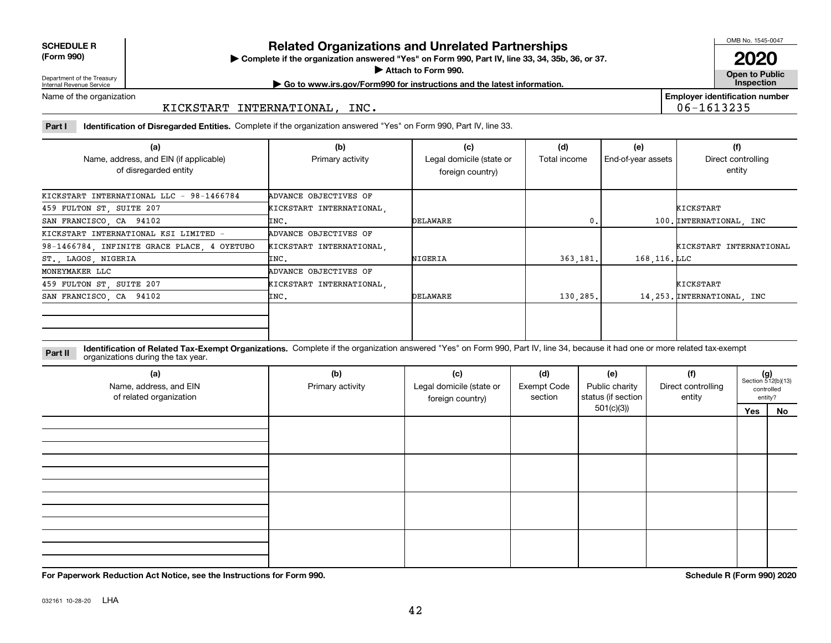**SCHEDULE R (Form 990)**

# **Related Organizations and Unrelated Partnerships**

**Complete if the organization answered "Yes" on Form 990, Part IV, line 33, 34, 35b, 36, or 37.** |

**Attach to Form 990.**  |

OMB No. 1545-0047

**Open to Public 2020**

**Employer identification number**

06-1613235

Department of the Treasury Internal Revenue Service

**| Go to www.irs.gov/Form990 for instructions and the latest information. Inspection**

Name of the organization

# KICKSTART INTERNATIONAL, INC.

**Part I Identification of Disregarded Entities.**  Complete if the organization answered "Yes" on Form 990, Part IV, line 33.

| (a)<br>Name, address, and EIN (if applicable)<br>of disregarded entity | (b)<br>Primary activity  | (d)<br>Total income | (e)<br>End-of-year assets | (f)<br>Direct controlling<br>entity |                             |
|------------------------------------------------------------------------|--------------------------|---------------------|---------------------------|-------------------------------------|-----------------------------|
| KICKSTART INTERNATIONAL LLC - 98-1466784                               | ADVANCE OBJECTIVES OF    |                     |                           |                                     |                             |
| 459 FULTON ST, SUITE 207                                               | KICKSTART INTERNATIONAL, |                     |                           |                                     | KICKSTART                   |
| SAN FRANCISCO, CA 94102                                                | INC.                     | DELAWARE            | 0.                        |                                     | 100. INTERNATIONAL, INC     |
| KICKSTART INTERNATIONAL KSI LIMITED -                                  | ADVANCE OBJECTIVES OF    |                     |                           |                                     |                             |
| 98-1466784, INFINITE GRACE PLACE, 4 OYETUBO                            | KICKSTART INTERNATIONAL, |                     |                           |                                     | KICKSTART INTERNATIONAL     |
| ST., LAGOS, NIGERIA                                                    | INC.                     | NIGERIA             | 363.181.                  | 168,116.LLC                         |                             |
| MONEYMAKER LLC                                                         | ADVANCE OBJECTIVES OF    |                     |                           |                                     |                             |
| 459 FULTON ST, SUITE 207                                               | KICKSTART INTERNATIONAL, |                     |                           |                                     | KICKSTART                   |
| SAN FRANCISCO, CA 94102                                                | INC.                     | DELAWARE            | 130,285.                  |                                     | 14, 253. INTERNATIONAL, INC |
|                                                                        |                          |                     |                           |                                     |                             |

**Identification of Related Tax-Exempt Organizations.** Complete if the organization answered "Yes" on Form 990, Part IV, line 34, because it had one or more related tax-exempt **Part II** organizations during the tax year.

| (a)<br>Name, address, and EIN<br>of related organization | (b)<br>Primary activity | (c)<br>(d)<br>Legal domicile (state or<br><b>Exempt Code</b><br>status (if section<br>section<br>foreign country) |  |            |  | $(g)$<br>Section 512(b)(13) | controlled<br>entity? |
|----------------------------------------------------------|-------------------------|-------------------------------------------------------------------------------------------------------------------|--|------------|--|-----------------------------|-----------------------|
|                                                          |                         |                                                                                                                   |  | 501(c)(3)) |  | Yes                         | No                    |
|                                                          |                         |                                                                                                                   |  |            |  |                             |                       |
|                                                          |                         |                                                                                                                   |  |            |  |                             |                       |
|                                                          |                         |                                                                                                                   |  |            |  |                             |                       |

**For Paperwork Reduction Act Notice, see the Instructions for Form 990. Schedule R (Form 990) 2020**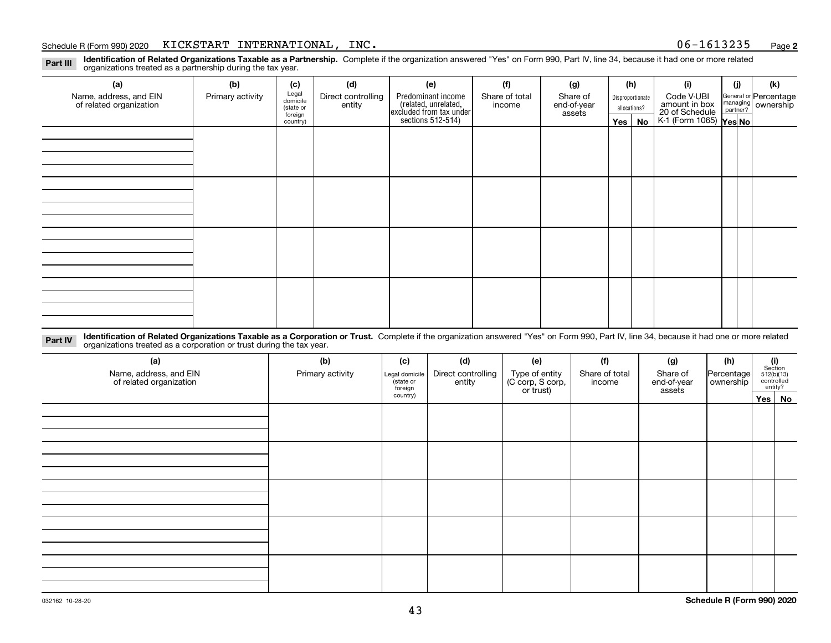### Schedule R (Form 990) 2020 Page KICKSTART INTERNATIONAL, INC. 06-1613235

**2**

**Identification of Related Organizations Taxable as a Partnership.** Complete if the organization answered "Yes" on Form 990, Part IV, line 34, because it had one or more related **Part III** organizations treated as a partnership during the tax year.

| (j)<br>(k)<br>General or Percentage<br>managing ownership<br>20 of Schedule<br>K-1 (Form 1065) Yes No |
|-------------------------------------------------------------------------------------------------------|
|                                                                                                       |
|                                                                                                       |
|                                                                                                       |
|                                                                                                       |
|                                                                                                       |
|                                                                                                       |
|                                                                                                       |
|                                                                                                       |
|                                                                                                       |
|                                                                                                       |
|                                                                                                       |
|                                                                                                       |
|                                                                                                       |
|                                                                                                       |
|                                                                                                       |
|                                                                                                       |
|                                                                                                       |
|                                                                                                       |
|                                                                                                       |
|                                                                                                       |
|                                                                                                       |

**Identification of Related Organizations Taxable as a Corporation or Trust.** Complete if the organization answered "Yes" on Form 990, Part IV, line 34, because it had one or more related **Part IV** organizations treated as a corporation or trust during the tax year.

| (a)<br>Name, address, and EIN<br>of related organization | (b)<br>Primary activity | (c)<br>Legal domicile<br>(state or<br>foreign | (d)<br>Direct controlling<br>entity | (e)<br>Type of entity<br>(C corp, S corp,<br>or trust) | (f)<br>Share of total<br>income | (g)<br>Share of<br>end-of-year<br>assets | (h)<br> Percentage <br>ownership | $\begin{array}{c} \textbf{(i)}\\ \text{Section}\\ 512 \text{(b)} \text{(13)}\\ \text{controlled}\\ \text{entity?} \end{array}$ |  |
|----------------------------------------------------------|-------------------------|-----------------------------------------------|-------------------------------------|--------------------------------------------------------|---------------------------------|------------------------------------------|----------------------------------|--------------------------------------------------------------------------------------------------------------------------------|--|
|                                                          |                         | country)                                      |                                     |                                                        |                                 |                                          |                                  | Yes No                                                                                                                         |  |
|                                                          |                         |                                               |                                     |                                                        |                                 |                                          |                                  |                                                                                                                                |  |
|                                                          |                         |                                               |                                     |                                                        |                                 |                                          |                                  |                                                                                                                                |  |
|                                                          |                         |                                               |                                     |                                                        |                                 |                                          |                                  |                                                                                                                                |  |
|                                                          |                         |                                               |                                     |                                                        |                                 |                                          |                                  |                                                                                                                                |  |
|                                                          |                         |                                               |                                     |                                                        |                                 |                                          |                                  |                                                                                                                                |  |
|                                                          |                         |                                               |                                     |                                                        |                                 |                                          |                                  |                                                                                                                                |  |
|                                                          |                         |                                               |                                     |                                                        |                                 |                                          |                                  |                                                                                                                                |  |
|                                                          |                         |                                               |                                     |                                                        |                                 |                                          |                                  |                                                                                                                                |  |
|                                                          |                         |                                               |                                     |                                                        |                                 |                                          |                                  |                                                                                                                                |  |
|                                                          |                         |                                               |                                     |                                                        |                                 |                                          |                                  |                                                                                                                                |  |
|                                                          |                         |                                               |                                     |                                                        |                                 |                                          |                                  |                                                                                                                                |  |
|                                                          |                         |                                               |                                     |                                                        |                                 |                                          |                                  |                                                                                                                                |  |
|                                                          |                         |                                               |                                     |                                                        |                                 |                                          |                                  |                                                                                                                                |  |
|                                                          |                         |                                               |                                     |                                                        |                                 |                                          |                                  |                                                                                                                                |  |
|                                                          |                         |                                               |                                     |                                                        |                                 |                                          |                                  |                                                                                                                                |  |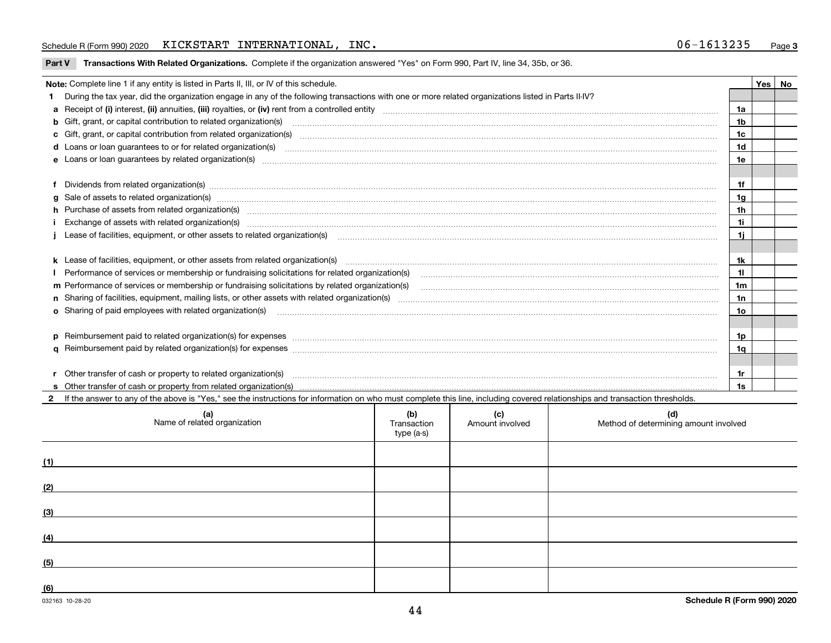## Schedule R (Form 990) 2020 Page KICKSTART INTERNATIONAL, INC. 06-1613235

|  |  | Part V Transactions With Related Organizations. Complete if the organization answered "Yes" on Form 990, Part IV, line 34, 35b, or 36. |  |  |  |
|--|--|----------------------------------------------------------------------------------------------------------------------------------------|--|--|--|
|--|--|----------------------------------------------------------------------------------------------------------------------------------------|--|--|--|

| Note: Complete line 1 if any entity is listed in Parts II, III, or IV of this schedule.                                                                                                                                        |                 | Yes   No |
|--------------------------------------------------------------------------------------------------------------------------------------------------------------------------------------------------------------------------------|-----------------|----------|
| During the tax year, did the organization engage in any of the following transactions with one or more related organizations listed in Parts II-IV?                                                                            |                 |          |
|                                                                                                                                                                                                                                | 1a              |          |
| <b>b</b> Gift, grant, or capital contribution to related organization(s)                                                                                                                                                       | 1 <sub>b</sub>  |          |
| c Gift, grant, or capital contribution from related organization(s) manufaction contribution from related organization(s) manufaction contribution from related organization(s) manufaction manufaction contribution from rela | 1c              |          |
|                                                                                                                                                                                                                                | 1 <sub>d</sub>  |          |
|                                                                                                                                                                                                                                | 1e              |          |
|                                                                                                                                                                                                                                |                 |          |
| Dividends from related organization(s) manufactured and contract and contract or produced and contract and contract and contract and contract and contract and contract and contract and contract and contract and contract an | 1f              |          |
| g Sale of assets to related organization(s) www.assettion.com/www.assettion.com/www.assettion.com/www.assettion.com/www.assettion.com/www.assettion.com/www.assettion.com/www.assettion.com/www.assettion.com/www.assettion.co | 1g              |          |
| h Purchase of assets from related organization(s) www.assettion.com/www.assettion.com/www.assettion.com/www.assettion.com/www.assettion.com/www.assettion.com/www.assettion.com/www.assettion.com/www.assettion.com/www.assett | 1 <sub>h</sub>  |          |
|                                                                                                                                                                                                                                | 1i              |          |
| Lease of facilities, equipment, or other assets to related organization(s) contained and contained and contained and contained and contained and contained and contained and contained and contained and contained and contain | 1i.             |          |
|                                                                                                                                                                                                                                |                 |          |
|                                                                                                                                                                                                                                | 1k              |          |
| Performance of services or membership or fundraising solicitations for related organization(s) matchinary material contents and content of the services or membership or fundraising solicitations for related organization(s) | 11              |          |
|                                                                                                                                                                                                                                | 1 <sub>m</sub>  |          |
|                                                                                                                                                                                                                                | 1n              |          |
| <b>o</b> Sharing of paid employees with related organization(s)                                                                                                                                                                | 10 <sub>o</sub> |          |
|                                                                                                                                                                                                                                |                 |          |
| p Reimbursement paid to related organization(s) for expenses [111] All and the content of the content of the content of the content of the content of the content of the content of the content of the content of the content  | 1p              |          |
|                                                                                                                                                                                                                                | 1q              |          |
|                                                                                                                                                                                                                                |                 |          |
| Other transfer of cash or property to related organization(s)                                                                                                                                                                  | 1r              |          |
|                                                                                                                                                                                                                                | 1s              |          |
| If the answer to any of the above is "Yes," see the instructions for information on who must complete this line, including covered relationships and transaction thresholds.                                                   |                 |          |

| (a)<br>Name of related organization | (b)<br>Transaction<br>type (a-s) | (c)<br>Amount involved | (d)<br>Method of determining amount involved |
|-------------------------------------|----------------------------------|------------------------|----------------------------------------------|
| (1)                                 |                                  |                        |                                              |
| (2)                                 |                                  |                        |                                              |
| (3)                                 |                                  |                        |                                              |
| (4)                                 |                                  |                        |                                              |
| (5)                                 |                                  |                        |                                              |
| (6)<br>032163 10-28-20              |                                  |                        | Schedule R (Form 990) 2020                   |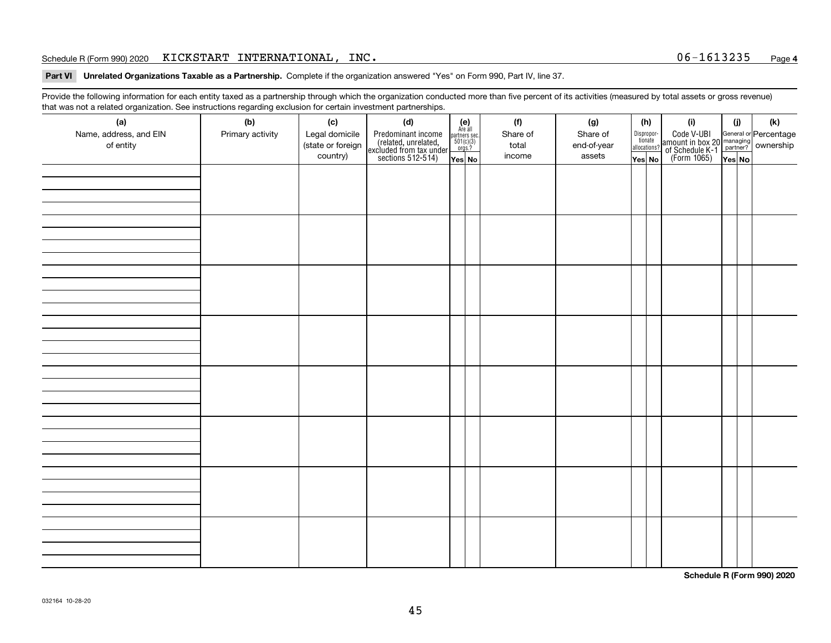### Schedule R (Form 990) 2020 Page KICKSTART INTERNATIONAL, INC. 06-1613235

**Part VI Unrelated Organizations Taxable as a Partnership. Complete if the organization answered "Yes" on Form 990, Part IV, line 37.** 

Provide the following information for each entity taxed as a partnership through which the organization conducted more than five percent of its activities (measured by total assets or gross revenue) that was not a related organization. See instructions regarding exclusion for certain investment partnerships.

| ັ                      | ັ<br>ັ           |                   |                                                                                            |                                      |  |          |             |  |                                       |                                                                                              |        |     |
|------------------------|------------------|-------------------|--------------------------------------------------------------------------------------------|--------------------------------------|--|----------|-------------|--|---------------------------------------|----------------------------------------------------------------------------------------------|--------|-----|
| (a)                    | (b)              | (c)               | (d)                                                                                        | (e)<br>Are all                       |  | (f)      | (g)         |  | (h)                                   | (i)                                                                                          | (i)    | (k) |
| Name, address, and EIN | Primary activity | Legal domicile    | Predominant income<br>(related, unrelated,<br>excluded from tax under<br>sections 512-514) | partners sec.<br>501(c)(3)<br>orgs.? |  | Share of | Share of    |  | Dispropor-<br>tionate<br>allocations? | Code V-UBI<br>amount in box 20 managing<br>of Schedule K-1 partner?<br>(Form 1065)<br>ves No |        |     |
| of entity              |                  | (state or foreign |                                                                                            |                                      |  | total    | end-of-year |  |                                       |                                                                                              |        |     |
|                        |                  | country)          |                                                                                            | Yes No                               |  | income   | assets      |  | Yes No                                |                                                                                              | Yes No |     |
|                        |                  |                   |                                                                                            |                                      |  |          |             |  |                                       |                                                                                              |        |     |
|                        |                  |                   |                                                                                            |                                      |  |          |             |  |                                       |                                                                                              |        |     |
|                        |                  |                   |                                                                                            |                                      |  |          |             |  |                                       |                                                                                              |        |     |
|                        |                  |                   |                                                                                            |                                      |  |          |             |  |                                       |                                                                                              |        |     |
|                        |                  |                   |                                                                                            |                                      |  |          |             |  |                                       |                                                                                              |        |     |
|                        |                  |                   |                                                                                            |                                      |  |          |             |  |                                       |                                                                                              |        |     |
|                        |                  |                   |                                                                                            |                                      |  |          |             |  |                                       |                                                                                              |        |     |
|                        |                  |                   |                                                                                            |                                      |  |          |             |  |                                       |                                                                                              |        |     |
|                        |                  |                   |                                                                                            |                                      |  |          |             |  |                                       |                                                                                              |        |     |
|                        |                  |                   |                                                                                            |                                      |  |          |             |  |                                       |                                                                                              |        |     |
|                        |                  |                   |                                                                                            |                                      |  |          |             |  |                                       |                                                                                              |        |     |
|                        |                  |                   |                                                                                            |                                      |  |          |             |  |                                       |                                                                                              |        |     |
|                        |                  |                   |                                                                                            |                                      |  |          |             |  |                                       |                                                                                              |        |     |
|                        |                  |                   |                                                                                            |                                      |  |          |             |  |                                       |                                                                                              |        |     |
|                        |                  |                   |                                                                                            |                                      |  |          |             |  |                                       |                                                                                              |        |     |
|                        |                  |                   |                                                                                            |                                      |  |          |             |  |                                       |                                                                                              |        |     |
|                        |                  |                   |                                                                                            |                                      |  |          |             |  |                                       |                                                                                              |        |     |
|                        |                  |                   |                                                                                            |                                      |  |          |             |  |                                       |                                                                                              |        |     |
|                        |                  |                   |                                                                                            |                                      |  |          |             |  |                                       |                                                                                              |        |     |
|                        |                  |                   |                                                                                            |                                      |  |          |             |  |                                       |                                                                                              |        |     |
|                        |                  |                   |                                                                                            |                                      |  |          |             |  |                                       |                                                                                              |        |     |
|                        |                  |                   |                                                                                            |                                      |  |          |             |  |                                       |                                                                                              |        |     |
|                        |                  |                   |                                                                                            |                                      |  |          |             |  |                                       |                                                                                              |        |     |
|                        |                  |                   |                                                                                            |                                      |  |          |             |  |                                       |                                                                                              |        |     |
|                        |                  |                   |                                                                                            |                                      |  |          |             |  |                                       |                                                                                              |        |     |
|                        |                  |                   |                                                                                            |                                      |  |          |             |  |                                       |                                                                                              |        |     |
|                        |                  |                   |                                                                                            |                                      |  |          |             |  |                                       |                                                                                              |        |     |
|                        |                  |                   |                                                                                            |                                      |  |          |             |  |                                       |                                                                                              |        |     |
|                        |                  |                   |                                                                                            |                                      |  |          |             |  |                                       |                                                                                              |        |     |
|                        |                  |                   |                                                                                            |                                      |  |          |             |  |                                       |                                                                                              |        |     |
|                        |                  |                   |                                                                                            |                                      |  |          |             |  |                                       |                                                                                              |        |     |
|                        |                  |                   |                                                                                            |                                      |  |          |             |  |                                       |                                                                                              |        |     |
|                        |                  |                   |                                                                                            |                                      |  |          |             |  |                                       |                                                                                              |        |     |
|                        |                  |                   |                                                                                            |                                      |  |          |             |  |                                       |                                                                                              |        |     |
|                        |                  |                   |                                                                                            |                                      |  |          |             |  |                                       |                                                                                              |        |     |
|                        |                  |                   |                                                                                            |                                      |  |          |             |  |                                       |                                                                                              |        |     |

**Schedule R (Form 990) 2020**